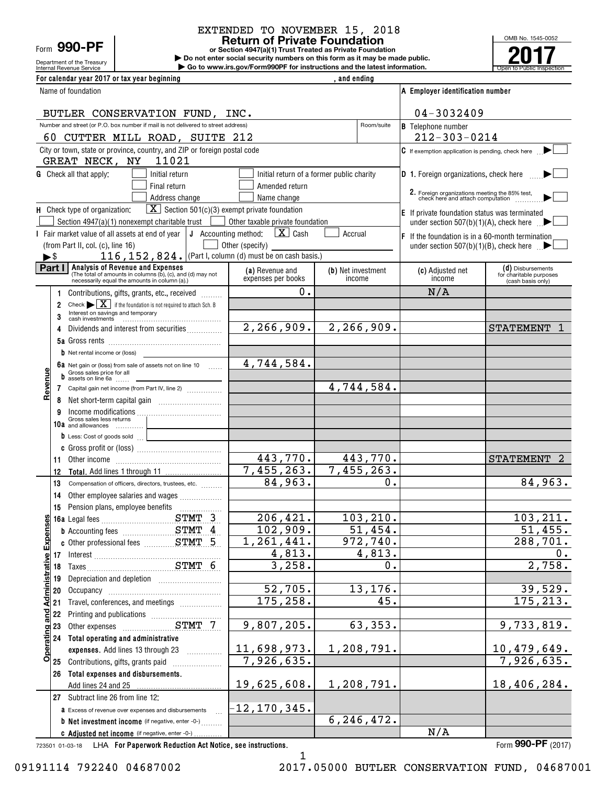# Form **990-PF**

Department of the Treasury

## EXTENDED TO NOVEMBER 15, 2018

**or Section 4947(a)(1) Trust Treated as Private Foundation Return of Private Foundation**

Internal Revenue Service **Number 19th Construction Constructions and the latest information.** The Service of Public Inspection **| Do not enter social security numbers on this form as it may be made public. | Go to www.irs.gov/Form990PF for instructions and the latest information.**



| For calendar year 2017 or tax year beginning                                                                                                             |                                      | , and ending                              |                                                                                     |                                              |
|----------------------------------------------------------------------------------------------------------------------------------------------------------|--------------------------------------|-------------------------------------------|-------------------------------------------------------------------------------------|----------------------------------------------|
| Name of foundation                                                                                                                                       |                                      |                                           | A Employer identification number                                                    |                                              |
| BUTLER CONSERVATION FUND, INC.                                                                                                                           |                                      |                                           | 04-3032409                                                                          |                                              |
| Number and street (or P.O. box number if mail is not delivered to street address)                                                                        |                                      | Room/suite                                | <b>B</b> Telephone number                                                           |                                              |
| 60 CUTTER MILL ROAD, SUITE 212                                                                                                                           |                                      |                                           | $212 - 303 - 0214$                                                                  |                                              |
| City or town, state or province, country, and ZIP or foreign postal code<br>11021<br>GREAT NECK, NY                                                      |                                      |                                           | C If exemption application is pending, check here                                   |                                              |
| <b>G</b> Check all that apply:<br>Initial return                                                                                                         |                                      | Initial return of a former public charity | <b>D</b> 1. Foreign organizations, check here                                       |                                              |
| Final return                                                                                                                                             | Amended return                       |                                           |                                                                                     |                                              |
| Address change                                                                                                                                           | Name change                          |                                           | 2. Foreign organizations meeting the 85% test,<br>check here and attach computation |                                              |
| $\boxed{\mathbf{X}}$ Section 501(c)(3) exempt private foundation<br>H Check type of organization:                                                        |                                      |                                           | E If private foundation status was terminated                                       |                                              |
| Section 4947(a)(1) nonexempt charitable trust                                                                                                            | Other taxable private foundation     |                                           | under section 507(b)(1)(A), check here $\Box$                                       |                                              |
| I Fair market value of all assets at end of year $\vert$ J Accounting method:                                                                            | $\mathbf{X}$ Cash<br>Other (specify) | Accrual                                   | $ F $ If the foundation is in a 60-month termination                                |                                              |
| (from Part II, col. (c), line 16)<br>116, 152, 824. (Part I, column (d) must be on cash basis.)<br>►\$                                                   |                                      |                                           | under section 507(b)(1)(B), check here $\Box$                                       |                                              |
| Part I<br><b>Analysis of Revenue and Expenses</b>                                                                                                        | (a) Revenue and                      | (b) Net investment                        | (c) Adjusted net                                                                    | (d) Disbursements                            |
| (The total of amounts in columns (b), (c), and (d) may not<br>necessarily equal the amounts in column (a).)                                              | expenses per books                   | income                                    | income                                                                              | for charitable purposes<br>(cash basis only) |
| Contributions, gifts, grants, etc., received                                                                                                             | 0.                                   |                                           | N/A                                                                                 |                                              |
| Check $\blacktriangleright \boxed{\mathbf{X}}$ if the foundation is not required to attach Sch. B<br>$\overline{2}$<br>Interest on savings and temporary |                                      |                                           |                                                                                     |                                              |
| 3                                                                                                                                                        |                                      |                                           |                                                                                     |                                              |
| Dividends and interest from securities<br>4                                                                                                              | 2, 266, 909.                         | $\overline{2,266,909}$ .                  |                                                                                     | <b>STATEMENT</b>                             |
| <b>b</b> Net rental income or (loss)                                                                                                                     |                                      |                                           |                                                                                     |                                              |
| 6a Net gain or (loss) from sale of assets not on line 10                                                                                                 | 4,744,584.                           |                                           |                                                                                     |                                              |
| Gross sales price for all<br>$\frac{1}{2}$ assets on line 6a                                                                                             |                                      |                                           |                                                                                     |                                              |
| Revenue<br>7 Capital gain net income (from Part IV, line 2)                                                                                              |                                      | 4,744,584.                                |                                                                                     |                                              |
| 8                                                                                                                                                        |                                      |                                           |                                                                                     |                                              |
| Income modifications<br>Gross sales less returns<br>9                                                                                                    |                                      |                                           |                                                                                     |                                              |
| 10a and allowances                                                                                                                                       |                                      |                                           |                                                                                     |                                              |
| b Less: Cost of goods sold                                                                                                                               |                                      |                                           |                                                                                     |                                              |
| 11.                                                                                                                                                      | 443,770.                             | 443,770.                                  |                                                                                     | <b>STATEMENT</b>                             |
| 12                                                                                                                                                       | 7,455,263.                           | 7,455,263.                                |                                                                                     |                                              |
| 13<br>Compensation of officers, directors, trustees, etc.                                                                                                | 84,963.                              | 0.                                        |                                                                                     | 84,963.                                      |
| Other employee salaries and wages<br>14                                                                                                                  |                                      |                                           |                                                                                     |                                              |
| 15                                                                                                                                                       |                                      |                                           |                                                                                     |                                              |
|                                                                                                                                                          | $\overline{206, 421}$ .              | 103, 210.                                 |                                                                                     | 103, 211.                                    |
| <b>b</b> Accounting fees <b>STMT</b> 4                                                                                                                   | 102,909.<br>1,261,441.               | 51,454.<br>972,740.                       |                                                                                     | 51,455.<br>288,701.                          |
|                                                                                                                                                          | 4,813.                               | 4,813.                                    |                                                                                     | 0.                                           |
|                                                                                                                                                          | 3,258.                               | 0.                                        |                                                                                     | 2,758.                                       |
| 19                                                                                                                                                       |                                      |                                           |                                                                                     |                                              |
| 20                                                                                                                                                       | 52,705.                              | 13,176.                                   |                                                                                     | 39,529.                                      |
| Travel, conferences, and meetings<br>21                                                                                                                  | 175, 258.                            | 45.                                       |                                                                                     | 175,213.                                     |
| Operating and Administrative Expenses<br>22<br>Printing and publications <i>manufacture contains</i>                                                     |                                      |                                           |                                                                                     |                                              |
| 23                                                                                                                                                       | 9,807,205.                           | 63,353.                                   |                                                                                     | 9,733,819.                                   |
| 24<br>Total operating and administrative<br>expenses. Add lines 13 through 23                                                                            | <u>11,698,973.</u>                   | 1,208,791.                                |                                                                                     | 10,479,649.                                  |
| Contributions, gifts, grants paid<br>25                                                                                                                  | 7,926,635.                           |                                           |                                                                                     | 7,926,635.                                   |
| Total expenses and disbursements.<br>26                                                                                                                  |                                      |                                           |                                                                                     |                                              |
| Add lines 24 and 25                                                                                                                                      | 19,625,608.                          | 1,208,791.                                |                                                                                     | 18,406,284.                                  |
| 27 Subtract line 26 from line 12:                                                                                                                        |                                      |                                           |                                                                                     |                                              |
| <b>a</b> Excess of revenue over expenses and disbursements                                                                                               | $-12$ ,170,345.                      | 6, 246, 472.                              |                                                                                     |                                              |
| <b>b</b> Net investment income (if negative, enter -0-)<br>C Adjusted net income (if negative, enter -0-)                                                |                                      |                                           | N/A                                                                                 |                                              |
|                                                                                                                                                          |                                      |                                           |                                                                                     |                                              |

723501 01-03-18 **For Paperwork Reduction Act Notice, see instructions.** LHA Form (2017)

**990-PF**

1

09191114 792240 04687002 2017.05000 BUTLER CONSERVATION FUND, 04687001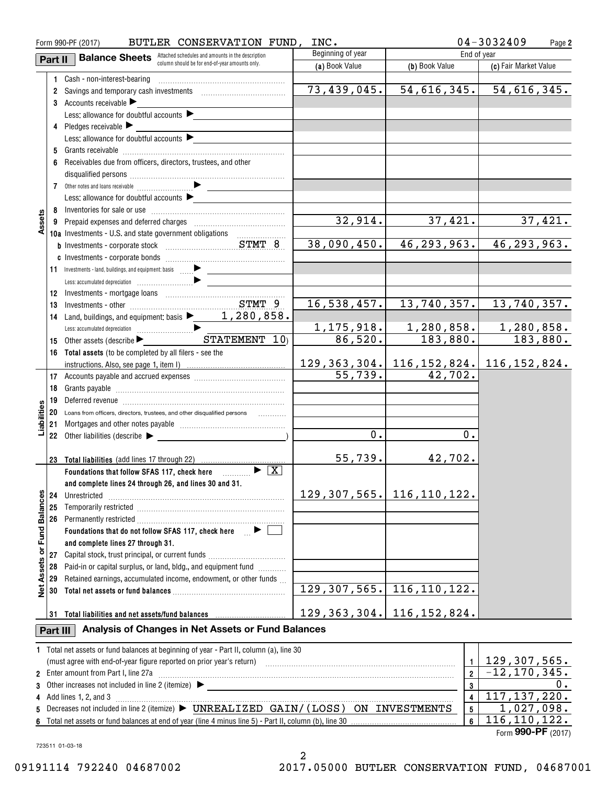| BUTLER CONSERVATION FUND,<br>INC.<br>Form 990-PF (2017) |          |                                                                                                                                                                                                                                |                                 |                                                | $04 - 3032409$<br>Page 2   |
|---------------------------------------------------------|----------|--------------------------------------------------------------------------------------------------------------------------------------------------------------------------------------------------------------------------------|---------------------------------|------------------------------------------------|----------------------------|
|                                                         | Part II  | <b>Balance Sheets</b> Attached schedules and amounts in the description                                                                                                                                                        | Beginning of year               | End of year                                    |                            |
|                                                         |          | column should be for end-of-year amounts only.                                                                                                                                                                                 | (a) Book Value                  | (b) Book Value                                 | (c) Fair Market Value      |
|                                                         |          | 1 Cash - non-interest-bearing                                                                                                                                                                                                  |                                 |                                                |                            |
|                                                         |          |                                                                                                                                                                                                                                | 73,439,045.                     | 54,616,345.                                    | 54,616,345.                |
|                                                         |          | 3 Accounts receivable                                                                                                                                                                                                          |                                 |                                                |                            |
|                                                         |          | Less: allowance for doubtful accounts $\blacktriangleright$                                                                                                                                                                    |                                 |                                                |                            |
|                                                         |          | 4 Pledges receivable                                                                                                                                                                                                           |                                 |                                                |                            |
|                                                         |          | Less: allowance for doubtful accounts $\blacktriangleright$                                                                                                                                                                    |                                 |                                                |                            |
|                                                         |          |                                                                                                                                                                                                                                |                                 |                                                |                            |
|                                                         | 6        | Receivables due from officers, directors, trustees, and other                                                                                                                                                                  |                                 |                                                |                            |
|                                                         |          |                                                                                                                                                                                                                                |                                 |                                                |                            |
|                                                         |          |                                                                                                                                                                                                                                |                                 |                                                |                            |
|                                                         |          | Less: allowance for doubtful accounts $\blacktriangleright$                                                                                                                                                                    |                                 |                                                |                            |
|                                                         |          |                                                                                                                                                                                                                                | 32,914.                         | 37,421.                                        | 37,421.                    |
| Assets                                                  |          |                                                                                                                                                                                                                                |                                 |                                                |                            |
|                                                         |          | 10a Investments - U.S. and state government obligations                                                                                                                                                                        | 38,090,450.                     | 46, 293, 963.                                  | 46, 293, 963.              |
|                                                         |          |                                                                                                                                                                                                                                |                                 |                                                |                            |
|                                                         |          |                                                                                                                                                                                                                                |                                 |                                                |                            |
|                                                         |          | $\mathcal{L}^{\text{max}}_{\text{max}}$ , where $\mathcal{L}^{\text{max}}_{\text{max}}$                                                                                                                                        |                                 |                                                |                            |
|                                                         |          |                                                                                                                                                                                                                                |                                 |                                                |                            |
|                                                         | 13       |                                                                                                                                                                                                                                | 16,538,457.                     | 13, 740, 357.                                  | 13,740,357.                |
|                                                         | 14       | Land, buildings, and equipment: basis $\blacktriangleright$ 1, 280, 858.                                                                                                                                                       |                                 |                                                |                            |
|                                                         |          |                                                                                                                                                                                                                                |                                 | $1, 175, 918.$ $1, 280, 858.$                  | 1,280,858.                 |
|                                                         | 15       |                                                                                                                                                                                                                                | 86,520.                         | 183,880.                                       | 183,880.                   |
|                                                         |          | 16 Total assets (to be completed by all filers - see the                                                                                                                                                                       |                                 |                                                |                            |
|                                                         |          |                                                                                                                                                                                                                                |                                 | $129, 363, 304.$ 116, 152, 824. 116, 152, 824. |                            |
|                                                         |          |                                                                                                                                                                                                                                | $\overline{55}$ , 739.          | 42,702.                                        |                            |
|                                                         | 18       |                                                                                                                                                                                                                                |                                 |                                                |                            |
|                                                         | 19       | Deferred revenue information and all the contracts and all the contracts and all the contracts of the contracts                                                                                                                |                                 |                                                |                            |
| Liabilities                                             |          | 20 Loans from officers, directors, trustees, and other disqualified persons                                                                                                                                                    |                                 |                                                |                            |
|                                                         |          |                                                                                                                                                                                                                                |                                 |                                                |                            |
|                                                         |          |                                                                                                                                                                                                                                | 0.                              | 0.                                             |                            |
|                                                         |          |                                                                                                                                                                                                                                |                                 |                                                |                            |
|                                                         |          | 23 Total liabilities (add lines 17 through 22)                                                                                                                                                                                 | 55,739.                         | 42,702.                                        |                            |
|                                                         |          | Foundations that follow SFAS 117, check here $\Box$                                                                                                                                                                            |                                 |                                                |                            |
|                                                         |          | and complete lines 24 through 26, and lines 30 and 31.                                                                                                                                                                         |                                 |                                                |                            |
|                                                         | 24       | Unrestricted                                                                                                                                                                                                                   | 129, 307, 565.   116, 110, 122. |                                                |                            |
| or Fund Balances                                        | 25       |                                                                                                                                                                                                                                |                                 |                                                |                            |
|                                                         | 26       | Permanently restricted [1, 1, 2001] [1, 2010] [1, 2010] [1, 2010] [1, 2010] [1, 2010] [1, 2010] [1, 2010] [1, 2010] [1, 2010] [1, 2010] [1, 2010] [1, 2010] [1, 2010] [1, 2010] [1, 2010] [1, 2010] [1, 2010] [1, 2010] [1, 20 |                                 |                                                |                            |
|                                                         |          | Foundations that do not follow SFAS 117, check here $\Box$ $\blacktriangleright$                                                                                                                                               |                                 |                                                |                            |
|                                                         |          | and complete lines 27 through 31.                                                                                                                                                                                              |                                 |                                                |                            |
|                                                         | 27       | Capital stock, trust principal, or current funds                                                                                                                                                                               |                                 |                                                |                            |
| <b>Net Assets</b>                                       | 28       | Paid-in or capital surplus, or land, bldg., and equipment fund                                                                                                                                                                 |                                 |                                                |                            |
|                                                         | 29       | Retained earnings, accumulated income, endowment, or other funds                                                                                                                                                               |                                 |                                                |                            |
|                                                         | 30       |                                                                                                                                                                                                                                | 129, 307, 565.                  | 116, 110, 122.                                 |                            |
|                                                         |          |                                                                                                                                                                                                                                |                                 |                                                |                            |
|                                                         |          | 31 Total liabilities and net assets/fund balances                                                                                                                                                                              | $129, 363, 304.$ 116, 152, 824. |                                                |                            |
|                                                         | Part III | Analysis of Changes in Net Assets or Fund Balances                                                                                                                                                                             |                                 |                                                |                            |
|                                                         |          | 1 Total net assets or fund balances at beginning of year - Part II, column (a), line 30                                                                                                                                        |                                 |                                                |                            |
|                                                         |          | (must agree with end-of-year figure reported on prior year's return)                                                                                                                                                           |                                 | $\mathbf{1}$                                   | 129,307,565.               |
|                                                         |          | 2 Enter amount from Part I, line 27a                                                                                                                                                                                           |                                 | $\overline{2}$                                 | $\overline{-12,170,345}$ . |
|                                                         |          |                                                                                                                                                                                                                                |                                 | 3                                              | 0.                         |
|                                                         |          | 4 Add lines 1, 2, and 3                                                                                                                                                                                                        |                                 | $\overline{\mathbf{4}}$                        | 117, 137, 220.             |
| 5                                                       |          | Decreases not included in line 2 (itemize) ▶ UNREALIZED GAIN/(LOSS) ON INVESTMENTS                                                                                                                                             |                                 | $5\phantom{a}$                                 | 1,027,098.                 |
|                                                         |          |                                                                                                                                                                                                                                |                                 | 6                                              | 116, 110, 122.             |

Form (2017) **990-PF**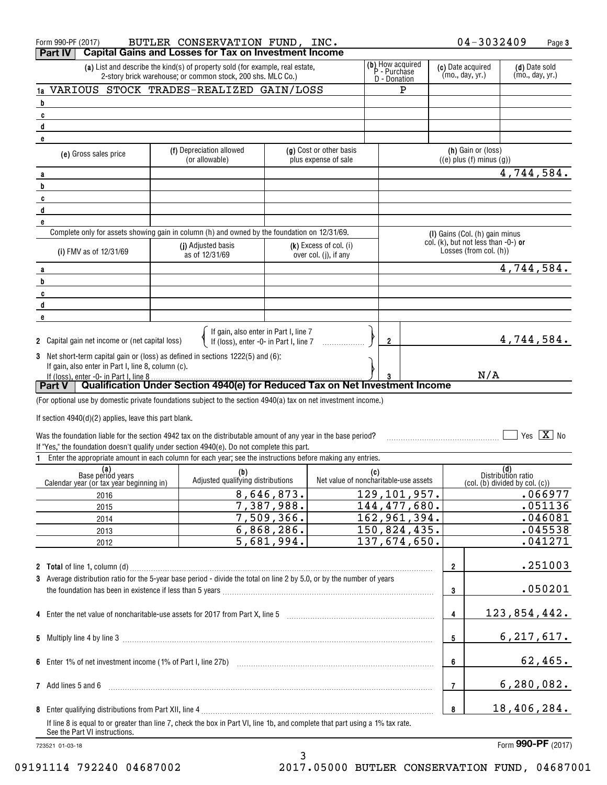|                                                                                                                                                                                                  | $04 - 3032409$<br>BUTLER CONSERVATION FUND, INC.<br>Form 990-PF (2017)<br><b>Capital Gains and Losses for Tax on Investment Income</b><br>Part IV                         |                                                                                              |            |                                                   |     |                                      |                                  | Page 3                                                        |                           |                             |
|--------------------------------------------------------------------------------------------------------------------------------------------------------------------------------------------------|---------------------------------------------------------------------------------------------------------------------------------------------------------------------------|----------------------------------------------------------------------------------------------|------------|---------------------------------------------------|-----|--------------------------------------|----------------------------------|---------------------------------------------------------------|---------------------------|-----------------------------|
| (b) How acquired<br>P - Purchase<br>(a) List and describe the kind(s) of property sold (for example, real estate,<br>2-story brick warehouse; or common stock, 200 shs. MLC Co.)<br>D - Donation |                                                                                                                                                                           |                                                                                              |            |                                                   |     | (c) Date acquired<br>(mo., day, yr.) | (d) Date sold<br>(mo., day, yr.) |                                                               |                           |                             |
| 1a                                                                                                                                                                                               |                                                                                                                                                                           | VARIOUS STOCK TRADES-REALIZED GAIN/LOSS                                                      |            |                                                   |     | P                                    |                                  |                                                               |                           |                             |
| b                                                                                                                                                                                                |                                                                                                                                                                           |                                                                                              |            |                                                   |     |                                      |                                  |                                                               |                           |                             |
| C                                                                                                                                                                                                |                                                                                                                                                                           |                                                                                              |            |                                                   |     |                                      |                                  |                                                               |                           |                             |
| $\mathbf{d}$                                                                                                                                                                                     |                                                                                                                                                                           |                                                                                              |            |                                                   |     |                                      |                                  |                                                               |                           |                             |
| e                                                                                                                                                                                                |                                                                                                                                                                           |                                                                                              |            |                                                   |     |                                      |                                  |                                                               |                           |                             |
|                                                                                                                                                                                                  | (e) Gross sales price                                                                                                                                                     | (f) Depreciation allowed<br>(or allowable)                                                   |            | (g) Cost or other basis<br>plus expense of sale   |     |                                      |                                  | (h) Gain or (loss)<br>$((e)$ plus $(f)$ minus $(g)$ )         |                           |                             |
| a                                                                                                                                                                                                |                                                                                                                                                                           |                                                                                              |            |                                                   |     |                                      |                                  |                                                               | 4,744,584.                |                             |
| b                                                                                                                                                                                                |                                                                                                                                                                           |                                                                                              |            |                                                   |     |                                      |                                  |                                                               |                           |                             |
| C                                                                                                                                                                                                |                                                                                                                                                                           |                                                                                              |            |                                                   |     |                                      |                                  |                                                               |                           |                             |
| d                                                                                                                                                                                                |                                                                                                                                                                           |                                                                                              |            |                                                   |     |                                      |                                  |                                                               |                           |                             |
| e                                                                                                                                                                                                |                                                                                                                                                                           |                                                                                              |            |                                                   |     |                                      |                                  |                                                               |                           |                             |
|                                                                                                                                                                                                  |                                                                                                                                                                           | Complete only for assets showing gain in column (h) and owned by the foundation on 12/31/69. |            |                                                   |     |                                      |                                  | (I) Gains (Col. (h) gain minus                                |                           |                             |
|                                                                                                                                                                                                  | (i) FMV as of 12/31/69                                                                                                                                                    | (j) Adjusted basis<br>as of 12/31/69                                                         |            | $(k)$ Excess of col. (i)<br>over col. (j), if any |     |                                      |                                  | col. (k), but not less than -0-) or<br>Losses (from col. (h)) |                           |                             |
| a                                                                                                                                                                                                |                                                                                                                                                                           |                                                                                              |            |                                                   |     |                                      |                                  |                                                               | 4,744,584.                |                             |
| b                                                                                                                                                                                                |                                                                                                                                                                           |                                                                                              |            |                                                   |     |                                      |                                  |                                                               |                           |                             |
| C                                                                                                                                                                                                |                                                                                                                                                                           |                                                                                              |            |                                                   |     |                                      |                                  |                                                               |                           |                             |
| d                                                                                                                                                                                                |                                                                                                                                                                           |                                                                                              |            |                                                   |     |                                      |                                  |                                                               |                           |                             |
| e                                                                                                                                                                                                |                                                                                                                                                                           |                                                                                              |            |                                                   |     |                                      |                                  |                                                               |                           |                             |
|                                                                                                                                                                                                  | 2 Capital gain net income or (net capital loss)                                                                                                                           | If gain, also enter in Part I, line 7<br>If (loss), enter -0- in Part I, line 7              |            |                                                   |     | $\mathbf{2}$                         |                                  |                                                               | 4,744,584.                |                             |
|                                                                                                                                                                                                  | 3 Net short-term capital gain or (loss) as defined in sections 1222(5) and (6):                                                                                           |                                                                                              |            |                                                   |     |                                      |                                  |                                                               |                           |                             |
|                                                                                                                                                                                                  | If gain, also enter in Part I, line 8, column (c).                                                                                                                        |                                                                                              |            |                                                   |     |                                      |                                  |                                                               |                           |                             |
|                                                                                                                                                                                                  | If (loss), enter -0- in Part I, line 8                                                                                                                                    |                                                                                              |            |                                                   |     |                                      |                                  | N/A                                                           |                           |                             |
|                                                                                                                                                                                                  | Part V                                                                                                                                                                    | Qualification Under Section 4940(e) for Reduced Tax on Net Investment Income                 |            |                                                   |     |                                      |                                  |                                                               |                           |                             |
|                                                                                                                                                                                                  | (For optional use by domestic private foundations subject to the section 4940(a) tax on net investment income.)                                                           |                                                                                              |            |                                                   |     |                                      |                                  |                                                               |                           |                             |
|                                                                                                                                                                                                  |                                                                                                                                                                           |                                                                                              |            |                                                   |     |                                      |                                  |                                                               |                           |                             |
|                                                                                                                                                                                                  | If section $4940(d)(2)$ applies, leave this part blank.                                                                                                                   |                                                                                              |            |                                                   |     |                                      |                                  |                                                               |                           |                             |
|                                                                                                                                                                                                  | Was the foundation liable for the section 4942 tax on the distributable amount of any year in the base period?                                                            |                                                                                              |            |                                                   |     |                                      |                                  |                                                               |                           | Yes $\boxed{\mathbf{X}}$ No |
|                                                                                                                                                                                                  | If "Yes," the foundation doesn't qualify under section 4940(e). Do not complete this part.                                                                                |                                                                                              |            |                                                   |     |                                      |                                  |                                                               |                           |                             |
|                                                                                                                                                                                                  | Enter the appropriate amount in each column for each year; see the instructions before making any entries.                                                                |                                                                                              |            |                                                   |     |                                      |                                  |                                                               |                           |                             |
|                                                                                                                                                                                                  | (a)<br>Base period years                                                                                                                                                  | (b)                                                                                          |            |                                                   | (c) |                                      |                                  |                                                               | (d)<br>Distribution ratio |                             |
|                                                                                                                                                                                                  | Calendar year (or tax year beginning in)                                                                                                                                  | Adjusted qualifying distributions                                                            |            | Net value of noncharitable-use assets             |     |                                      |                                  | (col. (b) divided by col. (c))                                |                           |                             |
|                                                                                                                                                                                                  | 2016                                                                                                                                                                      |                                                                                              | 8,646,873. |                                                   |     | 129, 101, 957.                       |                                  |                                                               |                           | .066977                     |
|                                                                                                                                                                                                  | 2015                                                                                                                                                                      |                                                                                              | 7,387,988. |                                                   |     | 144, 477, 680.                       |                                  |                                                               |                           | .051136                     |
|                                                                                                                                                                                                  | 2014                                                                                                                                                                      |                                                                                              | 7,509,366. |                                                   |     | 162,961,394.                         |                                  |                                                               |                           | .046081                     |
|                                                                                                                                                                                                  | 2013                                                                                                                                                                      |                                                                                              | 6,868,286. |                                                   |     | 150,824,435.                         |                                  |                                                               |                           | .045538                     |
|                                                                                                                                                                                                  | 2012                                                                                                                                                                      |                                                                                              | 5,681,994. |                                                   |     | $\overline{137}$ , 674, 650.         |                                  |                                                               |                           | .041271                     |
|                                                                                                                                                                                                  |                                                                                                                                                                           |                                                                                              |            |                                                   |     |                                      |                                  |                                                               |                           |                             |
|                                                                                                                                                                                                  |                                                                                                                                                                           |                                                                                              |            |                                                   |     |                                      | $\overline{\mathbf{2}}$          |                                                               |                           | .251003                     |
|                                                                                                                                                                                                  | 3 Average distribution ratio for the 5-year base period - divide the total on line 2 by 5.0, or by the number of years                                                    |                                                                                              |            |                                                   |     |                                      |                                  |                                                               |                           |                             |
|                                                                                                                                                                                                  |                                                                                                                                                                           |                                                                                              |            |                                                   |     |                                      |                                  |                                                               |                           | .050201                     |
|                                                                                                                                                                                                  |                                                                                                                                                                           |                                                                                              |            |                                                   |     |                                      | 3                                |                                                               |                           |                             |
|                                                                                                                                                                                                  | 4 Enter the net value of noncharitable-use assets for 2017 from Part X, line 5 [11] manufacture in the net value of noncharitable-use assets for 2017 from Part X, line 5 |                                                                                              |            |                                                   |     |                                      | $\overline{\mathbf{4}}$          |                                                               | 123,854,442.              |                             |
|                                                                                                                                                                                                  |                                                                                                                                                                           |                                                                                              |            |                                                   |     |                                      |                                  |                                                               |                           |                             |
|                                                                                                                                                                                                  |                                                                                                                                                                           |                                                                                              |            | 5                                                 |     | 6, 217, 617.                         |                                  |                                                               |                           |                             |
|                                                                                                                                                                                                  |                                                                                                                                                                           |                                                                                              |            |                                                   |     |                                      |                                  |                                                               |                           |                             |
|                                                                                                                                                                                                  |                                                                                                                                                                           |                                                                                              |            |                                                   |     |                                      | 6                                |                                                               |                           | 62,465.                     |
|                                                                                                                                                                                                  |                                                                                                                                                                           |                                                                                              |            |                                                   |     |                                      |                                  |                                                               |                           |                             |
|                                                                                                                                                                                                  | 7 Add lines 5 and 6                                                                                                                                                       |                                                                                              |            |                                                   |     |                                      | 7                                |                                                               | 6, 280, 082.              |                             |
|                                                                                                                                                                                                  |                                                                                                                                                                           |                                                                                              |            |                                                   |     |                                      | 8                                |                                                               | 18,406,284.               |                             |
|                                                                                                                                                                                                  | If line 8 is equal to or greater than line 7, check the box in Part VI, line 1b, and complete that part using a 1% tax rate.                                              |                                                                                              |            |                                                   |     |                                      |                                  |                                                               |                           |                             |
|                                                                                                                                                                                                  | See the Part VI instructions.                                                                                                                                             |                                                                                              |            |                                                   |     |                                      |                                  |                                                               |                           |                             |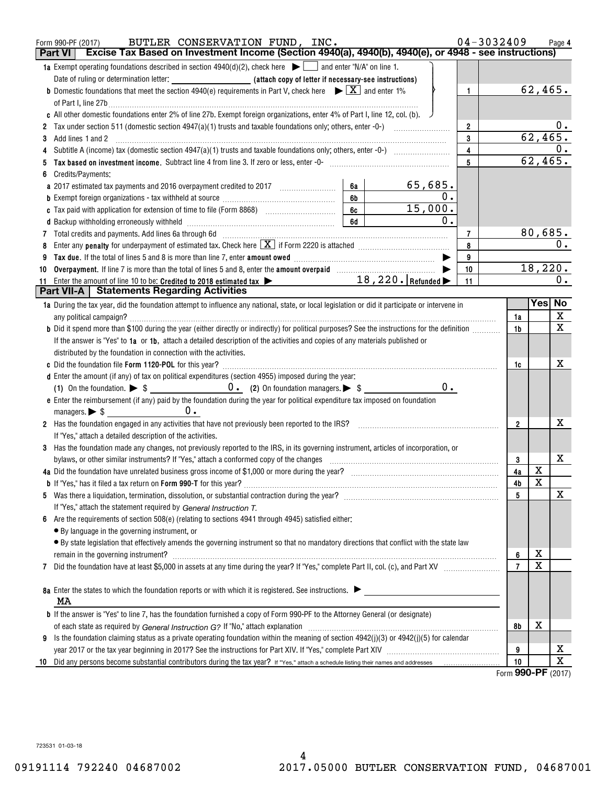| Excise Tax Based on Investment Income (Section 4940(a), 4940(b), 4940(e), or 4948 - see instructions)<br><b>Part VI</b><br>1a Exempt operating foundations described in section $4940(d)(2)$ , check here $\blacktriangleright$ and enter "N/A" on line 1.<br>62,465.<br><b>b</b> Domestic foundations that meet the section 4940(e) requirements in Part V, check here $\blacktriangleright \boxed{X}$ and enter 1%<br>$\mathbf{1}$<br>of Part I, line 27b $\ldots$<br>c All other domestic foundations enter 2% of line 27b. Exempt foreign organizations, enter 4% of Part I, line 12, col. (b).<br>$0$ .<br>$\overline{2}$<br>62,465.<br>3<br>Add lines 1 and 2<br>3<br>$\overline{4}$<br>62,465.<br>5<br>Tax based on investment income. Subtract line 4 from line 3. If zero or less, enter -0- manufactured contains and income subsequent on the San Basil Community of the San Basil Community of the San Basil Community of the Sa<br>Credits/Payments:<br>$65,685$ .<br>6a<br>$\mathbf 0$ .<br>6b<br><b>b</b> Exempt foreign organizations - tax withheld at source <i>manumanal communicanal communicanal</i><br>15,000.<br>6c<br>c Tax paid with application for extension of time to file (Form 8868) [100] [100] [100] [100] [100] [100] [100] [100] [100] [100] [100] [100] [100] [100] [100] [100] [100] [100] [100] [100] [100] [100] [100] [100] [100] [1<br>$\mathbf 0$ .<br>6d<br>d Backup withholding erroneously withheld [11] [11] Martin Machinesett Dance Lawrence Lawrence Lawrence Lawrence L<br>80,685.<br>7<br>0.<br>8<br>9<br>18,220.<br>Overpayment. If line 7 is more than the total of lines 5 and 8, enter the amount overpaid manufactured in the subsection of the S<br>10<br>10<br>11 Enter the amount of line 10 to be: Credited to 2018 estimated tax $\blacktriangleright$ 18, 220.   Refunded $\blacktriangleright$<br>0.<br>11<br><b>Part VII-A</b>   Statements Regarding Activities<br>Yes  No<br>1a During the tax year, did the foundation attempt to influence any national, state, or local legislation or did it participate or intervene in<br>X<br>any political campaign?<br>1a<br>$\overline{\mathbf{x}}$<br><b>b</b> Did it spend more than \$100 during the year (either directly or indirectly) for political purposes? See the instructions for the definition<br>1 <sub>b</sub><br>If the answer is "Yes" to 1a or 1b, attach a detailed description of the activities and copies of any materials published or<br>distributed by the foundation in connection with the activities.<br>x<br>1c<br>d Enter the amount (if any) of tax on political expenditures (section 4955) imposed during the year:<br>$0$ .<br>e Enter the reimbursement (if any) paid by the foundation during the year for political expenditure tax imposed on foundation<br>0.<br>managers. $\triangleright$ \$ $\perp$<br>х<br>2 Has the foundation engaged in any activities that have not previously been reported to the IRS?<br>$\overline{2}$<br>If "Yes," attach a detailed description of the activities.<br>3 Has the foundation made any changes, not previously reported to the IRS, in its governing instrument, articles of incorporation, or<br>x<br>bylaws, or other similar instruments? If "Yes," attach a conformed copy of the changes<br>3<br>X<br>4a<br>$\overline{\textbf{X}}$<br>4b<br>х<br>5<br>If "Yes," attach the statement required by General Instruction T.<br>Are the requirements of section 508(e) (relating to sections 4941 through 4945) satisfied either:<br>6<br>• By language in the governing instrument, or<br>· By state legislation that effectively amends the governing instrument so that no mandatory directions that conflict with the state law<br>х<br>6<br>remain in the governing instrument?<br>$\overline{\mathbf{x}}$<br>$\overline{7}$<br>7<br>8a Enter the states to which the foundation reports or with which it is registered. See instructions.<br>MA<br><b>b</b> If the answer is "Yes" to line 7, has the foundation furnished a copy of Form 990-PF to the Attorney General (or designate)<br>х<br>8b<br>Is the foundation claiming status as a private operating foundation within the meaning of section 4942(j)(3) or 4942(j)(5) for calendar<br>9 | BUTLER CONSERVATION FUND, INC.<br>Form 990-PF (2017) | 04-3032409 | Page 4 |
|----------------------------------------------------------------------------------------------------------------------------------------------------------------------------------------------------------------------------------------------------------------------------------------------------------------------------------------------------------------------------------------------------------------------------------------------------------------------------------------------------------------------------------------------------------------------------------------------------------------------------------------------------------------------------------------------------------------------------------------------------------------------------------------------------------------------------------------------------------------------------------------------------------------------------------------------------------------------------------------------------------------------------------------------------------------------------------------------------------------------------------------------------------------------------------------------------------------------------------------------------------------------------------------------------------------------------------------------------------------------------------------------------------------------------------------------------------------------------------------------------------------------------------------------------------------------------------------------------------------------------------------------------------------------------------------------------------------------------------------------------------------------------------------------------------------------------------------------------------------------------------------------------------------------------------------------------------------------------------------------------------------------------------------------------------------------------------------------------------------------------------------------------------------------------------------------------------------------------------------------------------------------------------------------------------------------------------------------------------------------------------------------------------------------------------------------------------------------------------------------------------------------------------------------------------------------------------------------------------------------------------------------------------------------------------------------------------------------------------------------------------------------------------------------------------------------------------------------------------------------------------------------------------------------------------------------------------------------------------------------------------------------------------------------------------------------------------------------------------------------------------------------------------------------------------------------------------------------------------------------------------------------------------------------------------------------------------------------------------------------------------------------------------------------------------------------------------------------------------------------------------------------------------------------------------------------------------------------------------------------------------------------------------------------------------------------------------------------------------------------------------------------------------------------------------------------------------------------------------------------------------------------------------------------------------------------------------------------------------------------------------------------------------------------------------------------------------------------------------------------------------------------------------------------------------------------------------------------------------------------------------|------------------------------------------------------|------------|--------|
|                                                                                                                                                                                                                                                                                                                                                                                                                                                                                                                                                                                                                                                                                                                                                                                                                                                                                                                                                                                                                                                                                                                                                                                                                                                                                                                                                                                                                                                                                                                                                                                                                                                                                                                                                                                                                                                                                                                                                                                                                                                                                                                                                                                                                                                                                                                                                                                                                                                                                                                                                                                                                                                                                                                                                                                                                                                                                                                                                                                                                                                                                                                                                                                                                                                                                                                                                                                                                                                                                                                                                                                                                                                                                                                                                                                                                                                                                                                                                                                                                                                                                                                                                                                                                                                          |                                                      |            |        |
|                                                                                                                                                                                                                                                                                                                                                                                                                                                                                                                                                                                                                                                                                                                                                                                                                                                                                                                                                                                                                                                                                                                                                                                                                                                                                                                                                                                                                                                                                                                                                                                                                                                                                                                                                                                                                                                                                                                                                                                                                                                                                                                                                                                                                                                                                                                                                                                                                                                                                                                                                                                                                                                                                                                                                                                                                                                                                                                                                                                                                                                                                                                                                                                                                                                                                                                                                                                                                                                                                                                                                                                                                                                                                                                                                                                                                                                                                                                                                                                                                                                                                                                                                                                                                                                          |                                                      |            |        |
|                                                                                                                                                                                                                                                                                                                                                                                                                                                                                                                                                                                                                                                                                                                                                                                                                                                                                                                                                                                                                                                                                                                                                                                                                                                                                                                                                                                                                                                                                                                                                                                                                                                                                                                                                                                                                                                                                                                                                                                                                                                                                                                                                                                                                                                                                                                                                                                                                                                                                                                                                                                                                                                                                                                                                                                                                                                                                                                                                                                                                                                                                                                                                                                                                                                                                                                                                                                                                                                                                                                                                                                                                                                                                                                                                                                                                                                                                                                                                                                                                                                                                                                                                                                                                                                          |                                                      |            |        |
|                                                                                                                                                                                                                                                                                                                                                                                                                                                                                                                                                                                                                                                                                                                                                                                                                                                                                                                                                                                                                                                                                                                                                                                                                                                                                                                                                                                                                                                                                                                                                                                                                                                                                                                                                                                                                                                                                                                                                                                                                                                                                                                                                                                                                                                                                                                                                                                                                                                                                                                                                                                                                                                                                                                                                                                                                                                                                                                                                                                                                                                                                                                                                                                                                                                                                                                                                                                                                                                                                                                                                                                                                                                                                                                                                                                                                                                                                                                                                                                                                                                                                                                                                                                                                                                          |                                                      |            |        |
|                                                                                                                                                                                                                                                                                                                                                                                                                                                                                                                                                                                                                                                                                                                                                                                                                                                                                                                                                                                                                                                                                                                                                                                                                                                                                                                                                                                                                                                                                                                                                                                                                                                                                                                                                                                                                                                                                                                                                                                                                                                                                                                                                                                                                                                                                                                                                                                                                                                                                                                                                                                                                                                                                                                                                                                                                                                                                                                                                                                                                                                                                                                                                                                                                                                                                                                                                                                                                                                                                                                                                                                                                                                                                                                                                                                                                                                                                                                                                                                                                                                                                                                                                                                                                                                          |                                                      |            |        |
|                                                                                                                                                                                                                                                                                                                                                                                                                                                                                                                                                                                                                                                                                                                                                                                                                                                                                                                                                                                                                                                                                                                                                                                                                                                                                                                                                                                                                                                                                                                                                                                                                                                                                                                                                                                                                                                                                                                                                                                                                                                                                                                                                                                                                                                                                                                                                                                                                                                                                                                                                                                                                                                                                                                                                                                                                                                                                                                                                                                                                                                                                                                                                                                                                                                                                                                                                                                                                                                                                                                                                                                                                                                                                                                                                                                                                                                                                                                                                                                                                                                                                                                                                                                                                                                          |                                                      |            |        |
|                                                                                                                                                                                                                                                                                                                                                                                                                                                                                                                                                                                                                                                                                                                                                                                                                                                                                                                                                                                                                                                                                                                                                                                                                                                                                                                                                                                                                                                                                                                                                                                                                                                                                                                                                                                                                                                                                                                                                                                                                                                                                                                                                                                                                                                                                                                                                                                                                                                                                                                                                                                                                                                                                                                                                                                                                                                                                                                                                                                                                                                                                                                                                                                                                                                                                                                                                                                                                                                                                                                                                                                                                                                                                                                                                                                                                                                                                                                                                                                                                                                                                                                                                                                                                                                          |                                                      |            |        |
|                                                                                                                                                                                                                                                                                                                                                                                                                                                                                                                                                                                                                                                                                                                                                                                                                                                                                                                                                                                                                                                                                                                                                                                                                                                                                                                                                                                                                                                                                                                                                                                                                                                                                                                                                                                                                                                                                                                                                                                                                                                                                                                                                                                                                                                                                                                                                                                                                                                                                                                                                                                                                                                                                                                                                                                                                                                                                                                                                                                                                                                                                                                                                                                                                                                                                                                                                                                                                                                                                                                                                                                                                                                                                                                                                                                                                                                                                                                                                                                                                                                                                                                                                                                                                                                          |                                                      |            |        |
|                                                                                                                                                                                                                                                                                                                                                                                                                                                                                                                                                                                                                                                                                                                                                                                                                                                                                                                                                                                                                                                                                                                                                                                                                                                                                                                                                                                                                                                                                                                                                                                                                                                                                                                                                                                                                                                                                                                                                                                                                                                                                                                                                                                                                                                                                                                                                                                                                                                                                                                                                                                                                                                                                                                                                                                                                                                                                                                                                                                                                                                                                                                                                                                                                                                                                                                                                                                                                                                                                                                                                                                                                                                                                                                                                                                                                                                                                                                                                                                                                                                                                                                                                                                                                                                          |                                                      |            |        |
|                                                                                                                                                                                                                                                                                                                                                                                                                                                                                                                                                                                                                                                                                                                                                                                                                                                                                                                                                                                                                                                                                                                                                                                                                                                                                                                                                                                                                                                                                                                                                                                                                                                                                                                                                                                                                                                                                                                                                                                                                                                                                                                                                                                                                                                                                                                                                                                                                                                                                                                                                                                                                                                                                                                                                                                                                                                                                                                                                                                                                                                                                                                                                                                                                                                                                                                                                                                                                                                                                                                                                                                                                                                                                                                                                                                                                                                                                                                                                                                                                                                                                                                                                                                                                                                          |                                                      |            |        |
|                                                                                                                                                                                                                                                                                                                                                                                                                                                                                                                                                                                                                                                                                                                                                                                                                                                                                                                                                                                                                                                                                                                                                                                                                                                                                                                                                                                                                                                                                                                                                                                                                                                                                                                                                                                                                                                                                                                                                                                                                                                                                                                                                                                                                                                                                                                                                                                                                                                                                                                                                                                                                                                                                                                                                                                                                                                                                                                                                                                                                                                                                                                                                                                                                                                                                                                                                                                                                                                                                                                                                                                                                                                                                                                                                                                                                                                                                                                                                                                                                                                                                                                                                                                                                                                          |                                                      |            |        |
|                                                                                                                                                                                                                                                                                                                                                                                                                                                                                                                                                                                                                                                                                                                                                                                                                                                                                                                                                                                                                                                                                                                                                                                                                                                                                                                                                                                                                                                                                                                                                                                                                                                                                                                                                                                                                                                                                                                                                                                                                                                                                                                                                                                                                                                                                                                                                                                                                                                                                                                                                                                                                                                                                                                                                                                                                                                                                                                                                                                                                                                                                                                                                                                                                                                                                                                                                                                                                                                                                                                                                                                                                                                                                                                                                                                                                                                                                                                                                                                                                                                                                                                                                                                                                                                          |                                                      |            |        |
|                                                                                                                                                                                                                                                                                                                                                                                                                                                                                                                                                                                                                                                                                                                                                                                                                                                                                                                                                                                                                                                                                                                                                                                                                                                                                                                                                                                                                                                                                                                                                                                                                                                                                                                                                                                                                                                                                                                                                                                                                                                                                                                                                                                                                                                                                                                                                                                                                                                                                                                                                                                                                                                                                                                                                                                                                                                                                                                                                                                                                                                                                                                                                                                                                                                                                                                                                                                                                                                                                                                                                                                                                                                                                                                                                                                                                                                                                                                                                                                                                                                                                                                                                                                                                                                          |                                                      |            |        |
|                                                                                                                                                                                                                                                                                                                                                                                                                                                                                                                                                                                                                                                                                                                                                                                                                                                                                                                                                                                                                                                                                                                                                                                                                                                                                                                                                                                                                                                                                                                                                                                                                                                                                                                                                                                                                                                                                                                                                                                                                                                                                                                                                                                                                                                                                                                                                                                                                                                                                                                                                                                                                                                                                                                                                                                                                                                                                                                                                                                                                                                                                                                                                                                                                                                                                                                                                                                                                                                                                                                                                                                                                                                                                                                                                                                                                                                                                                                                                                                                                                                                                                                                                                                                                                                          |                                                      |            |        |
|                                                                                                                                                                                                                                                                                                                                                                                                                                                                                                                                                                                                                                                                                                                                                                                                                                                                                                                                                                                                                                                                                                                                                                                                                                                                                                                                                                                                                                                                                                                                                                                                                                                                                                                                                                                                                                                                                                                                                                                                                                                                                                                                                                                                                                                                                                                                                                                                                                                                                                                                                                                                                                                                                                                                                                                                                                                                                                                                                                                                                                                                                                                                                                                                                                                                                                                                                                                                                                                                                                                                                                                                                                                                                                                                                                                                                                                                                                                                                                                                                                                                                                                                                                                                                                                          |                                                      |            |        |
|                                                                                                                                                                                                                                                                                                                                                                                                                                                                                                                                                                                                                                                                                                                                                                                                                                                                                                                                                                                                                                                                                                                                                                                                                                                                                                                                                                                                                                                                                                                                                                                                                                                                                                                                                                                                                                                                                                                                                                                                                                                                                                                                                                                                                                                                                                                                                                                                                                                                                                                                                                                                                                                                                                                                                                                                                                                                                                                                                                                                                                                                                                                                                                                                                                                                                                                                                                                                                                                                                                                                                                                                                                                                                                                                                                                                                                                                                                                                                                                                                                                                                                                                                                                                                                                          |                                                      |            |        |
|                                                                                                                                                                                                                                                                                                                                                                                                                                                                                                                                                                                                                                                                                                                                                                                                                                                                                                                                                                                                                                                                                                                                                                                                                                                                                                                                                                                                                                                                                                                                                                                                                                                                                                                                                                                                                                                                                                                                                                                                                                                                                                                                                                                                                                                                                                                                                                                                                                                                                                                                                                                                                                                                                                                                                                                                                                                                                                                                                                                                                                                                                                                                                                                                                                                                                                                                                                                                                                                                                                                                                                                                                                                                                                                                                                                                                                                                                                                                                                                                                                                                                                                                                                                                                                                          |                                                      |            |        |
|                                                                                                                                                                                                                                                                                                                                                                                                                                                                                                                                                                                                                                                                                                                                                                                                                                                                                                                                                                                                                                                                                                                                                                                                                                                                                                                                                                                                                                                                                                                                                                                                                                                                                                                                                                                                                                                                                                                                                                                                                                                                                                                                                                                                                                                                                                                                                                                                                                                                                                                                                                                                                                                                                                                                                                                                                                                                                                                                                                                                                                                                                                                                                                                                                                                                                                                                                                                                                                                                                                                                                                                                                                                                                                                                                                                                                                                                                                                                                                                                                                                                                                                                                                                                                                                          |                                                      |            |        |
|                                                                                                                                                                                                                                                                                                                                                                                                                                                                                                                                                                                                                                                                                                                                                                                                                                                                                                                                                                                                                                                                                                                                                                                                                                                                                                                                                                                                                                                                                                                                                                                                                                                                                                                                                                                                                                                                                                                                                                                                                                                                                                                                                                                                                                                                                                                                                                                                                                                                                                                                                                                                                                                                                                                                                                                                                                                                                                                                                                                                                                                                                                                                                                                                                                                                                                                                                                                                                                                                                                                                                                                                                                                                                                                                                                                                                                                                                                                                                                                                                                                                                                                                                                                                                                                          |                                                      |            |        |
|                                                                                                                                                                                                                                                                                                                                                                                                                                                                                                                                                                                                                                                                                                                                                                                                                                                                                                                                                                                                                                                                                                                                                                                                                                                                                                                                                                                                                                                                                                                                                                                                                                                                                                                                                                                                                                                                                                                                                                                                                                                                                                                                                                                                                                                                                                                                                                                                                                                                                                                                                                                                                                                                                                                                                                                                                                                                                                                                                                                                                                                                                                                                                                                                                                                                                                                                                                                                                                                                                                                                                                                                                                                                                                                                                                                                                                                                                                                                                                                                                                                                                                                                                                                                                                                          |                                                      |            |        |
|                                                                                                                                                                                                                                                                                                                                                                                                                                                                                                                                                                                                                                                                                                                                                                                                                                                                                                                                                                                                                                                                                                                                                                                                                                                                                                                                                                                                                                                                                                                                                                                                                                                                                                                                                                                                                                                                                                                                                                                                                                                                                                                                                                                                                                                                                                                                                                                                                                                                                                                                                                                                                                                                                                                                                                                                                                                                                                                                                                                                                                                                                                                                                                                                                                                                                                                                                                                                                                                                                                                                                                                                                                                                                                                                                                                                                                                                                                                                                                                                                                                                                                                                                                                                                                                          |                                                      |            |        |
|                                                                                                                                                                                                                                                                                                                                                                                                                                                                                                                                                                                                                                                                                                                                                                                                                                                                                                                                                                                                                                                                                                                                                                                                                                                                                                                                                                                                                                                                                                                                                                                                                                                                                                                                                                                                                                                                                                                                                                                                                                                                                                                                                                                                                                                                                                                                                                                                                                                                                                                                                                                                                                                                                                                                                                                                                                                                                                                                                                                                                                                                                                                                                                                                                                                                                                                                                                                                                                                                                                                                                                                                                                                                                                                                                                                                                                                                                                                                                                                                                                                                                                                                                                                                                                                          |                                                      |            |        |
|                                                                                                                                                                                                                                                                                                                                                                                                                                                                                                                                                                                                                                                                                                                                                                                                                                                                                                                                                                                                                                                                                                                                                                                                                                                                                                                                                                                                                                                                                                                                                                                                                                                                                                                                                                                                                                                                                                                                                                                                                                                                                                                                                                                                                                                                                                                                                                                                                                                                                                                                                                                                                                                                                                                                                                                                                                                                                                                                                                                                                                                                                                                                                                                                                                                                                                                                                                                                                                                                                                                                                                                                                                                                                                                                                                                                                                                                                                                                                                                                                                                                                                                                                                                                                                                          |                                                      |            |        |
|                                                                                                                                                                                                                                                                                                                                                                                                                                                                                                                                                                                                                                                                                                                                                                                                                                                                                                                                                                                                                                                                                                                                                                                                                                                                                                                                                                                                                                                                                                                                                                                                                                                                                                                                                                                                                                                                                                                                                                                                                                                                                                                                                                                                                                                                                                                                                                                                                                                                                                                                                                                                                                                                                                                                                                                                                                                                                                                                                                                                                                                                                                                                                                                                                                                                                                                                                                                                                                                                                                                                                                                                                                                                                                                                                                                                                                                                                                                                                                                                                                                                                                                                                                                                                                                          |                                                      |            |        |
|                                                                                                                                                                                                                                                                                                                                                                                                                                                                                                                                                                                                                                                                                                                                                                                                                                                                                                                                                                                                                                                                                                                                                                                                                                                                                                                                                                                                                                                                                                                                                                                                                                                                                                                                                                                                                                                                                                                                                                                                                                                                                                                                                                                                                                                                                                                                                                                                                                                                                                                                                                                                                                                                                                                                                                                                                                                                                                                                                                                                                                                                                                                                                                                                                                                                                                                                                                                                                                                                                                                                                                                                                                                                                                                                                                                                                                                                                                                                                                                                                                                                                                                                                                                                                                                          |                                                      |            |        |
|                                                                                                                                                                                                                                                                                                                                                                                                                                                                                                                                                                                                                                                                                                                                                                                                                                                                                                                                                                                                                                                                                                                                                                                                                                                                                                                                                                                                                                                                                                                                                                                                                                                                                                                                                                                                                                                                                                                                                                                                                                                                                                                                                                                                                                                                                                                                                                                                                                                                                                                                                                                                                                                                                                                                                                                                                                                                                                                                                                                                                                                                                                                                                                                                                                                                                                                                                                                                                                                                                                                                                                                                                                                                                                                                                                                                                                                                                                                                                                                                                                                                                                                                                                                                                                                          |                                                      |            |        |
|                                                                                                                                                                                                                                                                                                                                                                                                                                                                                                                                                                                                                                                                                                                                                                                                                                                                                                                                                                                                                                                                                                                                                                                                                                                                                                                                                                                                                                                                                                                                                                                                                                                                                                                                                                                                                                                                                                                                                                                                                                                                                                                                                                                                                                                                                                                                                                                                                                                                                                                                                                                                                                                                                                                                                                                                                                                                                                                                                                                                                                                                                                                                                                                                                                                                                                                                                                                                                                                                                                                                                                                                                                                                                                                                                                                                                                                                                                                                                                                                                                                                                                                                                                                                                                                          |                                                      |            |        |
|                                                                                                                                                                                                                                                                                                                                                                                                                                                                                                                                                                                                                                                                                                                                                                                                                                                                                                                                                                                                                                                                                                                                                                                                                                                                                                                                                                                                                                                                                                                                                                                                                                                                                                                                                                                                                                                                                                                                                                                                                                                                                                                                                                                                                                                                                                                                                                                                                                                                                                                                                                                                                                                                                                                                                                                                                                                                                                                                                                                                                                                                                                                                                                                                                                                                                                                                                                                                                                                                                                                                                                                                                                                                                                                                                                                                                                                                                                                                                                                                                                                                                                                                                                                                                                                          |                                                      |            |        |
|                                                                                                                                                                                                                                                                                                                                                                                                                                                                                                                                                                                                                                                                                                                                                                                                                                                                                                                                                                                                                                                                                                                                                                                                                                                                                                                                                                                                                                                                                                                                                                                                                                                                                                                                                                                                                                                                                                                                                                                                                                                                                                                                                                                                                                                                                                                                                                                                                                                                                                                                                                                                                                                                                                                                                                                                                                                                                                                                                                                                                                                                                                                                                                                                                                                                                                                                                                                                                                                                                                                                                                                                                                                                                                                                                                                                                                                                                                                                                                                                                                                                                                                                                                                                                                                          |                                                      |            |        |
|                                                                                                                                                                                                                                                                                                                                                                                                                                                                                                                                                                                                                                                                                                                                                                                                                                                                                                                                                                                                                                                                                                                                                                                                                                                                                                                                                                                                                                                                                                                                                                                                                                                                                                                                                                                                                                                                                                                                                                                                                                                                                                                                                                                                                                                                                                                                                                                                                                                                                                                                                                                                                                                                                                                                                                                                                                                                                                                                                                                                                                                                                                                                                                                                                                                                                                                                                                                                                                                                                                                                                                                                                                                                                                                                                                                                                                                                                                                                                                                                                                                                                                                                                                                                                                                          |                                                      |            |        |
|                                                                                                                                                                                                                                                                                                                                                                                                                                                                                                                                                                                                                                                                                                                                                                                                                                                                                                                                                                                                                                                                                                                                                                                                                                                                                                                                                                                                                                                                                                                                                                                                                                                                                                                                                                                                                                                                                                                                                                                                                                                                                                                                                                                                                                                                                                                                                                                                                                                                                                                                                                                                                                                                                                                                                                                                                                                                                                                                                                                                                                                                                                                                                                                                                                                                                                                                                                                                                                                                                                                                                                                                                                                                                                                                                                                                                                                                                                                                                                                                                                                                                                                                                                                                                                                          |                                                      |            |        |
|                                                                                                                                                                                                                                                                                                                                                                                                                                                                                                                                                                                                                                                                                                                                                                                                                                                                                                                                                                                                                                                                                                                                                                                                                                                                                                                                                                                                                                                                                                                                                                                                                                                                                                                                                                                                                                                                                                                                                                                                                                                                                                                                                                                                                                                                                                                                                                                                                                                                                                                                                                                                                                                                                                                                                                                                                                                                                                                                                                                                                                                                                                                                                                                                                                                                                                                                                                                                                                                                                                                                                                                                                                                                                                                                                                                                                                                                                                                                                                                                                                                                                                                                                                                                                                                          |                                                      |            |        |
|                                                                                                                                                                                                                                                                                                                                                                                                                                                                                                                                                                                                                                                                                                                                                                                                                                                                                                                                                                                                                                                                                                                                                                                                                                                                                                                                                                                                                                                                                                                                                                                                                                                                                                                                                                                                                                                                                                                                                                                                                                                                                                                                                                                                                                                                                                                                                                                                                                                                                                                                                                                                                                                                                                                                                                                                                                                                                                                                                                                                                                                                                                                                                                                                                                                                                                                                                                                                                                                                                                                                                                                                                                                                                                                                                                                                                                                                                                                                                                                                                                                                                                                                                                                                                                                          |                                                      |            |        |
|                                                                                                                                                                                                                                                                                                                                                                                                                                                                                                                                                                                                                                                                                                                                                                                                                                                                                                                                                                                                                                                                                                                                                                                                                                                                                                                                                                                                                                                                                                                                                                                                                                                                                                                                                                                                                                                                                                                                                                                                                                                                                                                                                                                                                                                                                                                                                                                                                                                                                                                                                                                                                                                                                                                                                                                                                                                                                                                                                                                                                                                                                                                                                                                                                                                                                                                                                                                                                                                                                                                                                                                                                                                                                                                                                                                                                                                                                                                                                                                                                                                                                                                                                                                                                                                          |                                                      |            |        |
|                                                                                                                                                                                                                                                                                                                                                                                                                                                                                                                                                                                                                                                                                                                                                                                                                                                                                                                                                                                                                                                                                                                                                                                                                                                                                                                                                                                                                                                                                                                                                                                                                                                                                                                                                                                                                                                                                                                                                                                                                                                                                                                                                                                                                                                                                                                                                                                                                                                                                                                                                                                                                                                                                                                                                                                                                                                                                                                                                                                                                                                                                                                                                                                                                                                                                                                                                                                                                                                                                                                                                                                                                                                                                                                                                                                                                                                                                                                                                                                                                                                                                                                                                                                                                                                          |                                                      |            |        |
|                                                                                                                                                                                                                                                                                                                                                                                                                                                                                                                                                                                                                                                                                                                                                                                                                                                                                                                                                                                                                                                                                                                                                                                                                                                                                                                                                                                                                                                                                                                                                                                                                                                                                                                                                                                                                                                                                                                                                                                                                                                                                                                                                                                                                                                                                                                                                                                                                                                                                                                                                                                                                                                                                                                                                                                                                                                                                                                                                                                                                                                                                                                                                                                                                                                                                                                                                                                                                                                                                                                                                                                                                                                                                                                                                                                                                                                                                                                                                                                                                                                                                                                                                                                                                                                          |                                                      |            |        |
|                                                                                                                                                                                                                                                                                                                                                                                                                                                                                                                                                                                                                                                                                                                                                                                                                                                                                                                                                                                                                                                                                                                                                                                                                                                                                                                                                                                                                                                                                                                                                                                                                                                                                                                                                                                                                                                                                                                                                                                                                                                                                                                                                                                                                                                                                                                                                                                                                                                                                                                                                                                                                                                                                                                                                                                                                                                                                                                                                                                                                                                                                                                                                                                                                                                                                                                                                                                                                                                                                                                                                                                                                                                                                                                                                                                                                                                                                                                                                                                                                                                                                                                                                                                                                                                          |                                                      |            |        |
|                                                                                                                                                                                                                                                                                                                                                                                                                                                                                                                                                                                                                                                                                                                                                                                                                                                                                                                                                                                                                                                                                                                                                                                                                                                                                                                                                                                                                                                                                                                                                                                                                                                                                                                                                                                                                                                                                                                                                                                                                                                                                                                                                                                                                                                                                                                                                                                                                                                                                                                                                                                                                                                                                                                                                                                                                                                                                                                                                                                                                                                                                                                                                                                                                                                                                                                                                                                                                                                                                                                                                                                                                                                                                                                                                                                                                                                                                                                                                                                                                                                                                                                                                                                                                                                          |                                                      |            |        |
|                                                                                                                                                                                                                                                                                                                                                                                                                                                                                                                                                                                                                                                                                                                                                                                                                                                                                                                                                                                                                                                                                                                                                                                                                                                                                                                                                                                                                                                                                                                                                                                                                                                                                                                                                                                                                                                                                                                                                                                                                                                                                                                                                                                                                                                                                                                                                                                                                                                                                                                                                                                                                                                                                                                                                                                                                                                                                                                                                                                                                                                                                                                                                                                                                                                                                                                                                                                                                                                                                                                                                                                                                                                                                                                                                                                                                                                                                                                                                                                                                                                                                                                                                                                                                                                          |                                                      |            |        |
|                                                                                                                                                                                                                                                                                                                                                                                                                                                                                                                                                                                                                                                                                                                                                                                                                                                                                                                                                                                                                                                                                                                                                                                                                                                                                                                                                                                                                                                                                                                                                                                                                                                                                                                                                                                                                                                                                                                                                                                                                                                                                                                                                                                                                                                                                                                                                                                                                                                                                                                                                                                                                                                                                                                                                                                                                                                                                                                                                                                                                                                                                                                                                                                                                                                                                                                                                                                                                                                                                                                                                                                                                                                                                                                                                                                                                                                                                                                                                                                                                                                                                                                                                                                                                                                          |                                                      |            |        |
|                                                                                                                                                                                                                                                                                                                                                                                                                                                                                                                                                                                                                                                                                                                                                                                                                                                                                                                                                                                                                                                                                                                                                                                                                                                                                                                                                                                                                                                                                                                                                                                                                                                                                                                                                                                                                                                                                                                                                                                                                                                                                                                                                                                                                                                                                                                                                                                                                                                                                                                                                                                                                                                                                                                                                                                                                                                                                                                                                                                                                                                                                                                                                                                                                                                                                                                                                                                                                                                                                                                                                                                                                                                                                                                                                                                                                                                                                                                                                                                                                                                                                                                                                                                                                                                          |                                                      |            |        |
|                                                                                                                                                                                                                                                                                                                                                                                                                                                                                                                                                                                                                                                                                                                                                                                                                                                                                                                                                                                                                                                                                                                                                                                                                                                                                                                                                                                                                                                                                                                                                                                                                                                                                                                                                                                                                                                                                                                                                                                                                                                                                                                                                                                                                                                                                                                                                                                                                                                                                                                                                                                                                                                                                                                                                                                                                                                                                                                                                                                                                                                                                                                                                                                                                                                                                                                                                                                                                                                                                                                                                                                                                                                                                                                                                                                                                                                                                                                                                                                                                                                                                                                                                                                                                                                          |                                                      |            |        |
|                                                                                                                                                                                                                                                                                                                                                                                                                                                                                                                                                                                                                                                                                                                                                                                                                                                                                                                                                                                                                                                                                                                                                                                                                                                                                                                                                                                                                                                                                                                                                                                                                                                                                                                                                                                                                                                                                                                                                                                                                                                                                                                                                                                                                                                                                                                                                                                                                                                                                                                                                                                                                                                                                                                                                                                                                                                                                                                                                                                                                                                                                                                                                                                                                                                                                                                                                                                                                                                                                                                                                                                                                                                                                                                                                                                                                                                                                                                                                                                                                                                                                                                                                                                                                                                          |                                                      |            |        |
|                                                                                                                                                                                                                                                                                                                                                                                                                                                                                                                                                                                                                                                                                                                                                                                                                                                                                                                                                                                                                                                                                                                                                                                                                                                                                                                                                                                                                                                                                                                                                                                                                                                                                                                                                                                                                                                                                                                                                                                                                                                                                                                                                                                                                                                                                                                                                                                                                                                                                                                                                                                                                                                                                                                                                                                                                                                                                                                                                                                                                                                                                                                                                                                                                                                                                                                                                                                                                                                                                                                                                                                                                                                                                                                                                                                                                                                                                                                                                                                                                                                                                                                                                                                                                                                          |                                                      |            |        |
|                                                                                                                                                                                                                                                                                                                                                                                                                                                                                                                                                                                                                                                                                                                                                                                                                                                                                                                                                                                                                                                                                                                                                                                                                                                                                                                                                                                                                                                                                                                                                                                                                                                                                                                                                                                                                                                                                                                                                                                                                                                                                                                                                                                                                                                                                                                                                                                                                                                                                                                                                                                                                                                                                                                                                                                                                                                                                                                                                                                                                                                                                                                                                                                                                                                                                                                                                                                                                                                                                                                                                                                                                                                                                                                                                                                                                                                                                                                                                                                                                                                                                                                                                                                                                                                          |                                                      |            |        |
|                                                                                                                                                                                                                                                                                                                                                                                                                                                                                                                                                                                                                                                                                                                                                                                                                                                                                                                                                                                                                                                                                                                                                                                                                                                                                                                                                                                                                                                                                                                                                                                                                                                                                                                                                                                                                                                                                                                                                                                                                                                                                                                                                                                                                                                                                                                                                                                                                                                                                                                                                                                                                                                                                                                                                                                                                                                                                                                                                                                                                                                                                                                                                                                                                                                                                                                                                                                                                                                                                                                                                                                                                                                                                                                                                                                                                                                                                                                                                                                                                                                                                                                                                                                                                                                          |                                                      |            |        |
|                                                                                                                                                                                                                                                                                                                                                                                                                                                                                                                                                                                                                                                                                                                                                                                                                                                                                                                                                                                                                                                                                                                                                                                                                                                                                                                                                                                                                                                                                                                                                                                                                                                                                                                                                                                                                                                                                                                                                                                                                                                                                                                                                                                                                                                                                                                                                                                                                                                                                                                                                                                                                                                                                                                                                                                                                                                                                                                                                                                                                                                                                                                                                                                                                                                                                                                                                                                                                                                                                                                                                                                                                                                                                                                                                                                                                                                                                                                                                                                                                                                                                                                                                                                                                                                          |                                                      |            |        |
|                                                                                                                                                                                                                                                                                                                                                                                                                                                                                                                                                                                                                                                                                                                                                                                                                                                                                                                                                                                                                                                                                                                                                                                                                                                                                                                                                                                                                                                                                                                                                                                                                                                                                                                                                                                                                                                                                                                                                                                                                                                                                                                                                                                                                                                                                                                                                                                                                                                                                                                                                                                                                                                                                                                                                                                                                                                                                                                                                                                                                                                                                                                                                                                                                                                                                                                                                                                                                                                                                                                                                                                                                                                                                                                                                                                                                                                                                                                                                                                                                                                                                                                                                                                                                                                          |                                                      |            |        |
|                                                                                                                                                                                                                                                                                                                                                                                                                                                                                                                                                                                                                                                                                                                                                                                                                                                                                                                                                                                                                                                                                                                                                                                                                                                                                                                                                                                                                                                                                                                                                                                                                                                                                                                                                                                                                                                                                                                                                                                                                                                                                                                                                                                                                                                                                                                                                                                                                                                                                                                                                                                                                                                                                                                                                                                                                                                                                                                                                                                                                                                                                                                                                                                                                                                                                                                                                                                                                                                                                                                                                                                                                                                                                                                                                                                                                                                                                                                                                                                                                                                                                                                                                                                                                                                          |                                                      |            |        |
|                                                                                                                                                                                                                                                                                                                                                                                                                                                                                                                                                                                                                                                                                                                                                                                                                                                                                                                                                                                                                                                                                                                                                                                                                                                                                                                                                                                                                                                                                                                                                                                                                                                                                                                                                                                                                                                                                                                                                                                                                                                                                                                                                                                                                                                                                                                                                                                                                                                                                                                                                                                                                                                                                                                                                                                                                                                                                                                                                                                                                                                                                                                                                                                                                                                                                                                                                                                                                                                                                                                                                                                                                                                                                                                                                                                                                                                                                                                                                                                                                                                                                                                                                                                                                                                          |                                                      |            |        |
|                                                                                                                                                                                                                                                                                                                                                                                                                                                                                                                                                                                                                                                                                                                                                                                                                                                                                                                                                                                                                                                                                                                                                                                                                                                                                                                                                                                                                                                                                                                                                                                                                                                                                                                                                                                                                                                                                                                                                                                                                                                                                                                                                                                                                                                                                                                                                                                                                                                                                                                                                                                                                                                                                                                                                                                                                                                                                                                                                                                                                                                                                                                                                                                                                                                                                                                                                                                                                                                                                                                                                                                                                                                                                                                                                                                                                                                                                                                                                                                                                                                                                                                                                                                                                                                          |                                                      |            |        |
|                                                                                                                                                                                                                                                                                                                                                                                                                                                                                                                                                                                                                                                                                                                                                                                                                                                                                                                                                                                                                                                                                                                                                                                                                                                                                                                                                                                                                                                                                                                                                                                                                                                                                                                                                                                                                                                                                                                                                                                                                                                                                                                                                                                                                                                                                                                                                                                                                                                                                                                                                                                                                                                                                                                                                                                                                                                                                                                                                                                                                                                                                                                                                                                                                                                                                                                                                                                                                                                                                                                                                                                                                                                                                                                                                                                                                                                                                                                                                                                                                                                                                                                                                                                                                                                          |                                                      | 9          | х      |
| $\overline{\textbf{x}}$<br>10<br>10<br>$\overline{2}$                                                                                                                                                                                                                                                                                                                                                                                                                                                                                                                                                                                                                                                                                                                                                                                                                                                                                                                                                                                                                                                                                                                                                                                                                                                                                                                                                                                                                                                                                                                                                                                                                                                                                                                                                                                                                                                                                                                                                                                                                                                                                                                                                                                                                                                                                                                                                                                                                                                                                                                                                                                                                                                                                                                                                                                                                                                                                                                                                                                                                                                                                                                                                                                                                                                                                                                                                                                                                                                                                                                                                                                                                                                                                                                                                                                                                                                                                                                                                                                                                                                                                                                                                                                                    |                                                      |            |        |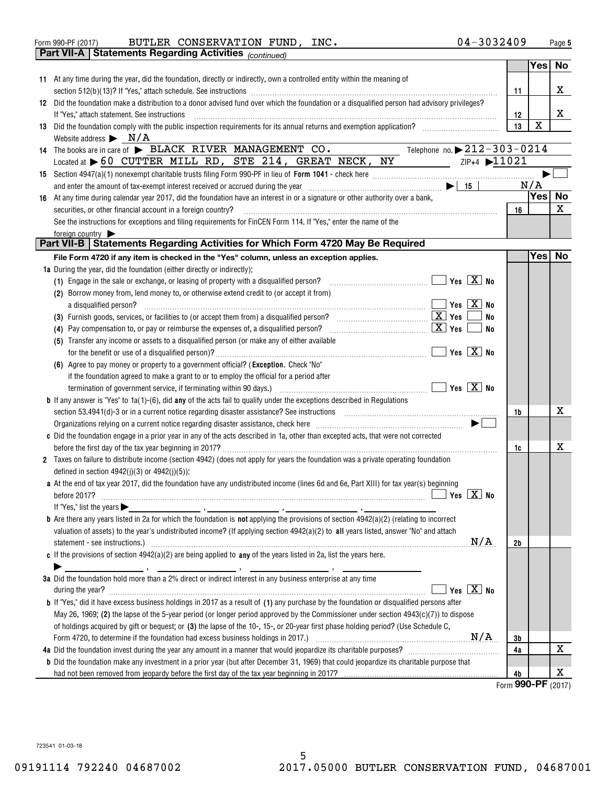| Form 990-PF (2017) |  | BUTLER CONSERVATION FUND, |  | INC. | $04 - 3032409$ | Page |
|--------------------|--|---------------------------|--|------|----------------|------|
|--------------------|--|---------------------------|--|------|----------------|------|

|    |                                       | Part VII-A   Statements Regarding Activities (continued)                                                                                                                                                                                                                                                                                                                     |                |             |    |
|----|---------------------------------------|------------------------------------------------------------------------------------------------------------------------------------------------------------------------------------------------------------------------------------------------------------------------------------------------------------------------------------------------------------------------------|----------------|-------------|----|
|    |                                       |                                                                                                                                                                                                                                                                                                                                                                              |                | Yes         | No |
|    |                                       | 11 At any time during the year, did the foundation, directly or indirectly, own a controlled entity within the meaning of                                                                                                                                                                                                                                                    |                |             |    |
|    |                                       |                                                                                                                                                                                                                                                                                                                                                                              | 11             |             | X  |
|    |                                       | 12 Did the foundation make a distribution to a donor advised fund over which the foundation or a disqualified person had advisory privileges?                                                                                                                                                                                                                                |                |             |    |
|    |                                       | If "Yes," attach statement. See instructions                                                                                                                                                                                                                                                                                                                                 | 12             |             | X  |
| 13 |                                       | Did the foundation comply with the public inspection requirements for its annual returns and exemption application?                                                                                                                                                                                                                                                          | 13             | $\mathbf X$ |    |
|    |                                       | Website address $\triangleright$ N/A                                                                                                                                                                                                                                                                                                                                         |                |             |    |
|    |                                       | Telephone no. $\triangleright$ 212-303-0214<br>14 The books are in care of BLACK RIVER MANAGEMENT CO.                                                                                                                                                                                                                                                                        |                |             |    |
|    |                                       | $\frac{1}{2}$ $\frac{1}{2}$ $\frac{1}{2}$ $\frac{1}{2}$ $\frac{1}{2}$ $\frac{1}{2}$ $\frac{1}{2}$ $\frac{1}{2}$ $\frac{1}{2}$ $\frac{1}{2}$ $\frac{1}{2}$ $\frac{1}{2}$ $\frac{1}{2}$ $\frac{1}{2}$ $\frac{1}{2}$ $\frac{1}{2}$ $\frac{1}{2}$ $\frac{1}{2}$ $\frac{1}{2}$ $\frac{1}{2}$ $\frac{1}{2}$ $\frac{1}{2}$<br>Located at 60 CUTTER MILL RD, STE 214, GREAT NECK, NY |                |             |    |
|    |                                       |                                                                                                                                                                                                                                                                                                                                                                              |                |             |    |
|    |                                       |                                                                                                                                                                                                                                                                                                                                                                              |                | N/A         |    |
|    |                                       |                                                                                                                                                                                                                                                                                                                                                                              |                | Yes No      |    |
| 16 |                                       | At any time during calendar year 2017, did the foundation have an interest in or a signature or other authority over a bank,                                                                                                                                                                                                                                                 |                |             |    |
|    |                                       | securities, or other financial account in a foreign country?                                                                                                                                                                                                                                                                                                                 | 16             |             | X  |
|    |                                       | See the instructions for exceptions and filing requirements for FinCEN Form 114. If "Yes," enter the name of the                                                                                                                                                                                                                                                             |                |             |    |
|    | foreign country $\blacktriangleright$ | Part VII-B   Statements Regarding Activities for Which Form 4720 May Be Required                                                                                                                                                                                                                                                                                             |                |             |    |
|    |                                       |                                                                                                                                                                                                                                                                                                                                                                              |                |             |    |
|    |                                       | File Form 4720 if any item is checked in the "Yes" column, unless an exception applies.                                                                                                                                                                                                                                                                                      |                | Yes   No    |    |
|    |                                       | 1a During the year, did the foundation (either directly or indirectly):                                                                                                                                                                                                                                                                                                      |                |             |    |
|    |                                       | (1) Engage in the sale or exchange, or leasing of property with a disqualified person?                                                                                                                                                                                                                                                                                       |                |             |    |
|    |                                       | (2) Borrow money from, lend money to, or otherwise extend credit to (or accept it from)                                                                                                                                                                                                                                                                                      |                |             |    |
|    |                                       | a disqualified person?                                                                                                                                                                                                                                                                                                                                                       |                |             |    |
|    |                                       | No                                                                                                                                                                                                                                                                                                                                                                           |                |             |    |
|    |                                       | <u>x</u> Yes<br>No<br>(4) Pay compensation to, or pay or reimburse the expenses of, a disqualified person?                                                                                                                                                                                                                                                                   |                |             |    |
|    |                                       | (5) Transfer any income or assets to a disqualified person (or make any of either available                                                                                                                                                                                                                                                                                  |                |             |    |
|    |                                       |                                                                                                                                                                                                                                                                                                                                                                              |                |             |    |
|    |                                       | (6) Agree to pay money or property to a government official? (Exception. Check "No"                                                                                                                                                                                                                                                                                          |                |             |    |
|    |                                       | if the foundation agreed to make a grant to or to employ the official for a period after                                                                                                                                                                                                                                                                                     |                |             |    |
|    |                                       |                                                                                                                                                                                                                                                                                                                                                                              |                |             |    |
|    |                                       | <b>b</b> If any answer is "Yes" to $1a(1)-(6)$ , did any of the acts fail to qualify under the exceptions described in Regulations                                                                                                                                                                                                                                           |                |             |    |
|    |                                       |                                                                                                                                                                                                                                                                                                                                                                              | 1b             |             | X  |
|    |                                       | Organizations relying on a current notice regarding disaster assistance, check here [11,111] contains the controller state of $\blacktriangleright$                                                                                                                                                                                                                          |                |             |    |
|    |                                       | c Did the foundation engage in a prior year in any of the acts described in 1a, other than excepted acts, that were not corrected                                                                                                                                                                                                                                            |                |             |    |
|    |                                       |                                                                                                                                                                                                                                                                                                                                                                              | 1c             |             | X  |
|    |                                       | 2 Taxes on failure to distribute income (section 4942) (does not apply for years the foundation was a private operating foundation                                                                                                                                                                                                                                           |                |             |    |
|    |                                       | defined in section $4942(j)(3)$ or $4942(j)(5)$ :                                                                                                                                                                                                                                                                                                                            |                |             |    |
|    |                                       | a At the end of tax year 2017, did the foundation have any undistributed income (lines 6d and 6e, Part XIII) for tax year(s) beginning                                                                                                                                                                                                                                       |                |             |    |
|    |                                       |                                                                                                                                                                                                                                                                                                                                                                              |                |             |    |
|    |                                       | If "Yes," list the years $\blacktriangleright$                                                                                                                                                                                                                                                                                                                               |                |             |    |
|    |                                       | <b>b</b> Are there any years listed in 2a for which the foundation is <b>not</b> applying the provisions of section $4942(a)(2)$ (relating to incorrect                                                                                                                                                                                                                      |                |             |    |
|    |                                       | valuation of assets) to the year's undistributed income? (If applying section 4942(a)(2) to all years listed, answer "No" and attach                                                                                                                                                                                                                                         |                |             |    |
|    |                                       | N/A<br>statement - see instructions.) 2000 minimum contract and the intervention of the set instructions.                                                                                                                                                                                                                                                                    | 2 <sub>b</sub> |             |    |
|    |                                       | c If the provisions of section $4942(a)(2)$ are being applied to any of the years listed in 2a, list the years here.                                                                                                                                                                                                                                                         |                |             |    |
|    |                                       |                                                                                                                                                                                                                                                                                                                                                                              |                |             |    |
|    |                                       | 3a Did the foundation hold more than a 2% direct or indirect interest in any business enterprise at any time                                                                                                                                                                                                                                                                 |                |             |    |
|    |                                       | Yes $X$ No                                                                                                                                                                                                                                                                                                                                                                   |                |             |    |
|    |                                       | during the year? <b>William Commission Commission Commission</b> Commission Commission Commission Commission<br><b>b</b> If "Yes," did it have excess business holdings in 2017 as a result of (1) any purchase by the foundation or disqualified persons after                                                                                                              |                |             |    |
|    |                                       |                                                                                                                                                                                                                                                                                                                                                                              |                |             |    |
|    |                                       | May 26, 1969; (2) the lapse of the 5-year period (or longer period approved by the Commissioner under section $4943(c)(7)$ ) to dispose                                                                                                                                                                                                                                      |                |             |    |
|    |                                       | of holdings acquired by gift or bequest; or (3) the lapse of the 10-, 15-, or 20-year first phase holding period? (Use Schedule C,                                                                                                                                                                                                                                           |                |             |    |
|    |                                       |                                                                                                                                                                                                                                                                                                                                                                              | 3b             |             | x  |
|    |                                       |                                                                                                                                                                                                                                                                                                                                                                              | 4a             |             |    |
|    |                                       | <b>b</b> Did the foundation make any investment in a prior year (but after December 31, 1969) that could jeopardize its charitable purpose that                                                                                                                                                                                                                              |                |             |    |
|    |                                       |                                                                                                                                                                                                                                                                                                                                                                              | 4b             |             | х  |

**Form 990-PF** (2017)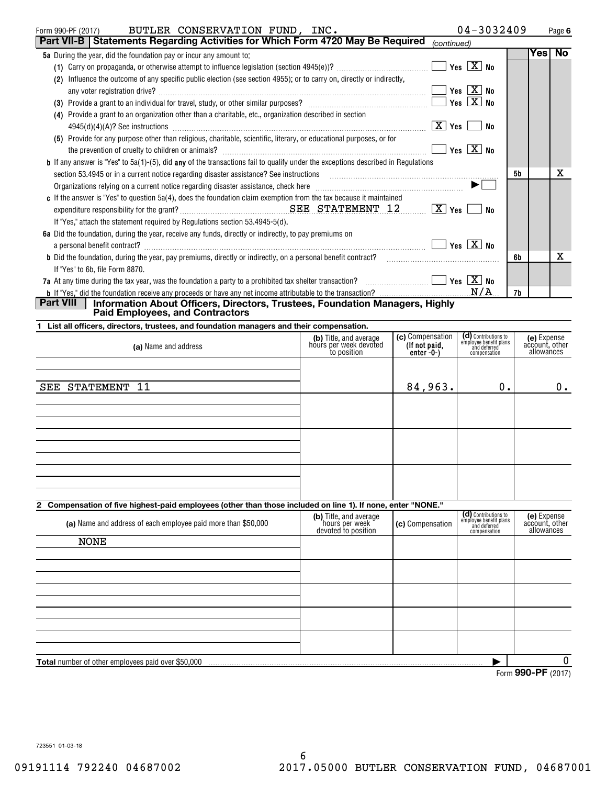| BUTLER CONSERVATION FUND, INC.<br>Form 990-PF (2017)                                                                                                                                                                          |                                                  |                  | $04 - 3032409$                                                 |                    | Page 6         |
|-------------------------------------------------------------------------------------------------------------------------------------------------------------------------------------------------------------------------------|--------------------------------------------------|------------------|----------------------------------------------------------------|--------------------|----------------|
| Part VII-B   Statements Regarding Activities for Which Form 4720 May Be Required                                                                                                                                              |                                                  | (continued)      |                                                                |                    |                |
| 5a During the year, did the foundation pay or incur any amount to:                                                                                                                                                            |                                                  |                  |                                                                |                    | <b>Yes No</b>  |
|                                                                                                                                                                                                                               |                                                  |                  |                                                                |                    |                |
| (2) Influence the outcome of any specific public election (see section 4955); or to carry on, directly or indirectly,                                                                                                         |                                                  |                  |                                                                |                    |                |
|                                                                                                                                                                                                                               |                                                  |                  |                                                                |                    |                |
|                                                                                                                                                                                                                               |                                                  |                  |                                                                |                    |                |
| (4) Provide a grant to an organization other than a charitable, etc., organization described in section                                                                                                                       |                                                  |                  |                                                                |                    |                |
|                                                                                                                                                                                                                               |                                                  |                  |                                                                |                    |                |
| (5) Provide for any purpose other than religious, charitable, scientific, literary, or educational purposes, or for                                                                                                           |                                                  |                  |                                                                |                    |                |
| the prevention of cruelty to children or animals? $\ldots$ $\ldots$ $\ldots$ $\ldots$ $\ldots$ $\ldots$ $\ldots$ $\ldots$ $\ldots$ $\ldots$ $\ldots$ $\ldots$ $\ldots$ $\ldots$ $\ldots$ $\ldots$                             |                                                  |                  |                                                                |                    |                |
| <b>b</b> If any answer is "Yes" to 5a(1)-(5), did any of the transactions fail to qualify under the exceptions described in Regulations                                                                                       |                                                  |                  |                                                                |                    |                |
| section 53.4945 or in a current notice regarding disaster assistance? See instructions [11,111] successive contractions [11] a current notice regarding disaster assistance? See instructions [11] a current material and the |                                                  |                  |                                                                | 5b                 | х              |
| Organizations relying on a current notice regarding disaster assistance, check here <i>manumerandical submanumerandical</i>                                                                                                   |                                                  |                  |                                                                |                    |                |
| c If the answer is "Yes" to question 5a(4), does the foundation claim exemption from the tax because it maintained                                                                                                            |                                                  |                  |                                                                |                    |                |
|                                                                                                                                                                                                                               |                                                  |                  |                                                                |                    |                |
| If "Yes," attach the statement required by Regulations section 53.4945-5(d).                                                                                                                                                  |                                                  |                  |                                                                |                    |                |
| 6a Did the foundation, during the year, receive any funds, directly or indirectly, to pay premiums on                                                                                                                         |                                                  |                  |                                                                |                    |                |
| a personal benefit contract? $\ldots$ No                                                                                                                                                                                      |                                                  |                  |                                                                |                    |                |
| <b>b</b> Did the foundation, during the year, pay premiums, directly or indirectly, on a personal benefit contract? <b>contriently</b> accommodation, during the year, pay premiums, the best of the contract?                |                                                  |                  |                                                                | 6b                 | х              |
| If "Yes" to 6b, file Form 8870.                                                                                                                                                                                               |                                                  |                  |                                                                |                    |                |
| 7a At any time during the tax year, was the foundation a party to a prohibited tax shelter transaction? $\ldots$ $\ldots$ $\ldots$                                                                                            |                                                  |                  |                                                                |                    |                |
|                                                                                                                                                                                                                               |                                                  |                  |                                                                | 7b                 |                |
| Part VIII   Information About Officers, Directors, Trustees, Foundation Managers, Highly<br><b>Paid Employees, and Contractors</b>                                                                                            |                                                  |                  |                                                                |                    |                |
|                                                                                                                                                                                                                               |                                                  |                  |                                                                |                    |                |
| 1 List all officers, directors, trustees, and foundation managers and their compensation.                                                                                                                                     |                                                  | (c) Compensation |                                                                |                    | (e) Expense    |
| (a) Name and address                                                                                                                                                                                                          | (b) Title, and average<br>hours per week devoted | (If not paid,    | (d) Contributions to<br>employee benefit plans<br>and deferred |                    | account, other |
|                                                                                                                                                                                                                               | to position                                      | $enter - 0-$     | compensation                                                   |                    | allowances     |
|                                                                                                                                                                                                                               |                                                  |                  |                                                                |                    |                |
| SEE STATEMENT 11                                                                                                                                                                                                              |                                                  |                  | $0$ .                                                          |                    |                |
|                                                                                                                                                                                                                               |                                                  | 84,963.          |                                                                |                    | 0.             |
|                                                                                                                                                                                                                               |                                                  |                  |                                                                |                    |                |
|                                                                                                                                                                                                                               |                                                  |                  |                                                                |                    |                |
|                                                                                                                                                                                                                               |                                                  |                  |                                                                |                    |                |
|                                                                                                                                                                                                                               |                                                  |                  |                                                                |                    |                |
|                                                                                                                                                                                                                               |                                                  |                  |                                                                |                    |                |
|                                                                                                                                                                                                                               |                                                  |                  |                                                                |                    |                |
|                                                                                                                                                                                                                               |                                                  |                  |                                                                |                    |                |
|                                                                                                                                                                                                                               |                                                  |                  |                                                                |                    |                |
|                                                                                                                                                                                                                               |                                                  |                  |                                                                |                    |                |
| 2 Compensation of five highest-paid employees (other than those included on line 1). If none, enter "NONE."                                                                                                                   | (b) Title, and average                           |                  | (d) Contributions to<br>employee benefit plans                 |                    | (e) Expense    |
| (a) Name and address of each employee paid more than \$50,000                                                                                                                                                                 | hours per week                                   | (c) Compensation | and deferred                                                   |                    | account, other |
|                                                                                                                                                                                                                               | devoted to position                              |                  | compensation                                                   |                    | allowances     |
| <b>NONE</b>                                                                                                                                                                                                                   |                                                  |                  |                                                                |                    |                |
|                                                                                                                                                                                                                               |                                                  |                  |                                                                |                    |                |
|                                                                                                                                                                                                                               |                                                  |                  |                                                                |                    |                |
|                                                                                                                                                                                                                               |                                                  |                  |                                                                |                    |                |
|                                                                                                                                                                                                                               |                                                  |                  |                                                                |                    |                |
|                                                                                                                                                                                                                               |                                                  |                  |                                                                |                    |                |
|                                                                                                                                                                                                                               |                                                  |                  |                                                                |                    |                |
|                                                                                                                                                                                                                               |                                                  |                  |                                                                |                    |                |
|                                                                                                                                                                                                                               |                                                  |                  |                                                                |                    |                |
|                                                                                                                                                                                                                               |                                                  |                  |                                                                |                    |                |
| <b>Total</b> number of other employees paid over \$50,000                                                                                                                                                                     |                                                  |                  |                                                                | Form 990-PF (2017) | 0              |
|                                                                                                                                                                                                                               |                                                  |                  |                                                                |                    |                |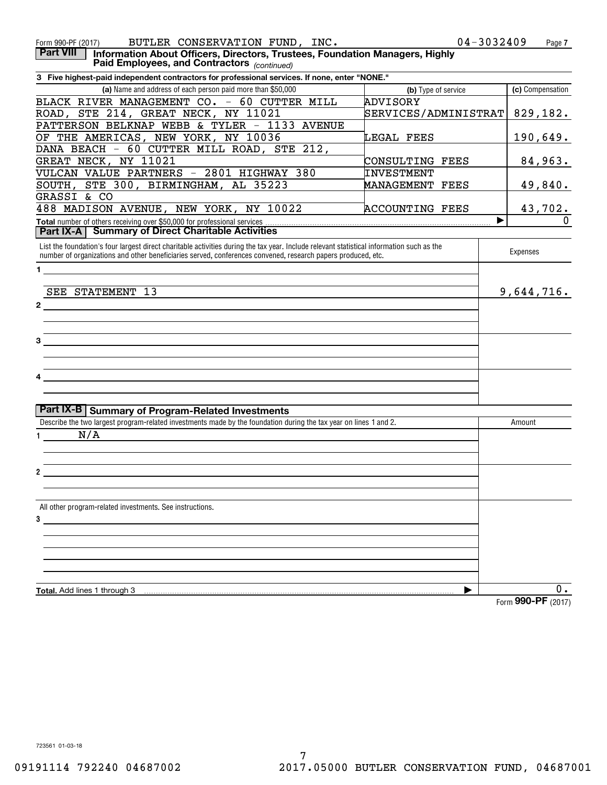| BUTLER CONSERVATION FUND, INC.<br>Form 990-PF (2017)                                                                                            |                        | 04-3032409<br>Page 7     |
|-------------------------------------------------------------------------------------------------------------------------------------------------|------------------------|--------------------------|
| <b>Part VIII</b><br>Information About Officers, Directors, Trustees, Foundation Managers, Highly<br>Paid Employees, and Contractors (continued) |                        |                          |
| 3 Five highest-paid independent contractors for professional services. If none, enter "NONE."                                                   |                        |                          |
| (a) Name and address of each person paid more than \$50,000                                                                                     | (b) Type of service    | (c) Compensation         |
| BLACK RIVER MANAGEMENT CO. - 60 CUTTER MILL                                                                                                     | ADVISORY               |                          |
| ROAD, STE 214, GREAT NECK, NY 11021                                                                                                             | SERVICES/ADMINISTRAT   | 829,182.                 |
| PATTERSON BELKNAP WEBB & TYLER - 1133 AVENUE                                                                                                    |                        |                          |
| OF THE AMERICAS, NEW YORK, NY 10036                                                                                                             | LEGAL FEES             | 190,649.                 |
| DANA BEACH - 60 CUTTER MILL ROAD, STE 212,                                                                                                      |                        |                          |
| GREAT NECK, NY 11021                                                                                                                            | CONSULTING FEES        | 84,963.                  |
| VULCAN VALUE PARTNERS - 2801 HIGHWAY 380                                                                                                        | INVESTMENT             |                          |
| SOUTH, STE 300, BIRMINGHAM, AL 35223                                                                                                            | MANAGEMENT FEES        | 49,840.                  |
| GRASSI & CO                                                                                                                                     |                        |                          |
| 488 MADISON AVENUE, NEW YORK, NY 10022                                                                                                          | <b>ACCOUNTING FEES</b> |                          |
|                                                                                                                                                 |                        | 43,702.<br>$\Omega$<br>▶ |
| <b>Part IX-A   Summary of Direct Charitable Activities</b>                                                                                      |                        |                          |
| List the foundation's four largest direct charitable activities during the tax year. Include relevant statistical information such as the       |                        |                          |
| number of organizations and other beneficiaries served, conferences convened, research papers produced, etc.                                    |                        | Expenses                 |
| $\mathbf 1$                                                                                                                                     |                        |                          |
|                                                                                                                                                 |                        |                          |
| SEE STATEMENT 13                                                                                                                                |                        | 9,644,716.               |
| $\mathbf{2}$                                                                                                                                    |                        |                          |
|                                                                                                                                                 |                        |                          |
|                                                                                                                                                 |                        |                          |
| 3                                                                                                                                               |                        |                          |
|                                                                                                                                                 |                        |                          |
|                                                                                                                                                 |                        |                          |
|                                                                                                                                                 |                        |                          |
|                                                                                                                                                 |                        |                          |
|                                                                                                                                                 |                        |                          |
| Part IX-B Summary of Program-Related Investments                                                                                                |                        |                          |
| Describe the two largest program-related investments made by the foundation during the tax year on lines 1 and 2.                               |                        | Amount                   |
| N/A<br>1 $\sqrt{2}$                                                                                                                             |                        |                          |
|                                                                                                                                                 |                        |                          |
|                                                                                                                                                 |                        |                          |
| 2                                                                                                                                               |                        |                          |
|                                                                                                                                                 |                        |                          |
|                                                                                                                                                 |                        |                          |
| All other program-related investments. See instructions.                                                                                        |                        |                          |
| 3                                                                                                                                               |                        |                          |
|                                                                                                                                                 |                        |                          |
|                                                                                                                                                 |                        |                          |
|                                                                                                                                                 |                        |                          |
|                                                                                                                                                 |                        |                          |
|                                                                                                                                                 |                        |                          |
| Total. Add lines 1 through 3                                                                                                                    | ▶                      | 0.                       |
|                                                                                                                                                 |                        | Form 990-PF (2017)       |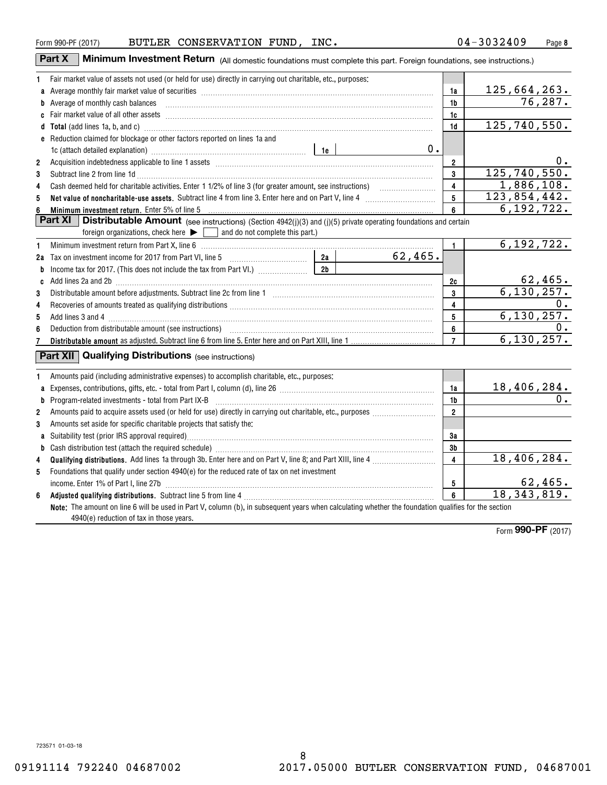| u | $\sqrt{ }$ |
|---|------------|
|   |            |

|                | Part X<br><b>Minimum Investment Return</b> (All domestic foundations must complete this part. Foreign foundations, see instructions.)                                                                                          |                |         |                                           |                               |
|----------------|--------------------------------------------------------------------------------------------------------------------------------------------------------------------------------------------------------------------------------|----------------|---------|-------------------------------------------|-------------------------------|
| 1              | Fair market value of assets not used (or held for use) directly in carrying out charitable, etc., purposes:                                                                                                                    |                |         |                                           |                               |
|                | a Average monthly fair market value of securities [11] matter content to the content of the Average monthly fair market value of securities [11] matter content to the Average monthly fair market value of securities [11] ma |                |         | 1a                                        | 125, 664, 263.                |
|                | b Average of monthly cash balances <b>constructed and all and all and all and all an</b> Average of monthly cash balances                                                                                                      |                |         | 1b                                        | 76, 287.                      |
|                |                                                                                                                                                                                                                                |                |         | 1c                                        |                               |
|                | d Total (add lines 1a, b, and c) manufactured and control and control of the control of the control of the control of the control of the control of the control of the control of the control of the control of the control of |                |         | 1d                                        | 125, 740, 550.                |
|                | e Reduction claimed for blockage or other factors reported on lines 1a and                                                                                                                                                     |                |         |                                           |                               |
|                | 1c (attach detailed explanation) manufacture and according to the set of the set of the set of the set of the set of the set of the set of the set of the set of the set of the set of the set of the set of the set of the se |                | 0.      |                                           |                               |
| $\overline{2}$ |                                                                                                                                                                                                                                |                |         | $\overline{2}$                            | 0.                            |
| 3              | Subtract line 2 from line 1d <b>Machinese and Contract Line 2</b> from line 1d <b>machinese and contract line 2</b> from line 1d                                                                                               |                |         | 3                                         | 125, 740, 550.                |
| 4              |                                                                                                                                                                                                                                |                |         | $\overline{\mathbf{4}}$                   | 1,886,108.                    |
| 5              | Net value of noncharitable-use assets. Subtract line 4 from line 3. Enter here and on Part V, line 4 [11, 11]                                                                                                                  |                |         | 5                                         | 123,854,442.                  |
| 6              | Minimum investment return. Enter 5% of line 5                                                                                                                                                                                  |                |         | 6                                         | 6, 192, 722.                  |
|                | Part $XI$<br><b>Distributable Amount</b> (see instructions) (Section 4942(j)(3) and (j)(5) private operating foundations and certain                                                                                           |                |         |                                           |                               |
|                | and do not complete this part.)<br>foreign organizations, check here $\blacktriangleright$                                                                                                                                     |                |         |                                           |                               |
| 1              |                                                                                                                                                                                                                                |                |         | $\mathbf{1}$                              | 6, 192, 722.                  |
|                |                                                                                                                                                                                                                                |                | 62,465. |                                           |                               |
|                |                                                                                                                                                                                                                                | 2 <sub>b</sub> |         |                                           |                               |
|                | c Add lines 2a and 2b [11] matter contract the contract of the contract of the contract of the contract of the contract of the contract of the contract of the contract of the contract of the contract of the contract of the |                |         | 2c                                        | $62,465.$<br>6,130,257.       |
| 3              |                                                                                                                                                                                                                                |                |         | 3                                         |                               |
| 4              |                                                                                                                                                                                                                                |                |         | 4                                         | $0$ .                         |
| 5              |                                                                                                                                                                                                                                |                |         | 5                                         | 6, 130, 257.                  |
| 6              |                                                                                                                                                                                                                                |                |         | 6                                         | 0.                            |
| 7              |                                                                                                                                                                                                                                |                |         | $\overline{7}$                            | 6, 130, 257.                  |
|                | <b>Part XII</b> Qualifying Distributions (see instructions)                                                                                                                                                                    |                |         |                                           |                               |
|                |                                                                                                                                                                                                                                |                |         |                                           |                               |
| 1              | Amounts paid (including administrative expenses) to accomplish charitable, etc., purposes:                                                                                                                                     |                |         |                                           |                               |
| a              |                                                                                                                                                                                                                                |                |         | 1a                                        | $\frac{18,406,284.}{0.}$      |
| b              | $Program-related investments - total from Part IX-B$                                                                                                                                                                           |                |         | 1b                                        |                               |
| $\overline{2}$ |                                                                                                                                                                                                                                |                |         | $\overline{2}$                            |                               |
| 3              | Amounts set aside for specific charitable projects that satisfy the:                                                                                                                                                           |                |         |                                           |                               |
|                |                                                                                                                                                                                                                                |                |         | 3a                                        |                               |
| b              |                                                                                                                                                                                                                                |                |         | 3 <sub>b</sub><br>$\overline{\mathbf{4}}$ | 18,406,284.                   |
| 4              |                                                                                                                                                                                                                                |                |         |                                           |                               |
| 5              | Foundations that qualify under section 4940(e) for the reduced rate of tax on net investment                                                                                                                                   |                |         |                                           |                               |
| 6              | income. Enter 1% of Part I, line 27b                                                                                                                                                                                           |                |         | 5<br>$6\overline{6}$                      | $\frac{62,465}{18,343,819}$ . |
|                | Note: The amount on line 6 will be used in Part V, column (b), in subsequent years when calculating whether the foundation qualifies for the section                                                                           |                |         |                                           |                               |
|                | 4940(e) reduction of tax in those years.                                                                                                                                                                                       |                |         |                                           |                               |
|                |                                                                                                                                                                                                                                |                |         |                                           |                               |

Form (2017) **990-PF**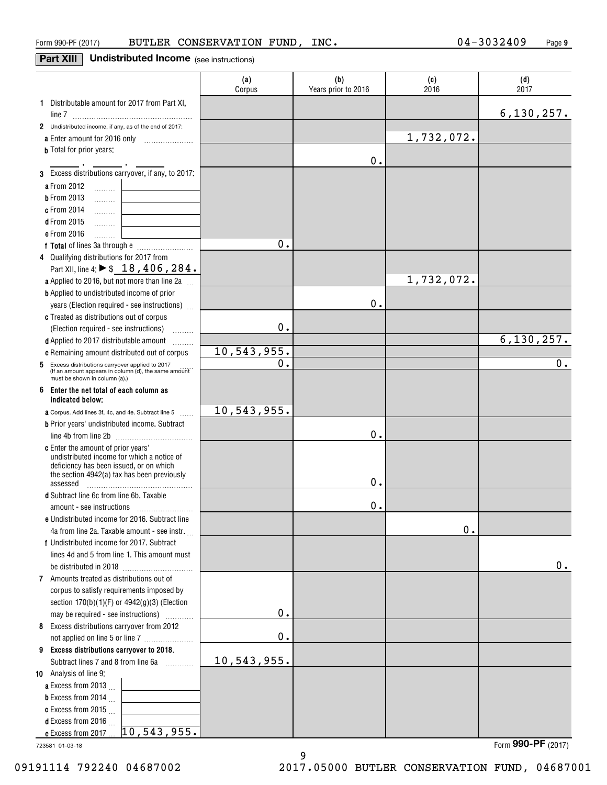## **Part XIII** Undistributed Income (see instructions)

|                                                                                           | (a)<br>Corpus | (b)<br>Years prior to 2016 | (c)<br>2016 | (d)<br>2017          |
|-------------------------------------------------------------------------------------------|---------------|----------------------------|-------------|----------------------|
| 1 Distributable amount for 2017 from Part XI,                                             |               |                            |             |                      |
| line 7 $\frac{1}{2}$                                                                      |               |                            |             | 6, 130, 257.         |
| 2 Undistributed income, if any, as of the end of 2017:                                    |               |                            | 1,732,072.  |                      |
| a Enter amount for 2016 only<br><b>b</b> Total for prior years:                           |               |                            |             |                      |
|                                                                                           |               | 0.                         |             |                      |
| 3 Excess distributions carryover, if any, to 2017:                                        |               |                            |             |                      |
| a From 2012                                                                               |               |                            |             |                      |
| $\ldots \ldots$<br><b>b</b> From 2013<br>.                                                |               |                            |             |                      |
| c From 2014<br>.                                                                          |               |                            |             |                      |
| <b>d</b> From 2015<br>.                                                                   |               |                            |             |                      |
| e From 2016<br>.                                                                          |               |                            |             |                      |
|                                                                                           | Ο.            |                            |             |                      |
| 4 Qualifying distributions for 2017 from                                                  |               |                            |             |                      |
| Part XII, line 4: ▶ \$ 18, 406, 284.                                                      |               |                            |             |                      |
| a Applied to 2016, but not more than line 2a                                              |               |                            | 1,732,072.  |                      |
| <b>b</b> Applied to undistributed income of prior                                         |               |                            |             |                      |
| years (Election required - see instructions)                                              |               | 0.                         |             |                      |
| c Treated as distributions out of corpus                                                  |               |                            |             |                      |
| (Election required - see instructions)                                                    | 0.            |                            |             |                      |
| d Applied to 2017 distributable amount<br>.                                               |               |                            |             | 6, 130, 257.         |
| e Remaining amount distributed out of corpus                                              | 10,543,955.   |                            |             |                      |
| Excess distributions carryover applied to 2017<br>5                                       | 0.            |                            |             | 0.                   |
| (If an amount appears in column (d), the same amount<br>must be shown in column (a).)     |               |                            |             |                      |
| 6<br>Enter the net total of each column as                                                |               |                            |             |                      |
| indicated below:                                                                          |               |                            |             |                      |
| <b>a</b> Corpus. Add lines 3f, 4c, and 4e. Subtract line 5                                | 10,543,955.   |                            |             |                      |
| <b>b</b> Prior years' undistributed income. Subtract                                      |               |                            |             |                      |
|                                                                                           |               | 0.                         |             |                      |
| c Enter the amount of prior years'                                                        |               |                            |             |                      |
| undistributed income for which a notice of<br>deficiency has been issued, or on which     |               |                            |             |                      |
| the section 4942(a) tax has been previously                                               |               |                            |             |                      |
| assessed                                                                                  |               | 0.                         |             |                      |
| d Subtract line 6c from line 6b. Taxable                                                  |               |                            |             |                      |
| amount - see instructions                                                                 |               | 0.                         |             |                      |
| e Undistributed income for 2016. Subtract line                                            |               |                            | 0.          |                      |
| 4a from line 2a. Taxable amount - see instr.                                              |               |                            |             |                      |
| f Undistributed income for 2017. Subtract<br>lines 4d and 5 from line 1. This amount must |               |                            |             |                      |
|                                                                                           |               |                            |             | 0.                   |
| 7 Amounts treated as distributions out of                                                 |               |                            |             |                      |
| corpus to satisfy requirements imposed by                                                 |               |                            |             |                      |
| section 170(b)(1)(F) or 4942(g)(3) (Election                                              |               |                            |             |                      |
| may be required - see instructions)                                                       | $\mathbf 0$ . |                            |             |                      |
| 8 Excess distributions carryover from 2012                                                |               |                            |             |                      |
| not applied on line 5 or line 7                                                           | $\mathbf 0$ . |                            |             |                      |
| 9 Excess distributions carryover to 2018.                                                 |               |                            |             |                      |
| Subtract lines 7 and 8 from line 6a<br>1.1.1.1.1.1.1.1.1                                  | 10,543,955.   |                            |             |                      |
| 10 Analysis of line 9:                                                                    |               |                            |             |                      |
| a Excess from 2013.                                                                       |               |                            |             |                      |
| <b>b</b> Excess from 2014                                                                 |               |                            |             |                      |
| c Excess from 2015 $\ldots$                                                               |               |                            |             |                      |
| <b>d</b> Excess from 2016                                                                 |               |                            |             |                      |
| 10, 543, 955.<br>e Excess from 2017                                                       |               |                            |             |                      |
| 723581 01-03-18                                                                           |               |                            |             | Form 990-PF $(2017)$ |

9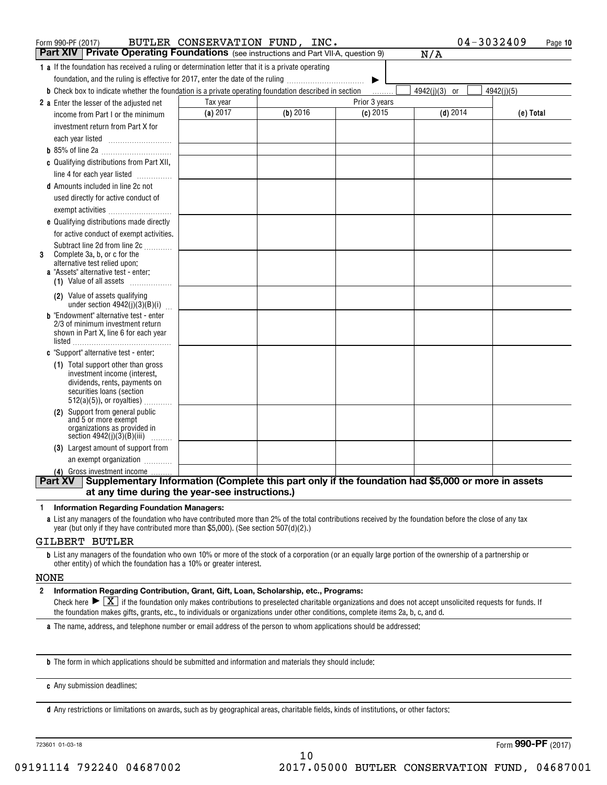| Form 990-PF (2017)                                                                                                   | BUTLER CONSERVATION FUND, INC. |            |               | 04-3032409    | Page 10    |
|----------------------------------------------------------------------------------------------------------------------|--------------------------------|------------|---------------|---------------|------------|
| <b>Part XIV</b> Private Operating Foundations (see instructions and Part VII-A, question 9)                          |                                |            |               | N/A           |            |
| 1 a If the foundation has received a ruling or determination letter that it is a private operating                   |                                |            |               |               |            |
| foundation, and the ruling is effective for 2017, enter the date of the ruling                                       |                                |            | ▶             |               |            |
| <b>b</b> Check box to indicate whether the foundation is a private operating foundation described in section         |                                |            | 1.1.1.1.1.1   | 4942(j)(3) or | 4942(j)(5) |
| 2 a Enter the lesser of the adjusted net                                                                             | Tax year                       |            | Prior 3 years |               |            |
| income from Part I or the minimum                                                                                    | (a) 2017                       | $(b)$ 2016 | $(c)$ 2015    | $(d)$ 2014    | (e) Total  |
| investment return from Part X for                                                                                    |                                |            |               |               |            |
|                                                                                                                      |                                |            |               |               |            |
|                                                                                                                      |                                |            |               |               |            |
| c Qualifying distributions from Part XII,                                                                            |                                |            |               |               |            |
| line 4 for each year listed                                                                                          |                                |            |               |               |            |
| <b>d</b> Amounts included in line 2c not                                                                             |                                |            |               |               |            |
| used directly for active conduct of                                                                                  |                                |            |               |               |            |
| exempt activities                                                                                                    |                                |            |               |               |            |
| e Qualifying distributions made directly                                                                             |                                |            |               |               |            |
| for active conduct of exempt activities.                                                                             |                                |            |               |               |            |
| Subtract line 2d from line 2c                                                                                        |                                |            |               |               |            |
| Complete 3a, b, or c for the<br>3<br>alternative test relied upon:                                                   |                                |            |               |               |            |
| <b>a</b> "Assets" alternative test - enter:                                                                          |                                |            |               |               |            |
| (1) Value of all assets $\ldots$                                                                                     |                                |            |               |               |            |
| (2) Value of assets qualifying                                                                                       |                                |            |               |               |            |
| under section $4942(j)(3)(B)(i)$                                                                                     |                                |            |               |               |            |
| <b>b</b> "Endowment" alternative test - enter<br>2/3 of minimum investment return                                    |                                |            |               |               |            |
| shown in Part X, line 6 for each year                                                                                |                                |            |               |               |            |
| listed                                                                                                               |                                |            |               |               |            |
| c "Support" alternative test - enter:                                                                                |                                |            |               |               |            |
| (1) Total support other than gross<br>investment income (interest,                                                   |                                |            |               |               |            |
| dividends, rents, payments on                                                                                        |                                |            |               |               |            |
| securities loans (section                                                                                            |                                |            |               |               |            |
| $512(a)(5)$ , or royalties)<br>(2) Support from general public                                                       |                                |            |               |               |            |
| and 5 or more exempt                                                                                                 |                                |            |               |               |            |
| organizations as provided in                                                                                         |                                |            |               |               |            |
| section $4942(j)(3)(B)(iii)$<br>.<br>(3) Largest amount of support from                                              |                                |            |               |               |            |
| an exempt organization                                                                                               |                                |            |               |               |            |
| (4) Gross investment income                                                                                          |                                |            |               |               |            |
| Supplementary Information (Complete this part only if the foundation had \$5,000 or more in assets<br><b>Part XV</b> |                                |            |               |               |            |
| at any time during the year-see instructions.)                                                                       |                                |            |               |               |            |

#### **1Information Regarding Foundation Managers:**

**a**List any managers of the foundation who have contributed more than 2% of the total contributions received by the foundation before the close of any tax year (but only if they have contributed more than \$5,000). (See section 507(d)(2).)

#### GILBERT BUTLER

**b**List any managers of the foundation who own 10% or more of the stock of a corporation (or an equally large portion of the ownership of a partnership or other entity) of which the foundation has a 10% or greater interest.

#### NONE

#### **2Information Regarding Contribution, Grant, Gift, Loan, Scholarship, etc., Programs:**

Check here  $\blacktriangleright\boxed{\textbf{X}}$  if the foundation only makes contributions to preselected charitable organizations and does not accept unsolicited requests for funds. If the foundation makes gifts, grants, etc., to individuals or organizations under other conditions, complete items 2a, b, c, and d.

10

**a**The name, address, and telephone number or email address of the person to whom applications should be addressed:

**b**The form in which applications should be submitted and information and materials they should include:

**c**Any submission deadlines:

**d** Any restrictions or limitations on awards, such as by geographical areas, charitable fields, kinds of institutions, or other factors: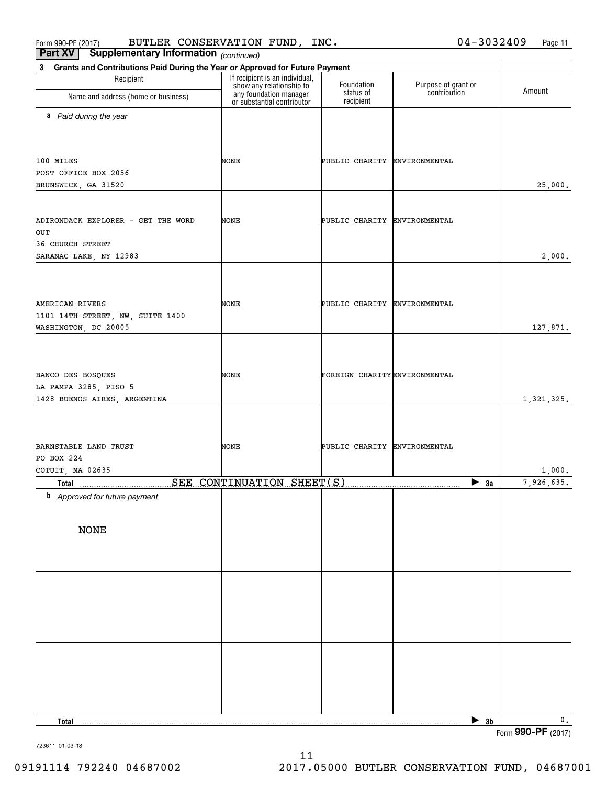Form 990-PF (2017) BUTLER CONSERVATION FUND, INC.  $04-3032409$  Page BUTLER CONSERVATION FUND, INC. 04-3032409

| Part XV<br><b>Supplementary Information</b> (continued)                                     |                                                                                                                    |                               |                                     |               |
|---------------------------------------------------------------------------------------------|--------------------------------------------------------------------------------------------------------------------|-------------------------------|-------------------------------------|---------------|
| Grants and Contributions Paid During the Year or Approved for Future Payment<br>$3^{\circ}$ |                                                                                                                    |                               |                                     |               |
| Recipient<br>Name and address (home or business)                                            | If recipient is an individual,<br>show any relationship to<br>any foundation manager<br>or substantial contributor | Foundation<br>status of       | Purpose of grant or<br>contribution | Amount        |
|                                                                                             |                                                                                                                    | recipient                     |                                     |               |
| a Paid during the year                                                                      |                                                                                                                    |                               |                                     |               |
|                                                                                             |                                                                                                                    |                               |                                     |               |
|                                                                                             |                                                                                                                    |                               |                                     |               |
| 100 MILES                                                                                   | NONE                                                                                                               | PUBLIC CHARITY ENVIRONMENTAL  |                                     |               |
| POST OFFICE BOX 2056                                                                        |                                                                                                                    |                               |                                     |               |
| BRUNSWICK, GA 31520                                                                         |                                                                                                                    |                               |                                     | 25,000.       |
|                                                                                             |                                                                                                                    |                               |                                     |               |
| ADIRONDACK EXPLORER - GET THE WORD                                                          | NONE                                                                                                               | PUBLIC CHARITY ENVIRONMENTAL  |                                     |               |
| OUT                                                                                         |                                                                                                                    |                               |                                     |               |
| 36 CHURCH STREET                                                                            |                                                                                                                    |                               |                                     |               |
| SARANAC LAKE, NY 12983                                                                      |                                                                                                                    |                               |                                     | 2,000.        |
|                                                                                             |                                                                                                                    |                               |                                     |               |
|                                                                                             |                                                                                                                    |                               |                                     |               |
| AMERICAN RIVERS                                                                             | NONE                                                                                                               | PUBLIC CHARITY ENVIRONMENTAL  |                                     |               |
| 1101 14TH STREET, NW, SUITE 1400                                                            |                                                                                                                    |                               |                                     |               |
| WASHINGTON, DC 20005                                                                        |                                                                                                                    |                               |                                     | 127,871.      |
|                                                                                             |                                                                                                                    |                               |                                     |               |
|                                                                                             |                                                                                                                    |                               |                                     |               |
| BANCO DES BOSQUES                                                                           | NONE                                                                                                               | FOREIGN CHARITY ENVIRONMENTAL |                                     |               |
| LA PAMPA 3285, PISO 5                                                                       |                                                                                                                    |                               |                                     |               |
| 1428 BUENOS AIRES, ARGENTINA                                                                |                                                                                                                    |                               |                                     | 1, 321, 325.  |
|                                                                                             |                                                                                                                    |                               |                                     |               |
|                                                                                             |                                                                                                                    |                               |                                     |               |
| BARNSTABLE LAND TRUST                                                                       | NONE                                                                                                               | PUBLIC CHARITY ENVIRONMENTAL  |                                     |               |
| PO BOX 224                                                                                  |                                                                                                                    |                               |                                     |               |
| COTUIT, MA 02635                                                                            |                                                                                                                    |                               |                                     | 1,000.        |
|                                                                                             |                                                                                                                    |                               | $\blacktriangleright$ 3a            | 7,926,635.    |
| <b>b</b> Approved for future payment                                                        |                                                                                                                    |                               |                                     |               |
|                                                                                             |                                                                                                                    |                               |                                     |               |
| <b>NONE</b>                                                                                 |                                                                                                                    |                               |                                     |               |
|                                                                                             |                                                                                                                    |                               |                                     |               |
|                                                                                             |                                                                                                                    |                               |                                     |               |
|                                                                                             |                                                                                                                    |                               |                                     |               |
|                                                                                             |                                                                                                                    |                               |                                     |               |
|                                                                                             |                                                                                                                    |                               |                                     |               |
|                                                                                             |                                                                                                                    |                               |                                     |               |
|                                                                                             |                                                                                                                    |                               |                                     |               |
|                                                                                             |                                                                                                                    |                               |                                     |               |
|                                                                                             |                                                                                                                    |                               |                                     |               |
|                                                                                             |                                                                                                                    |                               |                                     |               |
|                                                                                             |                                                                                                                    |                               |                                     |               |
|                                                                                             |                                                                                                                    |                               |                                     |               |
|                                                                                             |                                                                                                                    |                               |                                     |               |
| <b>Total</b>                                                                                |                                                                                                                    |                               | $\blacktriangleright$ 3b            | $\mathbf 0$ . |

Form (2017) **990-PF**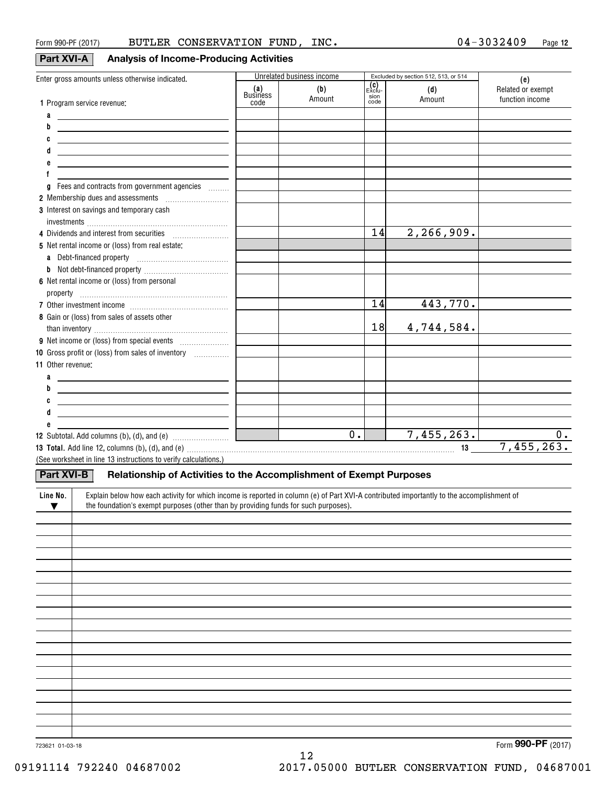## **Part XVI-A Analysis of Income-Producing Activities**

| Enter gross amounts unless otherwise indicated.                                                                                                       | (a)<br>Business | Unrelated business income<br>(b)<br>Amount | (C)<br>Exclu-<br>sion | Excluded by section 512, 513, or 514<br>(d) | (e)<br>Related or exempt |
|-------------------------------------------------------------------------------------------------------------------------------------------------------|-----------------|--------------------------------------------|-----------------------|---------------------------------------------|--------------------------|
| 1 Program service revenue:                                                                                                                            | code            |                                            | code                  | Amount                                      | function income          |
| a<br><u>and the control of the control of the control of</u>                                                                                          |                 |                                            |                       |                                             |                          |
| b                                                                                                                                                     |                 |                                            |                       |                                             |                          |
| C                                                                                                                                                     |                 |                                            |                       |                                             |                          |
| d                                                                                                                                                     |                 |                                            |                       |                                             |                          |
|                                                                                                                                                       |                 |                                            |                       |                                             |                          |
|                                                                                                                                                       |                 |                                            |                       |                                             |                          |
| Fees and contracts from government agencies<br>g                                                                                                      |                 |                                            |                       |                                             |                          |
| 2 Membership dues and assessments [111] Membership dues and assessments                                                                               |                 |                                            |                       |                                             |                          |
| 3 Interest on savings and temporary cash                                                                                                              |                 |                                            |                       |                                             |                          |
|                                                                                                                                                       |                 |                                            |                       |                                             |                          |
| 4 Dividends and interest from securities                                                                                                              |                 |                                            | 14                    | 2, 266, 909.                                |                          |
| 5 Net rental income or (loss) from real estate:                                                                                                       |                 |                                            |                       |                                             |                          |
|                                                                                                                                                       |                 |                                            |                       |                                             |                          |
|                                                                                                                                                       |                 |                                            |                       |                                             |                          |
| 6 Net rental income or (loss) from personal                                                                                                           |                 |                                            |                       |                                             |                          |
|                                                                                                                                                       |                 |                                            |                       |                                             |                          |
|                                                                                                                                                       |                 |                                            | 14                    | 443,770.                                    |                          |
| 8 Gain or (loss) from sales of assets other                                                                                                           |                 |                                            | 18                    |                                             |                          |
|                                                                                                                                                       |                 |                                            |                       | 4,744,584.                                  |                          |
|                                                                                                                                                       |                 |                                            |                       |                                             |                          |
| 10 Gross profit or (loss) from sales of inventory                                                                                                     |                 |                                            |                       |                                             |                          |
| <b>11 Other revenue:</b>                                                                                                                              |                 |                                            |                       |                                             |                          |
| a<br><u> 1989 - Johann John Stein, fransk politik (f. 1989)</u>                                                                                       |                 |                                            |                       |                                             |                          |
| b                                                                                                                                                     |                 |                                            |                       |                                             |                          |
| C<br><u> 1989 - Johann Stein, marwolaethau a bhann an t-Amhainn an t-Amhainn an t-Amhainn an t-Amhainn an t-Amhainn an</u>                            |                 |                                            |                       |                                             |                          |
|                                                                                                                                                       |                 |                                            |                       |                                             |                          |
|                                                                                                                                                       |                 | $\overline{0}$ .                           |                       | 7,455,263.                                  | 0.                       |
|                                                                                                                                                       |                 |                                            |                       |                                             | 7,455,263.               |
| (See worksheet in line 13 instructions to verify calculations.)                                                                                       |                 |                                            |                       |                                             |                          |
|                                                                                                                                                       |                 |                                            |                       |                                             |                          |
| <b>Part XVI-B</b><br>Relationship of Activities to the Accomplishment of Exempt Purposes                                                              |                 |                                            |                       |                                             |                          |
| Explain below how each activity for which income is reported in column (e) of Part XVI-A contributed importantly to the accomplishment of<br>Line No. |                 |                                            |                       |                                             |                          |
| the foundation's exempt purposes (other than by providing funds for such purposes).<br>$\blacktriangledown$                                           |                 |                                            |                       |                                             |                          |
|                                                                                                                                                       |                 |                                            |                       |                                             |                          |
|                                                                                                                                                       |                 |                                            |                       |                                             |                          |
|                                                                                                                                                       |                 |                                            |                       |                                             |                          |
|                                                                                                                                                       |                 |                                            |                       |                                             |                          |
|                                                                                                                                                       |                 |                                            |                       |                                             |                          |
|                                                                                                                                                       |                 |                                            |                       |                                             |                          |
|                                                                                                                                                       |                 |                                            |                       |                                             |                          |
|                                                                                                                                                       |                 |                                            |                       |                                             |                          |
|                                                                                                                                                       |                 |                                            |                       |                                             |                          |
|                                                                                                                                                       |                 |                                            |                       |                                             |                          |
|                                                                                                                                                       |                 |                                            |                       |                                             |                          |
|                                                                                                                                                       |                 |                                            |                       |                                             |                          |
|                                                                                                                                                       |                 |                                            |                       |                                             |                          |
|                                                                                                                                                       |                 |                                            |                       |                                             |                          |
|                                                                                                                                                       |                 |                                            |                       |                                             |                          |

723621 01-03-18

Form (2017) **990-PF**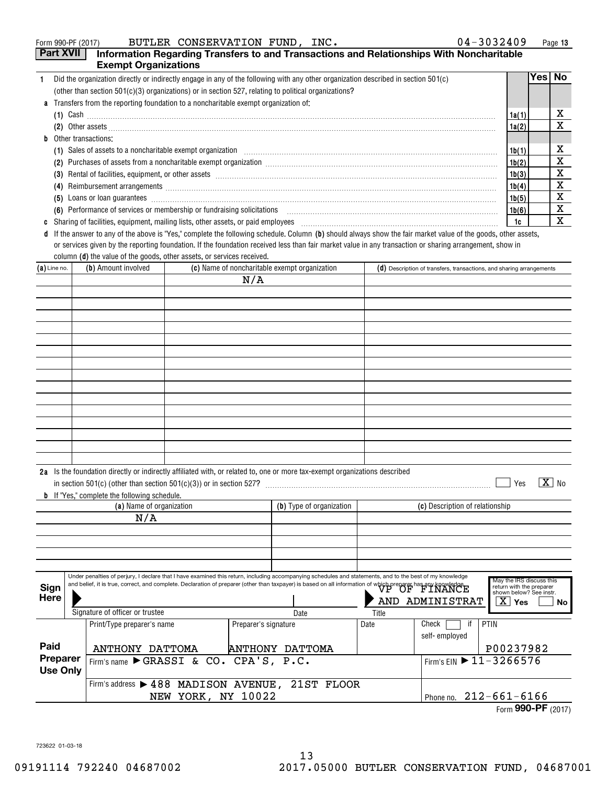|    | $04 - 3032409$<br>BUTLER CONSERVATION FUND, INC.<br>Form 990-PF (2017)                                                                                                                                                                                                                                                                  |       |      | Page 13 |
|----|-----------------------------------------------------------------------------------------------------------------------------------------------------------------------------------------------------------------------------------------------------------------------------------------------------------------------------------------|-------|------|---------|
|    | <b>Part XVII</b><br>Information Regarding Transfers to and Transactions and Relationships With Noncharitable                                                                                                                                                                                                                            |       |      |         |
|    | <b>Exempt Organizations</b>                                                                                                                                                                                                                                                                                                             |       |      |         |
|    | Did the organization directly or indirectly engage in any of the following with any other organization described in section 501(c)                                                                                                                                                                                                      |       | Yes⊺ | No.     |
|    | (other than section $501(c)(3)$ organizations) or in section 527, relating to political organizations?                                                                                                                                                                                                                                  |       |      |         |
|    | <b>a</b> Transfers from the reporting foundation to a noncharitable exempt organization of:                                                                                                                                                                                                                                             |       |      |         |
|    | (1) Cash $\ldots$ $\ldots$ $\ldots$ $\ldots$ $\ldots$ $\ldots$ $\ldots$ $\ldots$ $\ldots$ $\ldots$ $\ldots$ $\ldots$ $\ldots$ $\ldots$ $\ldots$ $\ldots$ $\ldots$ $\ldots$ $\ldots$ $\ldots$ $\ldots$ $\ldots$ $\ldots$ $\ldots$ $\ldots$ $\ldots$ $\ldots$ $\ldots$ $\ldots$ $\ldots$ $\ldots$ $\ldots$ $\ldots$ $\ldots$ $\ldots$ $\$ | 1a(1) |      | х       |
|    |                                                                                                                                                                                                                                                                                                                                         | 1a(2) |      | х       |
| b. | Other transactions:                                                                                                                                                                                                                                                                                                                     |       |      |         |
|    | (1)                                                                                                                                                                                                                                                                                                                                     | 1b(1) |      | х       |
|    | Purchases of assets from a noncharitable exempt organization [11] manufacture manufacture contraction and annufacture manufacture exempt organization [11] manufacture manufacture exempt or game in the set of the set of the<br>(2)                                                                                                   | 1b(2) |      | x       |
|    | (3)                                                                                                                                                                                                                                                                                                                                     | 1b(3) |      | х       |
|    | Reimbursement arrangements [111] Allen and the contract of the contract of the contract of the contract of the contract of the contract of the contract of the contract of the contract of the contract of the contract of the<br>(4)                                                                                                   | 1b(4) |      | х       |
|    | Loans or loan guarantees <b>contract the contract of the contract of the contract of the contract of the contract of the contract of the contract of the contract of the contract of the contract of the contract of the contrac</b><br>(5)                                                                                             | 1b(5) |      | х       |
|    | (6) Performance of services or membership or fundraising solicitations [11] non-content content of services or membership or fundraising solicitations [11] non-content content of the Performance of Services or membership o                                                                                                          | 1b(6) |      | х       |
|    | Sharing of facilities, equipment, mailing lists, other assets, or paid employees                                                                                                                                                                                                                                                        | 1c    |      | х       |

**d** If the answer to any of the above is "Yes," complete the following schedule. Column (b) should always show the fair market value of the goods, other assets, column **(d)** the value of the goods, other assets, or services received. or services given by the reporting foundation. If the foundation received less than fair market value in any transaction or sharing arrangement, show in

| (b) Amount involved<br>(c) Name of noncharitable exempt organization<br>$(a)$ Line no.                                                                                                                                                                                                                                                           |  |                                                                                                                                                                                                                                                          |      |                        |                                                                                                     | $(d)$ Description of transfers, transactions, and sharing arrangements |                                 |                                        |
|--------------------------------------------------------------------------------------------------------------------------------------------------------------------------------------------------------------------------------------------------------------------------------------------------------------------------------------------------|--|----------------------------------------------------------------------------------------------------------------------------------------------------------------------------------------------------------------------------------------------------------|------|------------------------|-----------------------------------------------------------------------------------------------------|------------------------------------------------------------------------|---------------------------------|----------------------------------------|
|                                                                                                                                                                                                                                                                                                                                                  |  |                                                                                                                                                                                                                                                          |      | N/A                    |                                                                                                     |                                                                        |                                 |                                        |
|                                                                                                                                                                                                                                                                                                                                                  |  |                                                                                                                                                                                                                                                          |      |                        |                                                                                                     |                                                                        |                                 |                                        |
|                                                                                                                                                                                                                                                                                                                                                  |  |                                                                                                                                                                                                                                                          |      |                        |                                                                                                     |                                                                        |                                 |                                        |
|                                                                                                                                                                                                                                                                                                                                                  |  |                                                                                                                                                                                                                                                          |      |                        |                                                                                                     |                                                                        |                                 |                                        |
|                                                                                                                                                                                                                                                                                                                                                  |  |                                                                                                                                                                                                                                                          |      |                        |                                                                                                     |                                                                        |                                 |                                        |
|                                                                                                                                                                                                                                                                                                                                                  |  |                                                                                                                                                                                                                                                          |      |                        |                                                                                                     |                                                                        |                                 |                                        |
|                                                                                                                                                                                                                                                                                                                                                  |  |                                                                                                                                                                                                                                                          |      |                        |                                                                                                     |                                                                        |                                 |                                        |
|                                                                                                                                                                                                                                                                                                                                                  |  |                                                                                                                                                                                                                                                          |      |                        |                                                                                                     |                                                                        |                                 |                                        |
|                                                                                                                                                                                                                                                                                                                                                  |  |                                                                                                                                                                                                                                                          |      |                        |                                                                                                     |                                                                        |                                 |                                        |
|                                                                                                                                                                                                                                                                                                                                                  |  |                                                                                                                                                                                                                                                          |      |                        |                                                                                                     |                                                                        |                                 |                                        |
|                                                                                                                                                                                                                                                                                                                                                  |  |                                                                                                                                                                                                                                                          |      |                        |                                                                                                     |                                                                        |                                 |                                        |
|                                                                                                                                                                                                                                                                                                                                                  |  |                                                                                                                                                                                                                                                          |      |                        |                                                                                                     |                                                                        |                                 |                                        |
|                                                                                                                                                                                                                                                                                                                                                  |  |                                                                                                                                                                                                                                                          |      |                        |                                                                                                     |                                                                        |                                 |                                        |
|                                                                                                                                                                                                                                                                                                                                                  |  |                                                                                                                                                                                                                                                          |      |                        |                                                                                                     |                                                                        |                                 |                                        |
|                                                                                                                                                                                                                                                                                                                                                  |  |                                                                                                                                                                                                                                                          |      |                        |                                                                                                     |                                                                        |                                 |                                        |
|                                                                                                                                                                                                                                                                                                                                                  |  | 2a Is the foundation directly or indirectly affiliated with, or related to, one or more tax-exempt organizations described<br>in section 501(c) (other than section 501(c)(3)) or in section 527?<br><b>b</b> If "Yes," complete the following schedule. |      |                        |                                                                                                     |                                                                        |                                 | $\boxed{\text{X}}$ No<br>Yes           |
|                                                                                                                                                                                                                                                                                                                                                  |  | (a) Name of organization                                                                                                                                                                                                                                 |      |                        | (b) Type of organization                                                                            |                                                                        | (c) Description of relationship |                                        |
|                                                                                                                                                                                                                                                                                                                                                  |  | N/A                                                                                                                                                                                                                                                      |      |                        |                                                                                                     |                                                                        |                                 |                                        |
|                                                                                                                                                                                                                                                                                                                                                  |  |                                                                                                                                                                                                                                                          |      |                        |                                                                                                     |                                                                        |                                 |                                        |
|                                                                                                                                                                                                                                                                                                                                                  |  |                                                                                                                                                                                                                                                          |      |                        |                                                                                                     |                                                                        |                                 |                                        |
|                                                                                                                                                                                                                                                                                                                                                  |  |                                                                                                                                                                                                                                                          |      |                        |                                                                                                     |                                                                        |                                 |                                        |
|                                                                                                                                                                                                                                                                                                                                                  |  |                                                                                                                                                                                                                                                          |      |                        |                                                                                                     |                                                                        |                                 |                                        |
| Under penalties of perjury, I declare that I have examined this return, including accompanying schedules and statements, and to the best of my knowledge<br>and belief, it is true, correct, and complete. Declaration of preparer (other than taxpayer) is based on all information of which preparer has any knowledge.<br>Sign<br><b>Here</b> |  |                                                                                                                                                                                                                                                          |      | AND ADMINISTRAT        | May the IRS discuss this<br>return with the preparer<br>shown below? See instr.<br>ΧI<br>Yes<br>No. |                                                                        |                                 |                                        |
| Signature of officer or trustee                                                                                                                                                                                                                                                                                                                  |  |                                                                                                                                                                                                                                                          | Date | Title                  |                                                                                                     |                                                                        |                                 |                                        |
|                                                                                                                                                                                                                                                                                                                                                  |  | Print/Type preparer's name                                                                                                                                                                                                                               |      | Preparer's signature   |                                                                                                     | Date                                                                   | if<br>Check                     | PTIN                                   |
|                                                                                                                                                                                                                                                                                                                                                  |  |                                                                                                                                                                                                                                                          |      |                        |                                                                                                     | self-employed                                                          |                                 |                                        |
| Paid                                                                                                                                                                                                                                                                                                                                             |  | ANTHONY DATTOMA                                                                                                                                                                                                                                          |      | <b>ANTHONY DATTOMA</b> |                                                                                                     |                                                                        |                                 | P00237982                              |
| Preparer<br>Firm's name GRASSI & CO. CPA'S, P.C.<br><b>Use Only</b>                                                                                                                                                                                                                                                                              |  |                                                                                                                                                                                                                                                          |      |                        |                                                                                                     |                                                                        |                                 | Firm's EIN $\triangleright$ 11-3266576 |
|                                                                                                                                                                                                                                                                                                                                                  |  | Firm's address > 488 MADISON AVENUE, 21ST FLOOR                                                                                                                                                                                                          |      |                        |                                                                                                     |                                                                        |                                 |                                        |
|                                                                                                                                                                                                                                                                                                                                                  |  |                                                                                                                                                                                                                                                          |      |                        |                                                                                                     |                                                                        |                                 | Phone no. 212-661-6166                 |
| NEW YORK, NY 10022                                                                                                                                                                                                                                                                                                                               |  |                                                                                                                                                                                                                                                          |      |                        |                                                                                                     |                                                                        |                                 |                                        |

Phone no. 212-661-6166 Form (2017) **990-PF**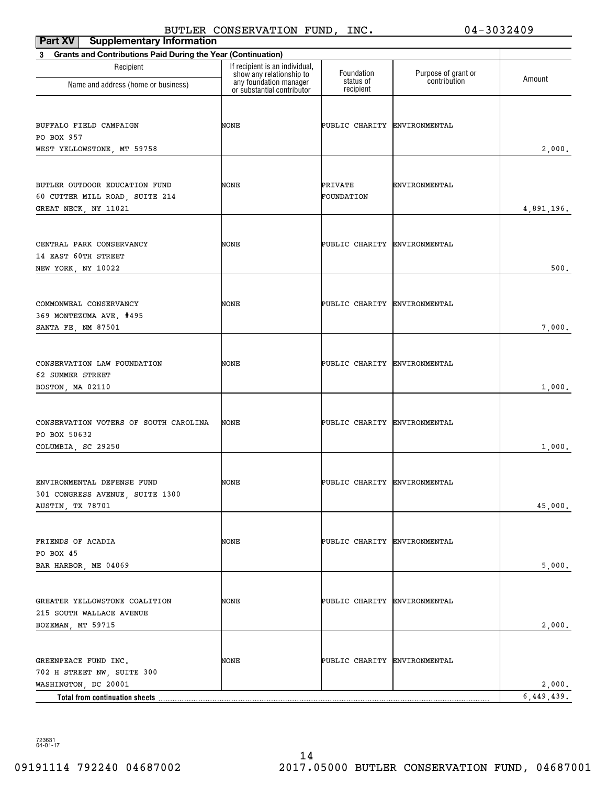| Part XV<br><b>Supplementary Information</b>                                             |                                                                                      |                              |                                     |                      |
|-----------------------------------------------------------------------------------------|--------------------------------------------------------------------------------------|------------------------------|-------------------------------------|----------------------|
| <b>Grants and Contributions Paid During the Year (Continuation)</b><br>3                |                                                                                      |                              |                                     |                      |
| Recipient<br>Name and address (home or business)                                        | If recipient is an individual,<br>show any relationship to<br>any foundation manager | Foundation<br>status of      | Purpose of grant or<br>contribution | Amount               |
|                                                                                         | or substantial contributor                                                           | recipient                    |                                     |                      |
| BUFFALO FIELD CAMPAIGN<br>PO BOX 957<br>WEST YELLOWSTONE, MT 59758                      | NONE                                                                                 | PUBLIC CHARITY ENVIRONMENTAL |                                     | 2,000.               |
|                                                                                         |                                                                                      |                              |                                     |                      |
| BUTLER OUTDOOR EDUCATION FUND<br>60 CUTTER MILL ROAD, SUITE 214<br>GREAT NECK, NY 11021 | NONE                                                                                 | PRIVATE<br>FOUNDATION        | ENVIRONMENTAL                       | 4,891,196.           |
| CENTRAL PARK CONSERVANCY<br>14 EAST 60TH STREET<br>NEW YORK, NY 10022                   | NONE                                                                                 | PUBLIC CHARITY ENVIRONMENTAL |                                     | 500.                 |
| COMMONWEAL CONSERVANCY<br>369 MONTEZUMA AVE. #495<br>SANTA FE, NM 87501                 | NONE                                                                                 | PUBLIC CHARITY ENVIRONMENTAL |                                     | 7,000.               |
|                                                                                         |                                                                                      |                              |                                     |                      |
| CONSERVATION LAW FOUNDATION<br>62 SUMMER STREET<br>BOSTON, MA 02110                     | NONE                                                                                 | PUBLIC CHARITY ENVIRONMENTAL |                                     | 1,000.               |
| CONSERVATION VOTERS OF SOUTH CAROLINA<br>PO BOX 50632<br>COLUMBIA, SC 29250             | NONE                                                                                 | PUBLIC CHARITY ENVIRONMENTAL |                                     | 1,000.               |
| ENVIRONMENTAL DEFENSE FUND<br>301 CONGRESS AVENUE, SUITE 1300<br>AUSTIN, TX 78701       | NONE                                                                                 | PUBLIC CHARITY ENVIRONMENTAL |                                     | 45,000.              |
|                                                                                         |                                                                                      |                              |                                     |                      |
| FRIENDS OF ACADIA<br>PO BOX 45<br>BAR HARBOR, ME 04069                                  | NONE                                                                                 | PUBLIC CHARITY ENVIRONMENTAL |                                     | 5,000.               |
| GREATER YELLOWSTONE COALITION<br>215 SOUTH WALLACE AVENUE<br>BOZEMAN, MT 59715          | NONE                                                                                 | PUBLIC CHARITY ENVIRONMENTAL |                                     | 2,000.               |
| GREENPEACE FUND INC.<br>702 H STREET NW, SUITE 300                                      | NONE                                                                                 | PUBLIC CHARITY ENVIRONMENTAL |                                     |                      |
| WASHINGTON, DC 20001<br>Total from continuation sheets.                                 |                                                                                      |                              |                                     | 2,000.<br>6,449,439. |
|                                                                                         |                                                                                      |                              |                                     |                      |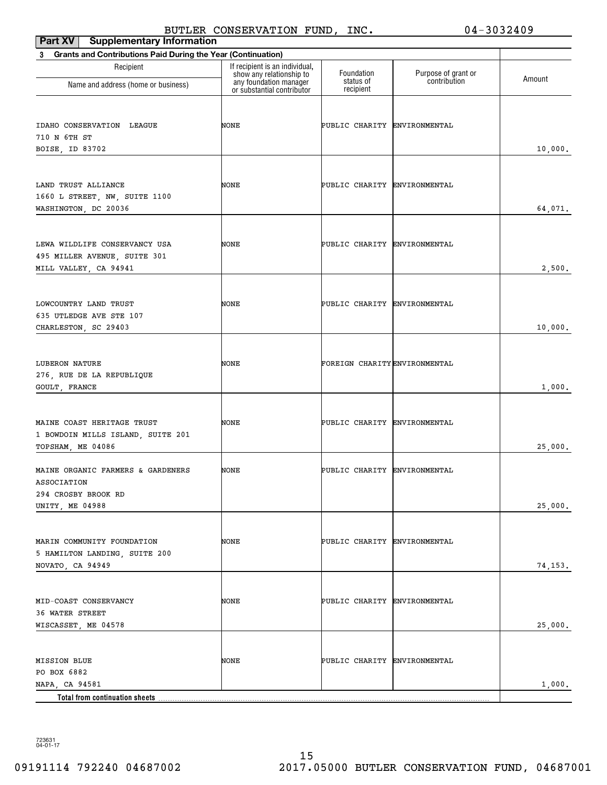| <b>Supplementary Information</b><br>Part XV                                                        | PQ                                                         |                              |                     | v= JVJ4=vJ         |
|----------------------------------------------------------------------------------------------------|------------------------------------------------------------|------------------------------|---------------------|--------------------|
| <b>Grants and Contributions Paid During the Year (Continuation)</b><br>3                           |                                                            |                              |                     |                    |
| Recipient                                                                                          | If recipient is an individual,<br>show any relationship to | Foundation                   | Purpose of grant or |                    |
| Name and address (home or business)                                                                | any foundation manager<br>or substantial contributor       | status of<br>recipient       | contribution        | Amount             |
| IDAHO CONSERVATION LEAGUE<br>710 N 6TH ST                                                          | NONE                                                       | PUBLIC CHARITY ENVIRONMENTAL |                     |                    |
| BOISE, ID 83702                                                                                    |                                                            |                              |                     | 10,000.            |
| LAND TRUST ALLIANCE<br>1660 L STREET, NW, SUITE 1100<br>WASHINGTON, DC 20036                       | NONE                                                       | PUBLIC CHARITY ENVIRONMENTAL |                     | 64,071.            |
| LEWA WILDLIFE CONSERVANCY USA<br>495 MILLER AVENUE, SUITE 301<br>MILL VALLEY, CA 94941             | NONE                                                       | PUBLIC CHARITY ENVIRONMENTAL |                     | 2,500.             |
| LOWCOUNTRY LAND TRUST<br>635 UTLEDGE AVE STE 107<br>CHARLESTON, SC 29403                           | NONE                                                       | PUBLIC CHARITY ENVIRONMENTAL |                     | 10,000.            |
| LUBERON NATURE<br>276, RUE DE LA REPUBLIQUE<br>GOULT, FRANCE                                       | NONE                                                       | FOREIGN CHARITYENVIRONMENTAL |                     | 1,000.             |
| MAINE COAST HERITAGE TRUST<br>1 BOWDOIN MILLS ISLAND, SUITE 201<br>TOPSHAM, ME 04086               | NONE                                                       | PUBLIC CHARITY ENVIRONMENTAL |                     | 25,000.            |
| MAINE ORGANIC FARMERS & GARDENERS<br>ASSOCIATION<br>294 CROSBY BROOK RD                            | NONE                                                       | PUBLIC CHARITY ENVIRONMENTAL |                     |                    |
| UNITY, ME 04988<br>MARIN COMMUNITY FOUNDATION<br>5 HAMILTON LANDING, SUITE 200<br>NOVATO, CA 94949 | NONE                                                       | PUBLIC CHARITY ENVIRONMENTAL |                     | 25,000.<br>74,153. |
| MID-COAST CONSERVANCY<br>36 WATER STREET<br>WISCASSET, ME 04578                                    | NONE                                                       | PUBLIC CHARITY ENVIRONMENTAL |                     | 25,000.            |
| <b>MISSION BLUE</b><br>PO BOX 6882<br>NAPA, CA 94581<br>Total from continuation sheets             | NONE                                                       | PUBLIC CHARITY ENVIRONMENTAL |                     | 1,000.             |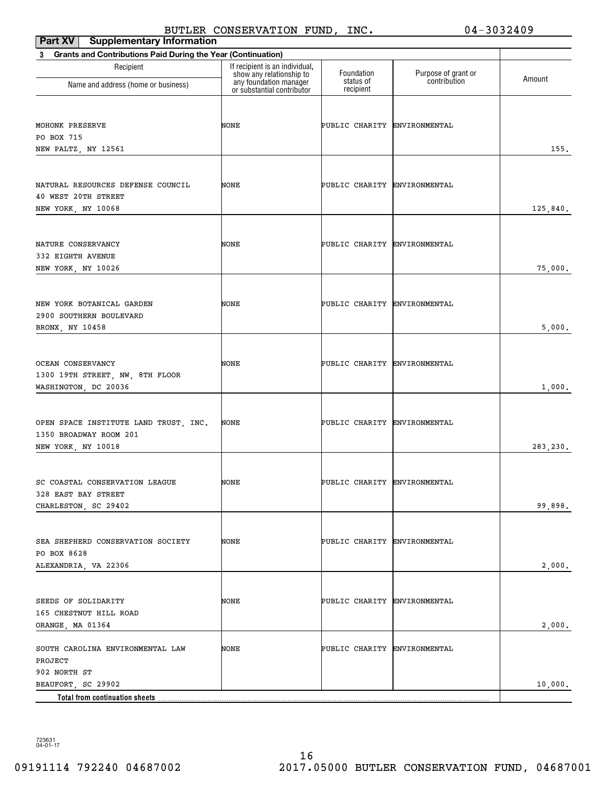BUTLER CONSERVATION FUND, INC. 04-3032409

| Part XV<br><b>Supplementary Information</b>                                           |                                                                                      |                              |                                     |          |
|---------------------------------------------------------------------------------------|--------------------------------------------------------------------------------------|------------------------------|-------------------------------------|----------|
| <b>Grants and Contributions Paid During the Year (Continuation)</b><br>3              |                                                                                      |                              |                                     |          |
| Recipient                                                                             | If recipient is an individual,<br>show any relationship to<br>any foundation manager | Foundation<br>status of      | Purpose of grant or<br>contribution | Amount   |
| Name and address (home or business)                                                   | or substantial contributor                                                           | recipient                    |                                     |          |
| MOHONK PRESERVE<br>PO BOX 715<br>NEW PALTZ, NY 12561                                  | NONE                                                                                 | PUBLIC CHARITY ENVIRONMENTAL |                                     | 155.     |
| NATURAL RESOURCES DEFENSE COUNCIL<br>40 WEST 20TH STREET<br>NEW YORK, NY 10068        | NONE                                                                                 | PUBLIC CHARITY ENVIRONMENTAL |                                     | 125,840. |
| NATURE CONSERVANCY<br>332 EIGHTH AVENUE<br>NEW YORK, NY 10026                         | NONE                                                                                 | PUBLIC CHARITY ENVIRONMENTAL |                                     | 75,000.  |
| NEW YORK BOTANICAL GARDEN<br>2900 SOUTHERN BOULEVARD<br>BRONX, NY 10458               | NONE                                                                                 | PUBLIC CHARITY ENVIRONMENTAL |                                     | 5,000.   |
| OCEAN CONSERVANCY<br>1300 19TH STREET, NW, 8TH FLOOR<br>WASHINGTON, DC 20036          | NONE                                                                                 | PUBLIC CHARITY ENVIRONMENTAL |                                     | 1,000.   |
| OPEN SPACE INSTITUTE LAND TRUST, INC.<br>1350 BROADWAY ROOM 201<br>NEW YORK, NY 10018 | NONE                                                                                 | PUBLIC CHARITY ENVIRONMENTAL |                                     | 283,230. |
| SC COASTAL CONSERVATION LEAGUE<br>328 EAST BAY STREET<br>CHARLESTON, SC 29402         | NONE                                                                                 | PUBLIC CHARITY ENVIRONMENTAL |                                     | 99,898.  |
| SEA SHEPHERD CONSERVATION SOCIETY<br>PO BOX 8628<br>ALEXANDRIA, VA 22306              | NONE                                                                                 | PUBLIC CHARITY ENVIRONMENTAL |                                     | 2,000.   |
| SEEDS OF SOLIDARITY<br>165 CHESTNUT HILL ROAD<br>ORANGE, MA 01364                     | NONE                                                                                 | PUBLIC CHARITY ENVIRONMENTAL |                                     | 2,000.   |
| SOUTH CAROLINA ENVIRONMENTAL LAW<br>PROJECT<br>902 NORTH ST                           | NONE                                                                                 | PUBLIC CHARITY ENVIRONMENTAL |                                     |          |
| BEAUFORT, SC 29902                                                                    |                                                                                      |                              |                                     | 10,000.  |
| Total from continuation sheets.                                                       |                                                                                      |                              |                                     |          |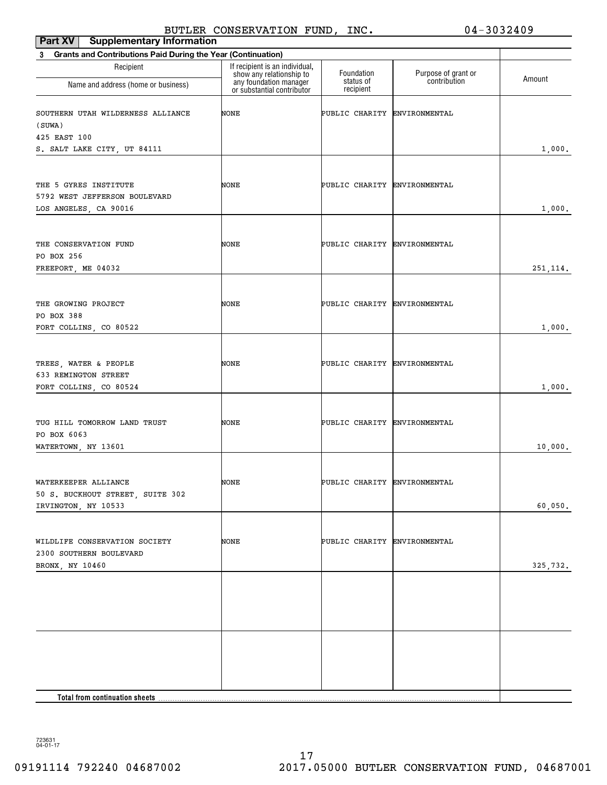| Part XV<br><b>Supplementary Information</b>                                        |                                                            |                              |                                     |           |
|------------------------------------------------------------------------------------|------------------------------------------------------------|------------------------------|-------------------------------------|-----------|
| <b>Grants and Contributions Paid During the Year (Continuation)</b><br>$3^{\circ}$ |                                                            |                              |                                     |           |
| Recipient                                                                          | If recipient is an individual,<br>show any relationship to | Foundation<br>status of      | Purpose of grant or<br>contribution | Amount    |
| Name and address (home or business)                                                | any foundation manager<br>or substantial contributor       | recipient                    |                                     |           |
| SOUTHERN UTAH WILDERNESS ALLIANCE<br>(SUWA)                                        | NONE                                                       | PUBLIC CHARITY ENVIRONMENTAL |                                     |           |
| 425 EAST 100<br>S. SALT LAKE CITY, UT 84111                                        |                                                            |                              |                                     | 1,000.    |
|                                                                                    |                                                            |                              |                                     |           |
| THE 5 GYRES INSTITUTE<br>5792 WEST JEFFERSON BOULEVARD<br>LOS ANGELES, CA 90016    | NONE                                                       | PUBLIC CHARITY ENVIRONMENTAL |                                     | 1,000.    |
|                                                                                    |                                                            |                              |                                     |           |
| THE CONSERVATION FUND<br>PO BOX 256                                                | NONE                                                       | PUBLIC CHARITY ENVIRONMENTAL |                                     |           |
| FREEPORT, ME 04032                                                                 |                                                            |                              |                                     | 251, 114. |
| THE GROWING PROJECT<br>PO BOX 388                                                  | NONE                                                       | PUBLIC CHARITY ENVIRONMENTAL |                                     |           |
| FORT COLLINS, CO 80522                                                             |                                                            |                              |                                     | 1,000.    |
|                                                                                    |                                                            |                              |                                     |           |
| TREES, WATER & PEOPLE<br>633 REMINGTON STREET<br>FORT COLLINS, CO 80524            | NONE                                                       | PUBLIC CHARITY ENVIRONMENTAL |                                     | 1,000.    |
|                                                                                    |                                                            |                              |                                     |           |
| TUG HILL TOMORROW LAND TRUST<br>PO BOX 6063                                        | NONE                                                       | PUBLIC CHARITY ENVIRONMENTAL |                                     |           |
| WATERTOWN, NY 13601                                                                |                                                            |                              |                                     | 10,000.   |
| WATERKEEPER ALLIANCE<br>50 S. BUCKHOUT STREET, SUITE 302                           | NONE                                                       | PUBLIC CHARITY ENVIRONMENTAL |                                     |           |
| IRVINGTON, NY 10533                                                                |                                                            |                              |                                     | 60,050.   |
| WILDLIFE CONSERVATION SOCIETY<br>2300 SOUTHERN BOULEVARD                           | NONE                                                       | PUBLIC CHARITY ENVIRONMENTAL |                                     |           |
| BRONX, NY 10460                                                                    |                                                            |                              |                                     | 325,732.  |
|                                                                                    |                                                            |                              |                                     |           |
|                                                                                    |                                                            |                              |                                     |           |
|                                                                                    |                                                            |                              |                                     |           |
|                                                                                    |                                                            |                              |                                     |           |
|                                                                                    |                                                            |                              |                                     |           |
|                                                                                    |                                                            |                              |                                     |           |
|                                                                                    |                                                            |                              |                                     |           |
|                                                                                    |                                                            |                              |                                     |           |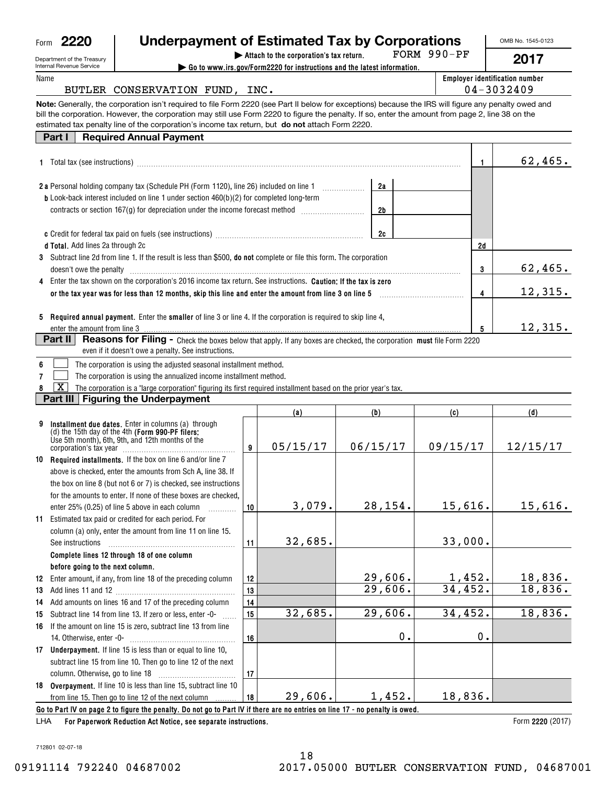| Form | <b>Underpayment of Estimated Tax by Corporations</b><br>2220                                                                                                                                                                                         |    |                                                                         |               |             |               | OMB No. 1545-0123              |
|------|------------------------------------------------------------------------------------------------------------------------------------------------------------------------------------------------------------------------------------------------------|----|-------------------------------------------------------------------------|---------------|-------------|---------------|--------------------------------|
|      | Department of the Treasury                                                                                                                                                                                                                           |    | Attach to the corporation's tax return.                                 |               | FORM 990-PF |               | 2017                           |
| Name | Internal Revenue Service                                                                                                                                                                                                                             |    | Go to www.irs.gov/Form2220 for instructions and the latest information. |               |             |               | Employer identification number |
|      | BUTLER CONSERVATION FUND, INC.                                                                                                                                                                                                                       |    |                                                                         |               |             |               | 04-3032409                     |
|      | Note: Generally, the corporation isn't required to file Form 2220 (see Part II below for exceptions) because the IRS will figure any penalty owed and                                                                                                |    |                                                                         |               |             |               |                                |
|      | bill the corporation. However, the corporation may still use Form 2220 to figure the penalty. If so, enter the amount from page 2, line 38 on the<br>estimated tax penalty line of the corporation's income tax return, but do not attach Form 2220. |    |                                                                         |               |             |               |                                |
|      | <b>Required Annual Payment</b><br>Part I                                                                                                                                                                                                             |    |                                                                         |               |             |               |                                |
|      |                                                                                                                                                                                                                                                      |    |                                                                         |               |             |               |                                |
|      |                                                                                                                                                                                                                                                      |    |                                                                         |               |             | 1.            | 62,465.                        |
|      | 2 a Personal holding company tax (Schedule PH (Form 1120), line 26) included on line 1                                                                                                                                                               |    |                                                                         | 2a            |             |               |                                |
|      | <b>b</b> Look-back interest included on line 1 under section 460(b)(2) for completed long-term                                                                                                                                                       |    |                                                                         |               |             |               |                                |
|      | contracts or section 167(g) for depreciation under the income forecast method <i>mummummmm</i>                                                                                                                                                       |    |                                                                         | 2b            |             |               |                                |
|      |                                                                                                                                                                                                                                                      |    |                                                                         |               |             |               |                                |
|      | d Total. Add lines 2a through 2c                                                                                                                                                                                                                     |    |                                                                         | 2c            |             | 2d            |                                |
|      | 3 Subtract line 2d from line 1. If the result is less than \$500, do not complete or file this form. The corporation                                                                                                                                 |    |                                                                         |               |             |               |                                |
|      | doesn't owe the penalty                                                                                                                                                                                                                              |    |                                                                         |               |             | 3             | 62,465.                        |
| 4    | Enter the tax shown on the corporation's 2016 income tax return. See instructions. Caution: If the tax is zero                                                                                                                                       |    |                                                                         |               |             |               |                                |
|      | or the tax year was for less than 12 months, skip this line and enter the amount from line 3 on line 5                                                                                                                                               |    |                                                                         |               |             | 4             | 12,315.                        |
|      |                                                                                                                                                                                                                                                      |    |                                                                         |               |             |               |                                |
|      | 5 Required annual payment. Enter the smaller of line 3 or line 4. If the corporation is required to skip line 4,                                                                                                                                     |    |                                                                         |               |             |               |                                |
|      | enter the amount from line 3<br>Part II<br><b>Reasons for Filing -</b> Check the boxes below that apply. If any boxes are checked, the corporation must file Form 2220                                                                               |    |                                                                         |               |             | 5             | 12,315.                        |
|      | even if it doesn't owe a penalty. See instructions.                                                                                                                                                                                                  |    |                                                                         |               |             |               |                                |
| 6    | The corporation is using the adjusted seasonal installment method.                                                                                                                                                                                   |    |                                                                         |               |             |               |                                |
| 7    | The corporation is using the annualized income installment method.                                                                                                                                                                                   |    |                                                                         |               |             |               |                                |
|      | х<br>The corporation is a "large corporation" figuring its first required installment based on the prior year's tax.                                                                                                                                 |    |                                                                         |               |             |               |                                |
|      | Part III   Figuring the Underpayment                                                                                                                                                                                                                 |    |                                                                         |               |             |               |                                |
|      |                                                                                                                                                                                                                                                      |    | (a)                                                                     | (b)           | (c)         |               | (d)                            |
| 9    | Installment due dates. Enter in columns (a) through<br>(d) the 15th day of the 4th (Form 990-PF filers:                                                                                                                                              |    |                                                                         |               |             |               |                                |
|      | Use 5th month), 6th, 9th, and 12th months of the                                                                                                                                                                                                     | 9  | 05/15/17                                                                | 06/15/17      | 09/15/17    |               | 12/15/17                       |
| 10   | Required installments. If the box on line 6 and/or line 7                                                                                                                                                                                            |    |                                                                         |               |             |               |                                |
|      | above is checked, enter the amounts from Sch A, line 38. If                                                                                                                                                                                          |    |                                                                         |               |             |               |                                |
|      | the box on line 8 (but not 6 or 7) is checked, see instructions                                                                                                                                                                                      |    |                                                                         |               |             |               |                                |
|      | for the amounts to enter. If none of these boxes are checked,                                                                                                                                                                                        |    |                                                                         |               |             |               |                                |
|      | enter 25% (0.25) of line 5 above in each column<br>.                                                                                                                                                                                                 | 10 | 3,079.                                                                  | 28,154.       | 15,616.     |               | 15,616.                        |
| 11   | Estimated tax paid or credited for each period. For                                                                                                                                                                                                  |    |                                                                         |               |             |               |                                |
|      | column (a) only, enter the amount from line 11 on line 15.                                                                                                                                                                                           |    |                                                                         |               |             |               |                                |
|      | See instructions                                                                                                                                                                                                                                     | 11 | 32,685.                                                                 |               | 33,000.     |               |                                |
|      | Complete lines 12 through 18 of one column<br>before going to the next column.                                                                                                                                                                       |    |                                                                         |               |             |               |                                |
| 12   | Enter amount, if any, from line 18 of the preceding column                                                                                                                                                                                           | 12 |                                                                         | 29,606.       | 1,452.      |               | 18,836.                        |
| 13   |                                                                                                                                                                                                                                                      | 13 |                                                                         | 29,606.       | 34,452.     |               | 18,836.                        |
| 14   | Add amounts on lines 16 and 17 of the preceding column                                                                                                                                                                                               | 14 |                                                                         |               |             |               |                                |
| 15   | Subtract line 14 from line 13. If zero or less, enter -0-                                                                                                                                                                                            | 15 | 32,685.                                                                 | 29,606.       | 34,452.     |               | 18,836.                        |
| 16   | If the amount on line 15 is zero, subtract line 13 from line                                                                                                                                                                                         |    |                                                                         |               |             |               |                                |
|      |                                                                                                                                                                                                                                                      | 16 |                                                                         | $\mathbf 0$ . |             | $\mathbf 0$ . |                                |
| 17   | <b>Underpayment.</b> If line 15 is less than or equal to line 10,                                                                                                                                                                                    |    |                                                                         |               |             |               |                                |
|      | subtract line 15 from line 10. Then go to line 12 of the next                                                                                                                                                                                        | 17 |                                                                         |               |             |               |                                |
| 18   | Overpayment. If line 10 is less than line 15, subtract line 10                                                                                                                                                                                       |    |                                                                         |               |             |               |                                |
|      | from line 15. Then go to line 12 of the next column                                                                                                                                                                                                  | 18 | 29,606.                                                                 | 1,452.        | 18,836.     |               |                                |

**Go to Part IV on page 2 to figure the penalty. Do not go to Part IV if there are no entries on line 17 - no penalty is owed.**

**For Paperwork Reduction Act Notice, see separate instructions.** LHA

Form 2220 (2017)

712801 02-07-18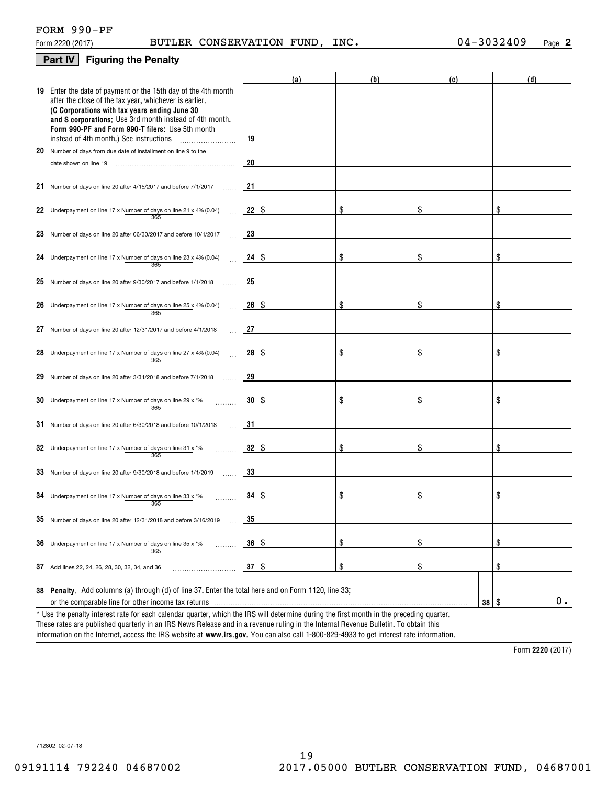## **Part IV Figuring the Penalty**

|    |                                                                                                                                                                                                                                                                                                                                    |                 | (a) | (b) | (c) |    | (d)             |  |  |
|----|------------------------------------------------------------------------------------------------------------------------------------------------------------------------------------------------------------------------------------------------------------------------------------------------------------------------------------|-----------------|-----|-----|-----|----|-----------------|--|--|
|    | 19 Enter the date of payment or the 15th day of the 4th month<br>after the close of the tax year, whichever is earlier.<br>(C Corporations with tax years ending June 30<br>and S corporations: Use 3rd month instead of 4th month.<br>Form 990-PF and Form 990-T filers: Use 5th month<br>instead of 4th month.) See instructions | 19              |     |     |     |    |                 |  |  |
|    | .<br>20 Number of days from due date of installment on line 9 to the                                                                                                                                                                                                                                                               |                 |     |     |     |    |                 |  |  |
|    | date shown on line 19                                                                                                                                                                                                                                                                                                              | 20              |     |     |     |    |                 |  |  |
|    |                                                                                                                                                                                                                                                                                                                                    |                 |     |     |     |    |                 |  |  |
|    | 21 Number of days on line 20 after 4/15/2017 and before 7/1/2017                                                                                                                                                                                                                                                                   | 21              |     |     |     |    |                 |  |  |
|    | 22 Underpayment on line 17 x Number of days on line 21 x 4% (0.04)<br>365                                                                                                                                                                                                                                                          | $22$   \$       |     | S   | \$  |    |                 |  |  |
|    | 23 Number of days on line 20 after 06/30/2017 and before 10/1/2017                                                                                                                                                                                                                                                                 | 23              |     |     |     |    |                 |  |  |
|    | 24 Underpayment on line 17 x Number of days on line 23 x 4% (0.04)<br>365                                                                                                                                                                                                                                                          | 24              | -\$ | \$  | \$  |    | \$              |  |  |
|    | 25 Number of days on line 20 after 9/30/2017 and before 1/1/2018                                                                                                                                                                                                                                                                   | 25              |     |     |     |    |                 |  |  |
|    | 26 Underpayment on line 17 x Number of days on line 25 x 4% (0.04)<br>365                                                                                                                                                                                                                                                          | 26 <sub>1</sub> | -\$ | \$  | \$  |    | \$              |  |  |
| 27 | Number of days on line 20 after 12/31/2017 and before 4/1/2018                                                                                                                                                                                                                                                                     | 27              |     |     |     |    |                 |  |  |
|    | 28 Underpayment on line 17 x Number of days on line 27 x 4% (0.04)<br>365                                                                                                                                                                                                                                                          | 28              | 8   | \$  | \$  |    |                 |  |  |
| 29 | Number of days on line 20 after 3/31/2018 and before 7/1/2018                                                                                                                                                                                                                                                                      | 29              |     |     |     |    |                 |  |  |
|    | 30 Underpayment on line 17 x Number of days on line 29 x $*$ %<br>365                                                                                                                                                                                                                                                              | 30 I            | 8   | \$  | \$  |    | \$              |  |  |
|    | 31 Number of days on line 20 after 6/30/2018 and before 10/1/2018                                                                                                                                                                                                                                                                  | 31              |     |     |     |    |                 |  |  |
|    | 32 Underpayment on line 17 x Number of days on line 31 x $*$ %<br>365                                                                                                                                                                                                                                                              | 32   \$         |     | \$  | \$  |    | \$              |  |  |
|    | 33 Number of days on line 20 after 9/30/2018 and before 1/1/2019                                                                                                                                                                                                                                                                   | 33              |     |     |     |    |                 |  |  |
|    | 34 Underpayment on line 17 x Number of days on line 33 x $*$ %<br>365                                                                                                                                                                                                                                                              | $34 \mid S$     |     | \$  | \$  |    | \$              |  |  |
|    | 35 Number of days on line 20 after 12/31/2018 and before 3/16/2019                                                                                                                                                                                                                                                                 | 35              |     |     |     |    |                 |  |  |
|    | 36 Underpayment on line 17 x Number of days on line 35 x $*$ %<br>.<br>365                                                                                                                                                                                                                                                         | $36 \mid$ \$    |     | \$  | \$  |    | \$              |  |  |
|    | 37 Add lines 22, 24, 26, 28, 30, 32, 34, and 36                                                                                                                                                                                                                                                                                    | $37 \mid$ \$    |     | \$  | \$  |    | \$              |  |  |
|    | 38 Penalty. Add columns (a) through (d) of line 37. Enter the total here and on Form 1120, line 33;                                                                                                                                                                                                                                |                 |     |     |     |    |                 |  |  |
|    | or the comparable line for other income tax returns                                                                                                                                                                                                                                                                                |                 |     |     |     | 38 | 0.<br><b>\$</b> |  |  |
|    | * Use the penalty interest rate for each calendar quarter, which the IRS will determine during the first month in the preceding quarter.<br>These rates are published quarterly in an IRS News Release and in a revenue ruling in the Internal Revenue Bulletin. To obtain this                                                    |                 |     |     |     |    |                 |  |  |

information on the Internet, access the IRS website at **www.irs.gov**. You can also call 1-800-829-4933 to get interest rate information.

**2220**  Form (2017)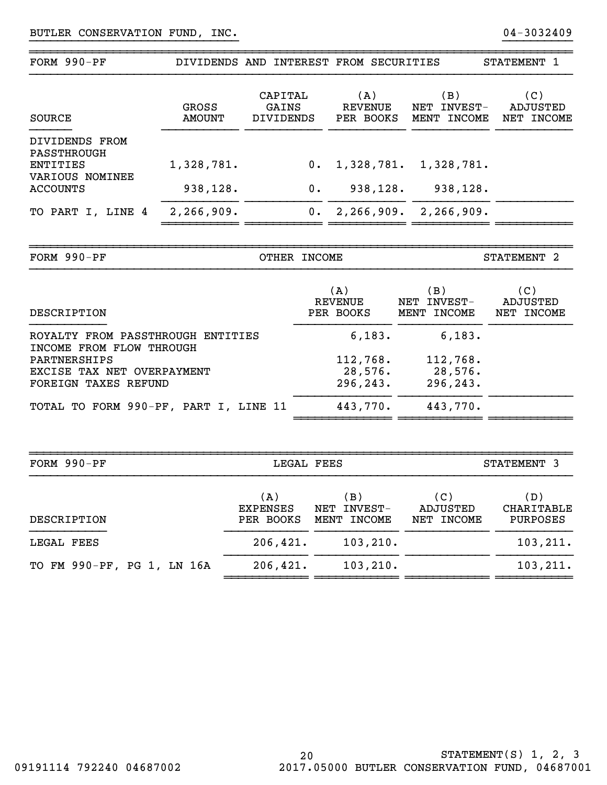| FORM 990-PF                               |                 | DIVIDENDS AND INTEREST FROM SECURITIES |                                    |                                   | STATEMENT 1                   |
|-------------------------------------------|-----------------|----------------------------------------|------------------------------------|-----------------------------------|-------------------------------|
| SOURCE                                    | GROSS<br>AMOUNT | CAPITAL<br>GAINS<br><b>DIVIDENDS</b>   | (A)<br><b>REVENUE</b><br>PER BOOKS | (B)<br>NET INVEST-<br>MENT INCOME | (C)<br>ADJUSTED<br>NET INCOME |
| DIVIDENDS FROM<br>PASSTHROUGH<br>ENTITIES | 1,328,781.      | $0$ .                                  | 1,328,781.                         | 1,328,781.                        |                               |
| VARIOUS NOMINEE<br><b>ACCOUNTS</b>        | 938,128.        | 0.                                     | 938,128.                           | 938,128.                          |                               |
| TO PART I, LINE 4                         | 2,266,909.      | 0.                                     | 2,266,909.                         | 2,266,909.                        |                               |
|                                           |                 |                                        |                                    |                                   |                               |

}}}}}}}}}}}}}}}}}}}}}}}}}}}}}} }}}}}}}}}}

~~~~~~~~~~~~~~~~~~~~~~~~~~~~~~~~~~~~~~~~~~~~~~~~~~~~~~~~~~~~~~~~~~~~~~~~~~~~~~

| FORM 990-PF                                                   | OTHER INCOME                |                                   | STATEMENT <sub>2</sub>        |
|---------------------------------------------------------------|-----------------------------|-----------------------------------|-------------------------------|
| DESCRIPTION                                                   | (A)<br>REVENUE<br>PER BOOKS | (B)<br>NET INVEST-<br>MENT INCOME | (C)<br>ADJUSTED<br>NET INCOME |
| ROYALTY FROM PASSTHROUGH ENTITIES<br>INCOME FROM FLOW THROUGH | 6,183.                      | 6,183.                            |                               |
| PARTNERSHIPS                                                  | 112,768.                    | 112,768.                          |                               |
| EXCISE TAX NET OVERPAYMENT                                    | 28,576.                     | 28,576.                           |                               |
| FOREIGN TAXES REFUND                                          | 296, 243.                   | 296,243.                          |                               |
| TOTAL TO FORM 990-PF, PART I, LINE 11                         | 443,770.                    | 443,770.                          |                               |
|                                                               |                             |                                   |                               |
|                                                               |                             |                                   |                               |

| FORM $990-PF$              | LEGAL FEES                          |                                     | STATEMENT 3                   |                                      |  |
|----------------------------|-------------------------------------|-------------------------------------|-------------------------------|--------------------------------------|--|
| DESCRIPTION                | (A)<br><b>EXPENSES</b><br>PER BOOKS | B)<br>INVEST-<br>NET<br>MENT INCOME | (C)<br>ADJUSTED<br>NET INCOME | (D)<br>CHARITABLE<br><b>PURPOSES</b> |  |
| LEGAL FEES                 | 206, 421.                           | 103, 210.                           |                               | 103, 211.                            |  |
| TO FM 990-PF, PG 1, LN 16A | 206, 421.                           | 103, 210.                           |                               | 103, 211.                            |  |

~~~~~~~~~~~~~~~~~~~~~~~~~~~~~~~~~~~~~~~~~~~~~~~~~~~~~~~~~~~~~~~~~~~~~~~~~~~~~~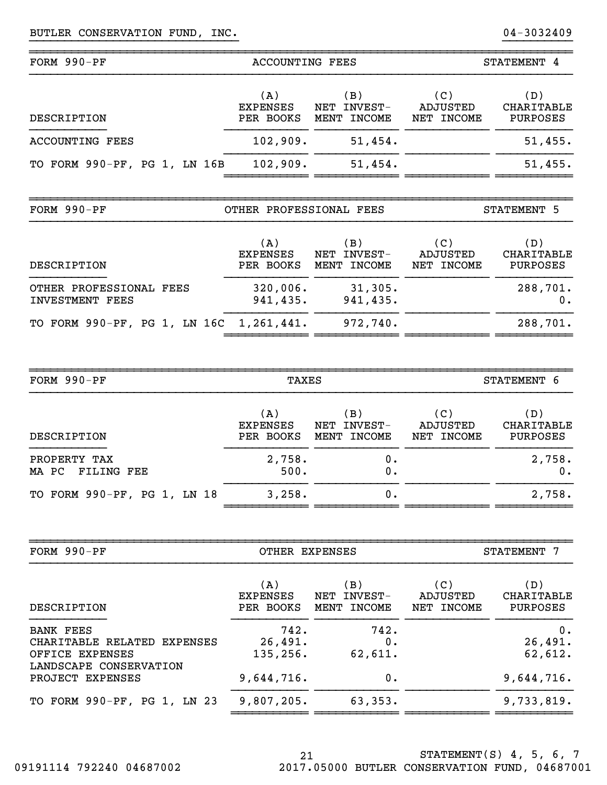| FORM 990-PF                                                        | <b>ACCOUNTING FEES</b>              |                                   | STATEMENT 4                          |                                      |  |
|--------------------------------------------------------------------|-------------------------------------|-----------------------------------|--------------------------------------|--------------------------------------|--|
| DESCRIPTION                                                        | (A)<br><b>EXPENSES</b><br>PER BOOKS | (B)<br>NET INVEST-<br>MENT INCOME | (C)<br>ADJUSTED<br>NET INCOME        | (D)<br>CHARITABLE<br><b>PURPOSES</b> |  |
| <b>ACCOUNTING FEES</b>                                             | 102,909.                            | 51,454.                           |                                      | 51,455.                              |  |
| TO FORM 990-PF, PG 1, LN 16B                                       | 102,909.                            | 51,454.                           |                                      | 51,455.                              |  |
| FORM 990-PF                                                        | OTHER PROFESSIONAL FEES             |                                   |                                      | STATEMENT 5                          |  |
| DESCRIPTION                                                        | (A)<br><b>EXPENSES</b><br>PER BOOKS | (B)<br>NET INVEST-<br>MENT INCOME | (C)<br><b>ADJUSTED</b><br>NET INCOME | (D)<br><b>CHARITABLE</b><br>PURPOSES |  |
| OTHER PROFESSIONAL FEES<br><b>INVESTMENT FEES</b>                  | 320,006.<br>941,435.                | 31,305.<br>941,435.               |                                      | 288,701.<br>0.                       |  |
| TO FORM 990-PF, PG 1, LN 16C                                       | 1,261,441.                          | 972,740.                          |                                      | 288,701.                             |  |
| FORM 990-PF                                                        | <b>TAXES</b>                        |                                   |                                      | STATEMENT 6                          |  |
|                                                                    | (A)<br><b>EXPENSES</b>              | (B)<br>NET INVEST-                | (C)<br>ADJUSTED                      | (D)<br>CHARITABLE                    |  |
| DESCRIPTION<br>PROPERTY TAX                                        | PER BOOKS<br>2,758.                 | MENT INCOME<br>0.                 | NET INCOME                           | PURPOSES<br>2,758.                   |  |
| <b>FILING FEE</b><br>MA PC                                         | 500.                                | 0.                                |                                      | 0.                                   |  |
| TO FORM 990-PF, PG 1, LN 18                                        | 3,258.                              | 0.                                |                                      | 2,758.                               |  |
| FORM 990-PF                                                        | OTHER EXPENSES                      |                                   |                                      | STATEMENT 7                          |  |
|                                                                    |                                     |                                   |                                      |                                      |  |
| DESCRIPTION                                                        | (A)<br><b>EXPENSES</b><br>PER BOOKS | (B)<br>NET INVEST-<br>MENT INCOME | (C)<br><b>ADJUSTED</b><br>NET INCOME | (D)<br>CHARITABLE<br>PURPOSES        |  |
| <b>BANK FEES</b><br>CHARITABLE RELATED EXPENSES<br>OFFICE EXPENSES | 742.<br>26,491.<br>135,256.         | 742.<br>0.<br>62,611.             |                                      | 0.<br>26,491.<br>62,612.             |  |
| LANDSCAPE CONSERVATION<br>PROJECT EXPENSES                         | 9,644,716.                          | 0.                                |                                      | 9,644,716.                           |  |
| TO FORM 990-PF, PG 1, LN 23                                        | 9,807,205.                          | 63,353.                           |                                      | 9,733,819.                           |  |

~~~~~~~~~~~ ~~~~~~~~~~~~ ~~~~~~~~~~~~ ~~~~~~~~~~~

}}}}}}}}}}}}}}}}}}}}}}}}}}}}}} }}}}}}}}}}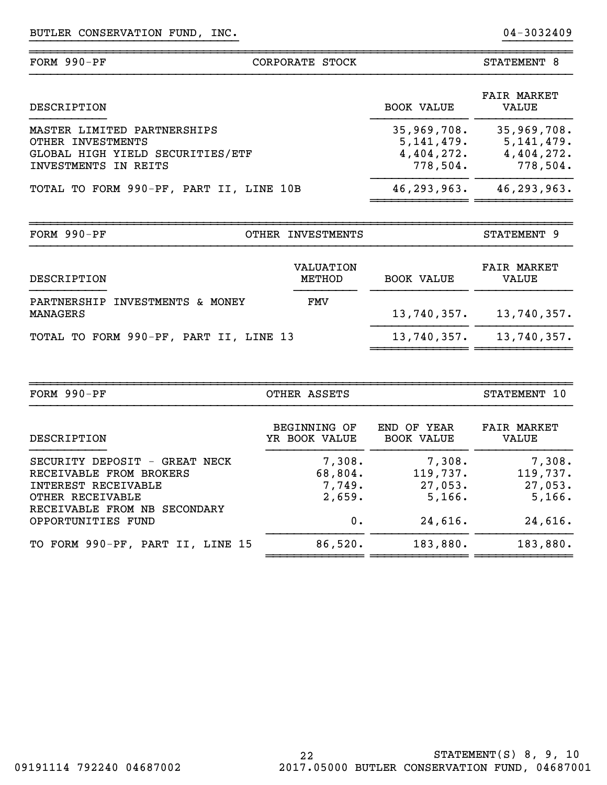}}}}}}}}}}}}}} }}}}}}}}}}}}}}

| FORM $990-PF$                                                                                                          |                                                     | STATEMENT 8                                         |                             |
|------------------------------------------------------------------------------------------------------------------------|-----------------------------------------------------|-----------------------------------------------------|-----------------------------|
| DESCRIPTION                                                                                                            |                                                     | <b>BOOK VALUE</b>                                   | <b>FAIR MARKET</b><br>VALUE |
| MASTER LIMITED PARTNERSHIPS<br>OTHER INVESTMENTS<br>GLOBAL HIGH YIELD SECURITIES/ETF<br><b>INVESTMENTS</b><br>IN REITS | 35,969,708.<br>5,141,479.<br>4,404,272.<br>778,504. | 35,969,708.<br>5,141,479.<br>4,404,272.<br>778,504. |                             |
| TOTAL TO FORM 990-PF, PART II, LINE 10B                                                                                |                                                     | 46, 293, 963.                                       | 46,293,963.                 |
| FORM $990-PF$                                                                                                          | <b>INVESTMENTS</b><br>OTHER                         |                                                     | STATEMENT 9                 |
| DESCRIPTION                                                                                                            | VALUATION<br>METHOD                                 | <b>BOOK VALUE</b>                                   | <b>FAIR MARKET</b><br>VALUE |
| PARTNERSHIP<br>INVESTMENTS & MONEY<br>MANAGERS                                                                         | FMV                                                 | 13,740,357.                                         | 13,740,357.                 |

}}}}}}}}}}}}}}}}}}}}}}}}}}}}}} }}}}}}}}}}

TOTAL TO FORM 990-PF, PART II, LINE 13 13,740,357. 13,740,357.

| FORM $990-PF$                                                                                       | OTHER ASSETS                          |                                         |                                         |  |  |
|-----------------------------------------------------------------------------------------------------|---------------------------------------|-----------------------------------------|-----------------------------------------|--|--|
| DESCRIPTION                                                                                         | <b>BEGINNING OF</b><br>YR BOOK VALUE  | END OF YEAR<br><b>BOOK VALUE</b>        | <b>FAIR MARKET</b><br>VALUE             |  |  |
| SECURITY DEPOSIT - GREAT NECK<br>RECEIVABLE FROM BROKERS<br>INTEREST RECEIVABLE<br>OTHER RECEIVABLE | 7,308.<br>68,804.<br>7,749.<br>2,659. | 7,308.<br>119,737.<br>27,053.<br>5,166. | 7,308.<br>119,737.<br>27,053.<br>5,166. |  |  |
| RECEIVABLE FROM NB SECONDARY<br>OPPORTUNITIES FUND                                                  | 0.                                    | 24,616.                                 | 24,616.                                 |  |  |
| TO FORM 990-PF, PART II, LINE 15                                                                    | 86,520.                               | 183,880.                                | 183,880.                                |  |  |

~~~~~~~~~~~~~~ ~~~~~~~~~~~~~~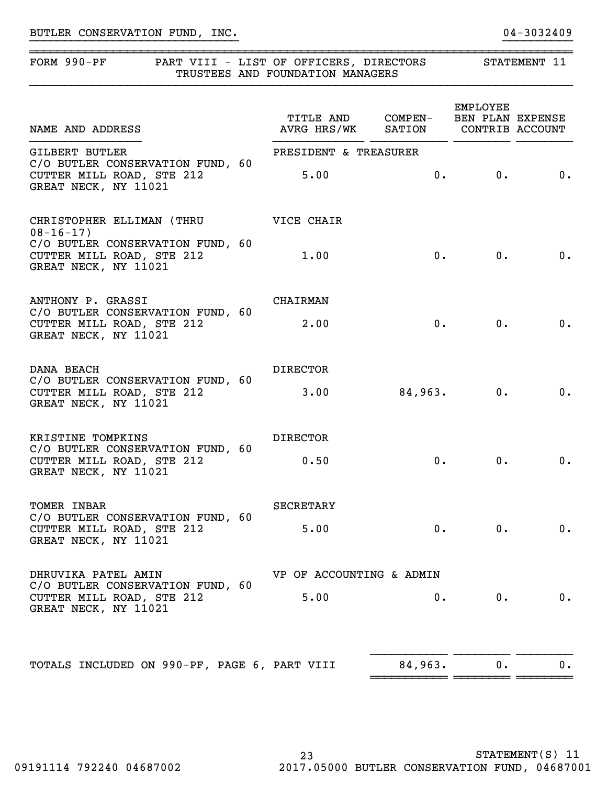## FORM 990-PF PART VIII - LIST OF OFFICERS, DIRECTORS STATEMENT 11 TRUSTEES AND FOUNDATION MANAGERS

}}}}}}}}}}}}}}}}}}}}}}}}}}}}}} }}}}}}}}}}

~~~~~~~~~~~~~~~~~~~~~~~~~~~~~~~~~~~~~~~~~~~~~~~~~~~~~~~~~~~~~~~~~~~~~~~~~~~~~~

| NAME AND ADDRESS                                                                      | TITLE AND COMPEN- BEN PLAN EXPENSE<br>AVRG HRS/WK SATION CONTRIB ACCOUNT |         | <b>EMPLOYEE</b>                   |                             |
|---------------------------------------------------------------------------------------|--------------------------------------------------------------------------|---------|-----------------------------------|-----------------------------|
| <b>GILBERT BUTLER</b>                                                                 | PRESIDENT & TREASURER                                                    |         |                                   |                             |
| C/O BUTLER CONSERVATION FUND, 60<br>CUTTER MILL ROAD, STE 212<br>GREAT NECK, NY 11021 | 5.00                                                                     |         | 0.                                | $\overline{\phantom{a}}$ 0. |
| CHRISTOPHER ELLIMAN (THRU<br>$08 - 16 - 17$                                           | VICE CHAIR                                                               |         |                                   |                             |
| C/O BUTLER CONSERVATION FUND, 60<br>CUTTER MILL ROAD, STE 212<br>GREAT NECK, NY 11021 | 1.00                                                                     |         | 0.                                | 0.                          |
| ANTHONY P. GRASSI                                                                     | <b>CHAIRMAN</b>                                                          |         |                                   |                             |
| C/O BUTLER CONSERVATION FUND, 60<br>CUTTER MILL ROAD, STE 212<br>GREAT NECK, NY 11021 | 2.00                                                                     | 0.      | 0.                                | $\overline{\mathbf{0}}$ .   |
| DANA BEACH                                                                            | <b>DIRECTOR</b>                                                          |         |                                   |                             |
| C/O BUTLER CONSERVATION FUND, 60<br>CUTTER MILL ROAD, STE 212<br>GREAT NECK, NY 11021 | 3.00                                                                     | 84,963. | 0.                                | $\overline{\phantom{a}}$ 0. |
| KRISTINE TOMPKINS                                                                     | <b>DIRECTOR</b>                                                          |         |                                   |                             |
| C/O BUTLER CONSERVATION FUND, 60<br>CUTTER MILL ROAD, STE 212<br>GREAT NECK, NY 11021 | 0.50                                                                     |         | 0.<br>0.<br>0.<br>$0 \cdot$<br>0. | 0.                          |
| TOMER INBAR                                                                           | SECRETARY                                                                |         |                                   |                             |
| C/O BUTLER CONSERVATION FUND, 60<br>CUTTER MILL ROAD, STE 212<br>GREAT NECK, NY 11021 | 5.00                                                                     |         | $0 \cdot$                         | 0.                          |
| DHRUVIKA PATEL AMIN                                                                   | VP OF ACCOUNTING & ADMIN                                                 |         |                                   |                             |
| C/O BUTLER CONSERVATION FUND, 60<br>CUTTER MILL ROAD, STE 212<br>GREAT NECK, NY 11021 | 5.00                                                                     | 0.      | $0$ .                             | 0.                          |
| TOTALS INCLUDED ON 990-PF, PAGE 6, PART VIII                                          |                                                                          | 84,963. | $0$ .                             | 0.                          |
|                                                                                       |                                                                          |         |                                   |                             |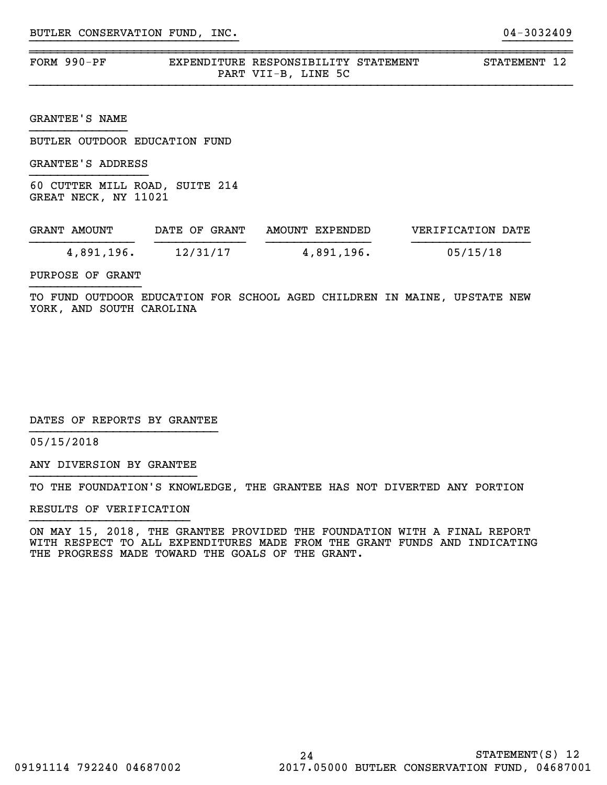| FORM 990-PF | EXPENDITURE RESPONSIBILITY STATEMENT |  |
|-------------|--------------------------------------|--|
|             | PART VII-B, LINE 5C                  |  |

}}}}}}}}}}}}}}}}}}}}}}}}}}}}}} }}}}}}}}}}

~~~~~~~~~~~~~~~~~~~~~~~~~~~~~~~~~~~~~~~~~~~~~~~~~~~~~~~~~~~~~~~~~~~~~~~~~~~~~~

STATEMENT 12

GRANTEE'S NAME

BUTLER OUTDOOR EDUCATION FUND

GRANTEE'S ADDRESS

60 CUTTER MILL ROAD, SUITE 214 GREAT NECK, NY 11021

| GRANT AMOUNT | DATE OF GRANT | AMOUNT EXPENDED | VERIFICATION DATE |
|--------------|---------------|-----------------|-------------------|
| 4,891,196.   | 12/31/17      | 4,891,196.      | 05/15/18          |

PURPOSE OF GRANT

TO FUND OUTDOOR EDUCATION FOR SCHOOL AGED CHILDREN IN MAINE, UPSTATE NEW YORK, AND SOUTH CAROLINA

DATES OF REPORTS BY GRANTEE

05/15/2018

ANY DIVERSION BY GRANTEE }}}}}}}}}}}}}}}}}}}}}}}}

TO THE FOUNDATION'S KNOWLEDGE, THE GRANTEE HAS NOT DIVERTED ANY PORTION

RESULTS OF VERIFICATION

ON MAY 15, 2018, THE GRANTEE PROVIDED THE FOUNDATION WITH A FINAL REPORT WITH RESPECT TO ALL EXPENDITURES MADE FROM THE GRANT FUNDS AND INDICATING THE PROGRESS MADE TOWARD THE GOALS OF THE GRANT.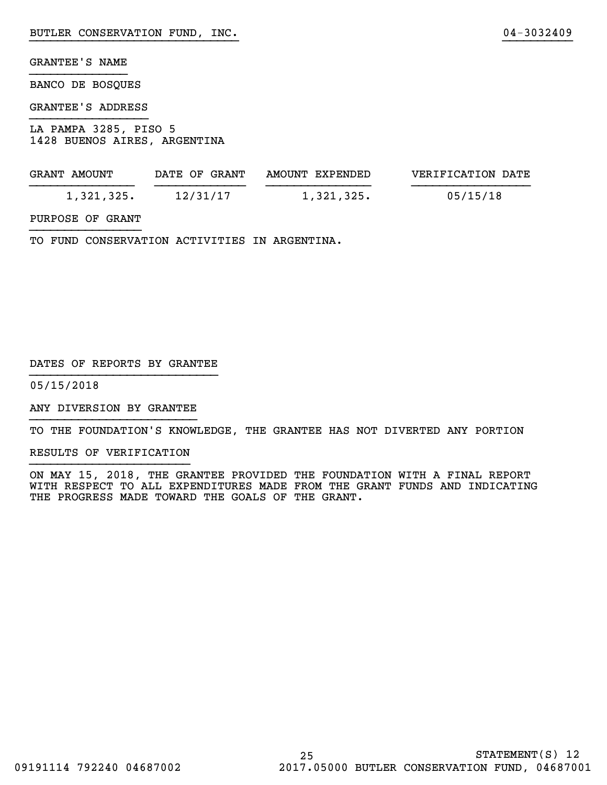### GRANTEE'S NAME

BANCO DE BOSQUES

#### GRANTEE'S ADDRESS

LA PAMPA 3285, PISO 5 1428 BUENOS AIRES, ARGENTINA

| GRANT AMOUNT | DATE OF GRANT | AMOUNT EXPENDED | VERIFICATION DATE |
|--------------|---------------|-----------------|-------------------|
| 1,321,325.   | 12/31/17      | 1,321,325.      | 05/15/18          |

}}}}}}}}}}}}}}}}}}}}}}}}}}}}}} }}}}}}}}}}

### PURPOSE OF GRANT

TO FUND CONSERVATION ACTIVITIES IN ARGENTINA.

#### DATES OF REPORTS BY GRANTEE

05/15/2018

ANY DIVERSION BY GRANTEE }}}}}}}}}}}}}}}}}}}}}}}}

TO THE FOUNDATION'S KNOWLEDGE, THE GRANTEE HAS NOT DIVERTED ANY PORTION

RESULTS OF VERIFICATION

ON MAY 15, 2018, THE GRANTEE PROVIDED THE FOUNDATION WITH A FINAL REPORT WITH RESPECT TO ALL EXPENDITURES MADE FROM THE GRANT FUNDS AND INDICATING THE PROGRESS MADE TOWARD THE GOALS OF THE GRANT.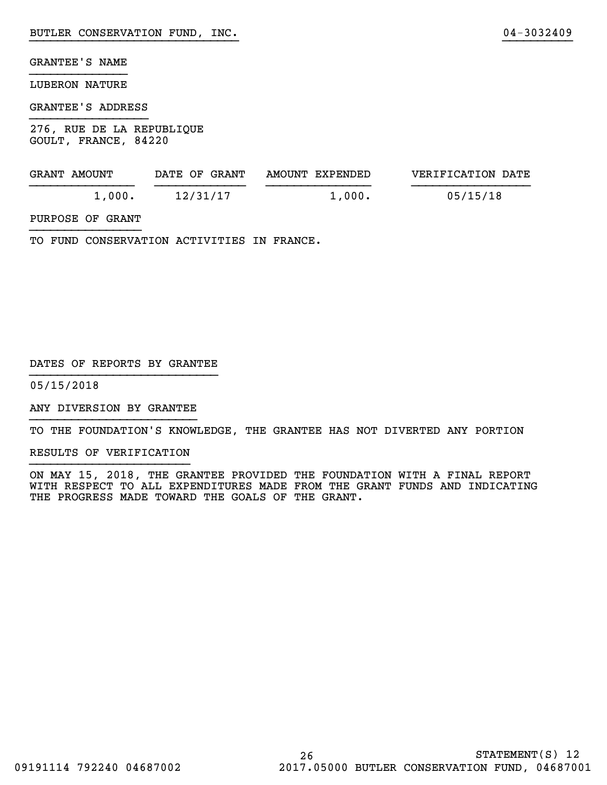## GRANTEE'S NAME

#### LUBERON NATURE

#### GRANTEE'S ADDRESS

276, RUE DE LA REPUBLIQUE GOULT, FRANCE, 84220

| GRANT AMOUNT | DATE OF GRANT | AMOUNT EXPENDED | VERIFICATION DATE |
|--------------|---------------|-----------------|-------------------|
| 1,000.       | 12/31/17      | 1,000.          | 05/15/18          |

}}}}}}}}}}}}}}}}}}}}}}}}}}}}}} }}}}}}}}}}

### PURPOSE OF GRANT

TO FUND CONSERVATION ACTIVITIES IN FRANCE.

#### DATES OF REPORTS BY GRANTEE

05/15/2018

ANY DIVERSION BY GRANTEE }}}}}}}}}}}}}}}}}}}}}}}}

TO THE FOUNDATION'S KNOWLEDGE, THE GRANTEE HAS NOT DIVERTED ANY PORTION

RESULTS OF VERIFICATION

ON MAY 15, 2018, THE GRANTEE PROVIDED THE FOUNDATION WITH A FINAL REPORT WITH RESPECT TO ALL EXPENDITURES MADE FROM THE GRANT FUNDS AND INDICATING THE PROGRESS MADE TOWARD THE GOALS OF THE GRANT.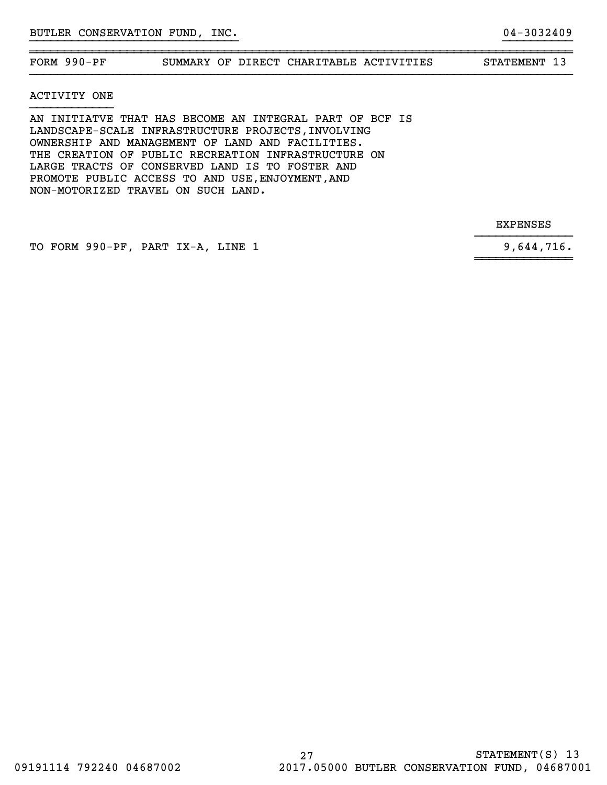~~~~~~~~~~~~~~~~~~~~~~~~~~~~~~~~~~~~~~~~~~~~~~~~~~~~~~~~~~~~~~~~~~~~~~~~~~~~~~FORM 990-PF SUMMARY OF DIRECT CHARITABLE ACTIVITIES STATEMENT 13

}}}}}}}}}}}}}}}}}}}}}}}}}}}}}} }}}}}}}}}}

#### ACTIVITY ONE

AN INITIATVE THAT HAS BECOME AN INTEGRAL PART OF BCF IS LANDSCAPE-SCALE INFRASTRUCTURE PROJECTS, INVOLVING OWNERSHIP AND MANAGEMENT OF LAND AND FACILITIES. THE CREATION OF PUBLIC RECREATION INFRASTRUCTURE ON LARGE TRACTS OF CONSERVED LAND IS TO FOSTER AND PROMOTE PUBLIC ACCESS TO AND USE,ENJOYMENT,AND NON-MOTORIZED TRAVEL ON SUCH LAND.

EXPENSES

TO FORM 990-PF, PART IX-A, LINE 1 9,644,716.

}}}}}}}}}}}}}}

~~~~~~~~~~~~~~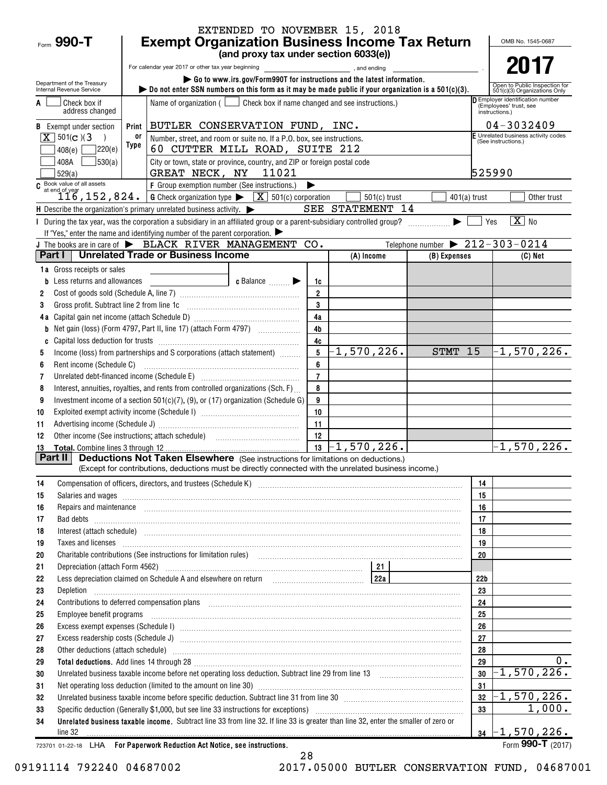|                                                                                                                       |                                                                                                                                                                                                                                                                                                                                                                |                                                    | EXTENDED TO NOVEMBER 15, 2018                                                                                  |                      |                                                                                                                                                                                                                                                                                                                                                                                                                                   |                                                |                 |                                                               |
|-----------------------------------------------------------------------------------------------------------------------|----------------------------------------------------------------------------------------------------------------------------------------------------------------------------------------------------------------------------------------------------------------------------------------------------------------------------------------------------------------|----------------------------------------------------|----------------------------------------------------------------------------------------------------------------|----------------------|-----------------------------------------------------------------------------------------------------------------------------------------------------------------------------------------------------------------------------------------------------------------------------------------------------------------------------------------------------------------------------------------------------------------------------------|------------------------------------------------|-----------------|---------------------------------------------------------------|
| Form $990 - T$                                                                                                        | <b>Exempt Organization Business Income Tax Return</b><br>OMB No. 1545-0687                                                                                                                                                                                                                                                                                     |                                                    |                                                                                                                |                      |                                                                                                                                                                                                                                                                                                                                                                                                                                   |                                                |                 |                                                               |
|                                                                                                                       |                                                                                                                                                                                                                                                                                                                                                                |                                                    | (and proxy tax under section 6033(e))                                                                          |                      |                                                                                                                                                                                                                                                                                                                                                                                                                                   |                                                |                 |                                                               |
|                                                                                                                       |                                                                                                                                                                                                                                                                                                                                                                | For calendar year 2017 or other tax year beginning |                                                                                                                |                      | , and ending                                                                                                                                                                                                                                                                                                                                                                                                                      |                                                |                 |                                                               |
| Department of the Treasury<br>Internal Revenue Service                                                                |                                                                                                                                                                                                                                                                                                                                                                |                                                    |                                                                                                                |                      | Go to www.irs.gov/Form990T for instructions and the latest information.<br>bo not enter SSN numbers on this form as it may be made public if your organization is a 501(c)(3).                                                                                                                                                                                                                                                    |                                                |                 | Open to Public Inspection for<br>501(c)(3) Organizations Only |
| Check box if                                                                                                          |                                                                                                                                                                                                                                                                                                                                                                |                                                    | Name of organization $($ $\Box$ Check box if name changed and see instructions.)                               |                      |                                                                                                                                                                                                                                                                                                                                                                                                                                   |                                                |                 | Employer identification number                                |
| address changed                                                                                                       |                                                                                                                                                                                                                                                                                                                                                                |                                                    |                                                                                                                |                      |                                                                                                                                                                                                                                                                                                                                                                                                                                   |                                                |                 | (Employees' trust, see<br>instructions.)                      |
| <b>B</b> Exempt under section                                                                                         | Print                                                                                                                                                                                                                                                                                                                                                          |                                                    | BUTLER CONSERVATION FUND, INC.                                                                                 |                      |                                                                                                                                                                                                                                                                                                                                                                                                                                   |                                                |                 | $04 - 3032409$                                                |
| $X \mid 501(c)$ (3)                                                                                                   | 0ľ                                                                                                                                                                                                                                                                                                                                                             |                                                    | Number, street, and room or suite no. If a P.O. box, see instructions.                                         |                      |                                                                                                                                                                                                                                                                                                                                                                                                                                   |                                                |                 | F Unrelated business activity codes<br>(See instructions.)    |
| 7220(e)<br>408(e)                                                                                                     | Type                                                                                                                                                                                                                                                                                                                                                           |                                                    | 60 CUTTER MILL ROAD, SUITE 212                                                                                 |                      |                                                                                                                                                                                                                                                                                                                                                                                                                                   |                                                |                 |                                                               |
| 30(a)<br>408A                                                                                                         |                                                                                                                                                                                                                                                                                                                                                                |                                                    | City or town, state or province, country, and ZIP or foreign postal code                                       |                      |                                                                                                                                                                                                                                                                                                                                                                                                                                   |                                                |                 |                                                               |
| 529(a)                                                                                                                |                                                                                                                                                                                                                                                                                                                                                                | GREAT NECK, NY 11021                               |                                                                                                                |                      |                                                                                                                                                                                                                                                                                                                                                                                                                                   |                                                | 525990          |                                                               |
| C Book value of all assets<br>116, 152, 824. G Check organization type $\sqrt{\frac{X}{N}}$ 501(c) corporation        |                                                                                                                                                                                                                                                                                                                                                                |                                                    |                                                                                                                |                      |                                                                                                                                                                                                                                                                                                                                                                                                                                   |                                                |                 |                                                               |
| $\mathsf H$ Describe the organization's primary unrelated business activity. $\blacktriangleright$                    |                                                                                                                                                                                                                                                                                                                                                                |                                                    |                                                                                                                |                      | $501(c)$ trust<br>SEE STATEMENT 14                                                                                                                                                                                                                                                                                                                                                                                                | $401(a)$ trust                                 |                 | Other trust                                                   |
| During the tax year, was the corporation a subsidiary in an affiliated group or a parent-subsidiary controlled group? |                                                                                                                                                                                                                                                                                                                                                                |                                                    |                                                                                                                |                      |                                                                                                                                                                                                                                                                                                                                                                                                                                   |                                                | Yes             | $\boxed{\text{X}}$ No                                         |
| If "Yes," enter the name and identifying number of the parent corporation. $\blacktriangleright$                      |                                                                                                                                                                                                                                                                                                                                                                |                                                    |                                                                                                                |                      |                                                                                                                                                                                                                                                                                                                                                                                                                                   |                                                |                 |                                                               |
| J The books are in care of $\blacktriangleright$ BLACK RIVER MANAGEMENT CO.                                           |                                                                                                                                                                                                                                                                                                                                                                |                                                    |                                                                                                                |                      |                                                                                                                                                                                                                                                                                                                                                                                                                                   | Telephone number $\triangleright$ 212-303-0214 |                 |                                                               |
| Part I                                                                                                                |                                                                                                                                                                                                                                                                                                                                                                | <b>Unrelated Trade or Business Income</b>          |                                                                                                                |                      | (A) Income                                                                                                                                                                                                                                                                                                                                                                                                                        | (B) Expenses                                   |                 | (C) Net                                                       |
| <b>1a</b> Gross receipts or sales                                                                                     |                                                                                                                                                                                                                                                                                                                                                                |                                                    |                                                                                                                |                      |                                                                                                                                                                                                                                                                                                                                                                                                                                   |                                                |                 |                                                               |
| Less returns and allowances                                                                                           |                                                                                                                                                                                                                                                                                                                                                                |                                                    | c Balance                                                                                                      | 1c                   |                                                                                                                                                                                                                                                                                                                                                                                                                                   |                                                |                 |                                                               |
| 2                                                                                                                     |                                                                                                                                                                                                                                                                                                                                                                |                                                    |                                                                                                                | $\overline{2}$       |                                                                                                                                                                                                                                                                                                                                                                                                                                   |                                                |                 |                                                               |
| Gross profit. Subtract line 2 from line 1c<br>3                                                                       |                                                                                                                                                                                                                                                                                                                                                                |                                                    |                                                                                                                | $\mathbf{3}$         |                                                                                                                                                                                                                                                                                                                                                                                                                                   |                                                |                 |                                                               |
|                                                                                                                       |                                                                                                                                                                                                                                                                                                                                                                |                                                    |                                                                                                                | 4a<br>4 <sub>b</sub> |                                                                                                                                                                                                                                                                                                                                                                                                                                   |                                                |                 |                                                               |
| b                                                                                                                     |                                                                                                                                                                                                                                                                                                                                                                |                                                    |                                                                                                                | 4c                   |                                                                                                                                                                                                                                                                                                                                                                                                                                   |                                                |                 |                                                               |
| C<br>5                                                                                                                |                                                                                                                                                                                                                                                                                                                                                                |                                                    | Income (loss) from partnerships and S corporations (attach statement)                                          | 5                    | $-1,570,226.$                                                                                                                                                                                                                                                                                                                                                                                                                     | STMT 15                                        |                 | $-1,570,226$ .                                                |
| Rent income (Schedule C)<br>6                                                                                         |                                                                                                                                                                                                                                                                                                                                                                |                                                    |                                                                                                                | 6                    |                                                                                                                                                                                                                                                                                                                                                                                                                                   |                                                |                 |                                                               |
| 7                                                                                                                     |                                                                                                                                                                                                                                                                                                                                                                |                                                    | Unrelated debt-financed income (Schedule E) [11] [2010] [2010] [2010] [2010] [2010] [2010] [2010] [2010] [2010 | $\overline{7}$       |                                                                                                                                                                                                                                                                                                                                                                                                                                   |                                                |                 |                                                               |
| 8                                                                                                                     |                                                                                                                                                                                                                                                                                                                                                                |                                                    | Interest, annuities, royalties, and rents from controlled organizations (Sch. F)                               | 8                    |                                                                                                                                                                                                                                                                                                                                                                                                                                   |                                                |                 |                                                               |
| 9                                                                                                                     |                                                                                                                                                                                                                                                                                                                                                                |                                                    | Investment income of a section 501(c)(7), (9), or (17) organization (Schedule G)                               | 9                    |                                                                                                                                                                                                                                                                                                                                                                                                                                   |                                                |                 |                                                               |
| 10                                                                                                                    |                                                                                                                                                                                                                                                                                                                                                                |                                                    |                                                                                                                | 10                   |                                                                                                                                                                                                                                                                                                                                                                                                                                   |                                                |                 |                                                               |
| 11                                                                                                                    |                                                                                                                                                                                                                                                                                                                                                                |                                                    |                                                                                                                | 11                   |                                                                                                                                                                                                                                                                                                                                                                                                                                   |                                                |                 |                                                               |
| 12                                                                                                                    |                                                                                                                                                                                                                                                                                                                                                                |                                                    |                                                                                                                | 12                   |                                                                                                                                                                                                                                                                                                                                                                                                                                   |                                                |                 |                                                               |
| <b>Total.</b> Combine lines 3 through 12<br>13<br>Part II                                                             |                                                                                                                                                                                                                                                                                                                                                                |                                                    |                                                                                                                | 13                   | $-1,570,226$ .<br><b>Deductions Not Taken Elsewhere</b> (See instructions for limitations on deductions.)                                                                                                                                                                                                                                                                                                                         |                                                |                 | $-1,570,226.$                                                 |
|                                                                                                                       |                                                                                                                                                                                                                                                                                                                                                                |                                                    |                                                                                                                |                      | (Except for contributions, deductions must be directly connected with the unrelated business income.)                                                                                                                                                                                                                                                                                                                             |                                                |                 |                                                               |
| 14                                                                                                                    |                                                                                                                                                                                                                                                                                                                                                                |                                                    |                                                                                                                |                      |                                                                                                                                                                                                                                                                                                                                                                                                                                   |                                                | 14              |                                                               |
| 15                                                                                                                    |                                                                                                                                                                                                                                                                                                                                                                |                                                    |                                                                                                                |                      | Salaries and wages <b>manufactures</b> and wages <b>contract to the contract of the contract of the contract of the contract of the contract of the contract of the contract of the contract of the contract of the contract of the c</b>                                                                                                                                                                                         |                                                | 15              |                                                               |
| 16                                                                                                                    |                                                                                                                                                                                                                                                                                                                                                                |                                                    |                                                                                                                |                      | Repairs and maintenance <i>[1] [1] [1] [1] [1] [1] [1] [1] [1] [1]</i> [1] <b>[1] [1] [1] [1] [1] [1] [1] [1] [1] [1] [1] [1] [1] [1] [1] [1] [1] [1] [1] [1] [1] [1] [1] [1] [1] [</b>                                                                                                                                                                                                                                           |                                                | 16              |                                                               |
| 17                                                                                                                    |                                                                                                                                                                                                                                                                                                                                                                |                                                    |                                                                                                                |                      |                                                                                                                                                                                                                                                                                                                                                                                                                                   |                                                | 17              |                                                               |
| 18                                                                                                                    |                                                                                                                                                                                                                                                                                                                                                                |                                                    |                                                                                                                |                      |                                                                                                                                                                                                                                                                                                                                                                                                                                   |                                                | 18              |                                                               |
| 19                                                                                                                    |                                                                                                                                                                                                                                                                                                                                                                |                                                    |                                                                                                                |                      | Taxes and licenses <b>constructed and construction of the construction</b> and construction of the construction of the                                                                                                                                                                                                                                                                                                            |                                                | 19              |                                                               |
| 20<br>21                                                                                                              |                                                                                                                                                                                                                                                                                                                                                                |                                                    |                                                                                                                |                      | Charitable contributions (See instructions for limitation rules) [11] manufacture in the contributions (See instructions for limitation rules) [11] manufacture in the contributions (See instructions for limitation rules) [                                                                                                                                                                                                    |                                                | 20              |                                                               |
| 22                                                                                                                    |                                                                                                                                                                                                                                                                                                                                                                |                                                    |                                                                                                                |                      | Less depreciation claimed on Schedule A and elsewhere on return [200] [22a   22a   22a   22a   22a   22a   22a                                                                                                                                                                                                                                                                                                                    |                                                | 22 <sub>b</sub> |                                                               |
| 23<br>Depletion                                                                                                       |                                                                                                                                                                                                                                                                                                                                                                |                                                    |                                                                                                                |                      |                                                                                                                                                                                                                                                                                                                                                                                                                                   |                                                | 23              |                                                               |
| 24                                                                                                                    |                                                                                                                                                                                                                                                                                                                                                                |                                                    |                                                                                                                |                      |                                                                                                                                                                                                                                                                                                                                                                                                                                   |                                                | 24              |                                                               |
| 25                                                                                                                    | Contributions to deferred compensation plans [11] manufactured and manufactured contributions to deferred compensation plans<br>Employee benefit programs in the continuum contract of the contract of the contract of the contract of the contract of the contract of the contract of the contract of the contract of the contract of the contract of the con |                                                    |                                                                                                                |                      |                                                                                                                                                                                                                                                                                                                                                                                                                                   | 25                                             |                 |                                                               |
| 26                                                                                                                    |                                                                                                                                                                                                                                                                                                                                                                |                                                    |                                                                                                                |                      |                                                                                                                                                                                                                                                                                                                                                                                                                                   | 26                                             |                 |                                                               |
| 27                                                                                                                    |                                                                                                                                                                                                                                                                                                                                                                |                                                    |                                                                                                                |                      |                                                                                                                                                                                                                                                                                                                                                                                                                                   | 27                                             |                 |                                                               |
| 28                                                                                                                    |                                                                                                                                                                                                                                                                                                                                                                |                                                    |                                                                                                                |                      | Other deductions (attach schedule) www.communications.communications.communications.communications.com                                                                                                                                                                                                                                                                                                                            |                                                | 28              |                                                               |
| 29                                                                                                                    |                                                                                                                                                                                                                                                                                                                                                                |                                                    |                                                                                                                |                      | Total deductions. Add lines 14 through 28 [11] manufactures and the control of the control of the control of the control of the control of the control of the control of the control of the control of the control of the cont                                                                                                                                                                                                    |                                                | 29              | 0.<br>$-1,570,226.$                                           |
| 30                                                                                                                    |                                                                                                                                                                                                                                                                                                                                                                |                                                    |                                                                                                                |                      |                                                                                                                                                                                                                                                                                                                                                                                                                                   |                                                | 30<br>31        |                                                               |
| 31<br>32                                                                                                              |                                                                                                                                                                                                                                                                                                                                                                |                                                    |                                                                                                                |                      | Net operating loss deduction (limited to the amount on line 30) [11] manufacture in the content of the amount of the amount on line 30) [11] manufacture in the content of the set of the set of the set of the set of the set<br>Unrelated business taxable income before specific deduction. Subtract line 31 from line 30 [11] [11] Unrelated business taxable income before specific deduction. Subtract line 31 from line 30 |                                                | 32              | $-1,570,226$ .                                                |
| 33                                                                                                                    |                                                                                                                                                                                                                                                                                                                                                                |                                                    |                                                                                                                |                      |                                                                                                                                                                                                                                                                                                                                                                                                                                   |                                                | 33              | 1,000.                                                        |
| 34                                                                                                                    |                                                                                                                                                                                                                                                                                                                                                                |                                                    |                                                                                                                |                      | Unrelated business taxable income. Subtract line 33 from line 32. If line 33 is greater than line 32, enter the smaller of zero or                                                                                                                                                                                                                                                                                                |                                                |                 |                                                               |
| line 32                                                                                                               |                                                                                                                                                                                                                                                                                                                                                                |                                                    |                                                                                                                |                      |                                                                                                                                                                                                                                                                                                                                                                                                                                   |                                                | 34              | $-1,570,226$ .                                                |
|                                                                                                                       |                                                                                                                                                                                                                                                                                                                                                                |                                                    |                                                                                                                |                      |                                                                                                                                                                                                                                                                                                                                                                                                                                   |                                                |                 | $\overline{M}$                                                |

28

723701 01-22-18 **For Paperwork Reduction Act Notice, see instructions.** LHA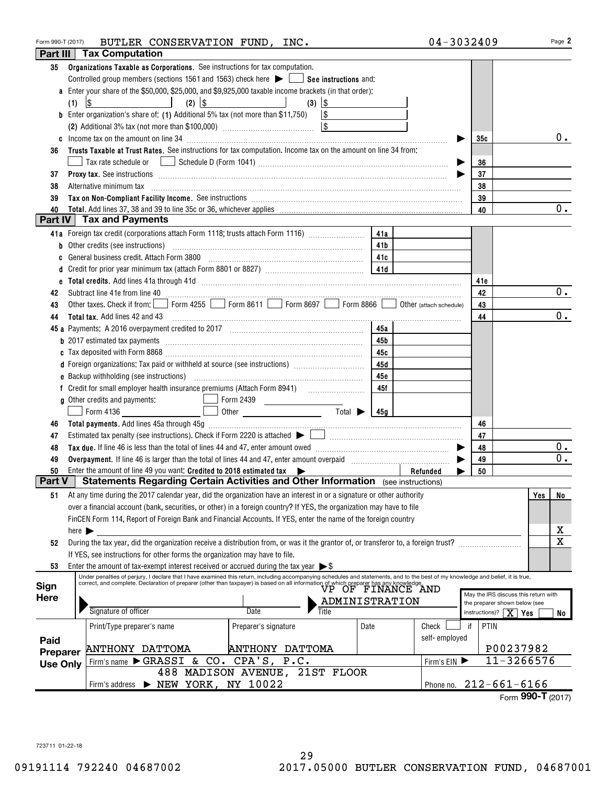| Form 990-T (2017) |                            | BUTLER CONSERVATION FUND, INC.                                                                                                                                                                                                                                                                                                                                                                                                               |                                |                |      | 04-3032409              |                                         |                                                                       | Page 2           |
|-------------------|----------------------------|----------------------------------------------------------------------------------------------------------------------------------------------------------------------------------------------------------------------------------------------------------------------------------------------------------------------------------------------------------------------------------------------------------------------------------------------|--------------------------------|----------------|------|-------------------------|-----------------------------------------|-----------------------------------------------------------------------|------------------|
| Part III          |                            | <b>Tax Computation</b>                                                                                                                                                                                                                                                                                                                                                                                                                       |                                |                |      |                         |                                         |                                                                       |                  |
| 35                | (1)                        | Organizations Taxable as Corporations. See instructions for tax computation.<br>Controlled group members (sections 1561 and 1563) check here $\blacktriangleright$ $\Box$ See instructions and:<br>a Enter your share of the \$50,000, \$25,000, and \$9,925,000 taxable income brackets (in that order):<br>$(2)$ $ $ \$<br>$\sqrt{3}$<br><b>b</b> Enter organization's share of: (1) Additional 5% tax (not more than \$11,750) $\vert$ \$ | $(3)$ $ $ \$                   |                |      |                         |                                         |                                                                       |                  |
|                   |                            |                                                                                                                                                                                                                                                                                                                                                                                                                                              |                                |                |      |                         |                                         |                                                                       |                  |
|                   |                            |                                                                                                                                                                                                                                                                                                                                                                                                                                              |                                |                |      |                         | 35с                                     |                                                                       | $0$ .            |
| 36                |                            | Trusts Taxable at Trust Rates. See instructions for tax computation. Income tax on the amount on line 34 from:                                                                                                                                                                                                                                                                                                                               |                                |                |      |                         |                                         |                                                                       |                  |
|                   |                            |                                                                                                                                                                                                                                                                                                                                                                                                                                              |                                |                |      |                         | 36                                      |                                                                       |                  |
| 37                |                            | Proxy tax. See instructions information and contact the contract of the contract of the contract of the contract of the contract of the contract of the contract of the contract of the contract of the contract of the contra                                                                                                                                                                                                               |                                |                |      |                         | 37                                      |                                                                       |                  |
| 38                |                            | Alternative minimum tax                                                                                                                                                                                                                                                                                                                                                                                                                      |                                |                |      |                         | 38                                      |                                                                       |                  |
| 39                |                            | Tax on Non-Compliant Facility Income. See instructions [11] The manufacture material contracts and neutralism                                                                                                                                                                                                                                                                                                                                |                                |                |      |                         | 39                                      |                                                                       |                  |
| 40                |                            |                                                                                                                                                                                                                                                                                                                                                                                                                                              |                                |                |      |                         | 40                                      |                                                                       | $\overline{0}$ . |
|                   |                            | Part IV   Tax and Payments                                                                                                                                                                                                                                                                                                                                                                                                                   |                                |                |      |                         |                                         |                                                                       |                  |
|                   |                            | 41a Foreign tax credit (corporations attach Form 1118; trusts attach Form 1116) [                                                                                                                                                                                                                                                                                                                                                            |                                |                | 41a  |                         |                                         |                                                                       |                  |
| b                 |                            | Other credits (see instructions)                                                                                                                                                                                                                                                                                                                                                                                                             |                                |                | 41b  |                         |                                         |                                                                       |                  |
|                   |                            | General business credit. Attach Form 3800 [11] [12] Canadian material and the Manusch Late                                                                                                                                                                                                                                                                                                                                                   |                                |                |      |                         |                                         |                                                                       |                  |
|                   |                            |                                                                                                                                                                                                                                                                                                                                                                                                                                              |                                |                |      |                         |                                         |                                                                       |                  |
| d                 |                            |                                                                                                                                                                                                                                                                                                                                                                                                                                              |                                |                |      |                         |                                         |                                                                       |                  |
| е                 |                            |                                                                                                                                                                                                                                                                                                                                                                                                                                              |                                |                |      |                         | 41e                                     |                                                                       | 0.               |
| 42                |                            | Subtract line 41e from line 40 <b>magazine and the contract of the 40</b> magazine and the 41e from line 40 magazine and the substantial contract of the 41e from line 40 magazine and the substantial contract of the 41e from lin<br>Other taxes. Check if from: Form 4255 Form 8611 Form 8697 Form 8866                                                                                                                                   |                                |                |      |                         | 42                                      |                                                                       |                  |
| 43                |                            |                                                                                                                                                                                                                                                                                                                                                                                                                                              |                                |                |      | Other (attach schedule) | 43                                      |                                                                       |                  |
| 44                |                            | <b>Total tax.</b> Add lines 42 and 43                                                                                                                                                                                                                                                                                                                                                                                                        |                                |                |      |                         | 44                                      |                                                                       | $0$ .            |
| 45 a              |                            |                                                                                                                                                                                                                                                                                                                                                                                                                                              |                                |                | 45a  |                         |                                         |                                                                       |                  |
|                   |                            | <b>b</b> 2017 estimated tax payments <i>manual contract contract and a contract and a contract contract and a contract contract and a contract contract contract contract and a contract contract contract contract contract contract</i>                                                                                                                                                                                                    |                                |                | 45b  |                         |                                         |                                                                       |                  |
|                   |                            |                                                                                                                                                                                                                                                                                                                                                                                                                                              |                                |                | 45с  |                         |                                         |                                                                       |                  |
|                   |                            | d Foreign organizations: Tax paid or withheld at source (see instructions) [                                                                                                                                                                                                                                                                                                                                                                 |                                |                | 45d  |                         |                                         |                                                                       |                  |
|                   |                            |                                                                                                                                                                                                                                                                                                                                                                                                                                              |                                |                | 45е  |                         |                                         |                                                                       |                  |
|                   |                            |                                                                                                                                                                                                                                                                                                                                                                                                                                              |                                |                | 45f  |                         |                                         |                                                                       |                  |
|                   |                            | g Other credits and payments:                                                                                                                                                                                                                                                                                                                                                                                                                | Form 2439                      |                |      |                         |                                         |                                                                       |                  |
|                   |                            | Form 4136                                                                                                                                                                                                                                                                                                                                                                                                                                    |                                |                | 45a  |                         |                                         |                                                                       |                  |
| 46                |                            |                                                                                                                                                                                                                                                                                                                                                                                                                                              |                                |                |      |                         | 46                                      |                                                                       |                  |
| 47                |                            | Estimated tax penalty (see instructions). Check if Form 2220 is attached $\blacktriangleright \begin{bmatrix} 1 & 1 & 1 \\ 1 & 1 & 1 \\ 1 & 1 & 1 \end{bmatrix}$                                                                                                                                                                                                                                                                             |                                |                |      |                         | 47                                      |                                                                       |                  |
| 48                |                            |                                                                                                                                                                                                                                                                                                                                                                                                                                              |                                |                |      |                         | 48                                      |                                                                       | $0$ .            |
| 49                |                            |                                                                                                                                                                                                                                                                                                                                                                                                                                              |                                |                |      |                         | 49                                      |                                                                       | 0.               |
| 50                |                            | Enter the amount of line 49 you want: Credited to 2018 estimated tax $\blacktriangleright$                                                                                                                                                                                                                                                                                                                                                   |                                |                |      | Refunded                | 50                                      |                                                                       |                  |
| Part V            |                            | Statements Regarding Certain Activities and Other Information (see instructions)                                                                                                                                                                                                                                                                                                                                                             |                                |                |      |                         |                                         |                                                                       |                  |
| 51                |                            | At any time during the 2017 calendar year, did the organization have an interest in or a signature or other authority                                                                                                                                                                                                                                                                                                                        |                                |                |      |                         |                                         | Yes                                                                   | No               |
|                   |                            | over a financial account (bank, securities, or other) in a foreign country? If YES, the organization may have to file                                                                                                                                                                                                                                                                                                                        |                                |                |      |                         |                                         |                                                                       |                  |
|                   |                            | FinCEN Form 114, Report of Foreign Bank and Financial Accounts. If YES, enter the name of the foreign country                                                                                                                                                                                                                                                                                                                                |                                |                |      |                         |                                         |                                                                       |                  |
|                   | here $\blacktriangleright$ |                                                                                                                                                                                                                                                                                                                                                                                                                                              |                                |                |      |                         |                                         |                                                                       | х                |
| 52                |                            | During the tax year, did the organization receive a distribution from, or was it the grantor of, or transferor to, a foreign trust?                                                                                                                                                                                                                                                                                                          |                                |                |      |                         |                                         |                                                                       | $\mathbf x$      |
|                   |                            | If YES, see instructions for other forms the organization may have to file.                                                                                                                                                                                                                                                                                                                                                                  |                                |                |      |                         |                                         |                                                                       |                  |
| 53                |                            | Enter the amount of tax-exempt interest received or accrued during the tax year $\triangleright$ \$                                                                                                                                                                                                                                                                                                                                          |                                |                |      |                         |                                         |                                                                       |                  |
|                   |                            | Under penalties of perjury, I declare that I have examined this return, including accompanying schedules and statements, and to the best of my knowledge and belief, it is true,                                                                                                                                                                                                                                                             |                                |                |      |                         |                                         |                                                                       |                  |
| Sign              |                            | Concer penantes of person, it declare that that continuous the contribution is based on all information of which preparer has any knowledge.<br>Correct, and complete. Declaration of preparer (other than taxpayer) is based on                                                                                                                                                                                                             |                                |                |      |                         |                                         |                                                                       |                  |
| Here              |                            |                                                                                                                                                                                                                                                                                                                                                                                                                                              |                                | ADMINISTRATION |      |                         |                                         | May the IRS discuss this return with<br>the preparer shown below (see |                  |
|                   |                            | Signature of officer                                                                                                                                                                                                                                                                                                                                                                                                                         | Date<br>Title                  |                |      |                         | instructions)? $\boxed{\mathbf{X}}$ Yes |                                                                       | No               |
|                   |                            | Print/Type preparer's name                                                                                                                                                                                                                                                                                                                                                                                                                   | Preparer's signature           |                | Date | Check                   | PTIN<br>if                              |                                                                       |                  |
|                   |                            |                                                                                                                                                                                                                                                                                                                                                                                                                                              |                                |                |      | self-employed           |                                         |                                                                       |                  |
| Paid              |                            | <b>ANTHONY DATTOMA</b>                                                                                                                                                                                                                                                                                                                                                                                                                       | ANTHONY DATTOMA                |                |      |                         |                                         | P00237982                                                             |                  |
| Preparer          |                            | Firm's name GRASSI & CO.                                                                                                                                                                                                                                                                                                                                                                                                                     | CPA'S, P.C.                    |                |      | Firm's EIN              |                                         | $11 - 3266576$                                                        |                  |
| <b>Use Only</b>   |                            |                                                                                                                                                                                                                                                                                                                                                                                                                                              | 488 MADISON AVENUE, 21ST FLOOR |                |      |                         |                                         |                                                                       |                  |
|                   |                            | Firm's address > NEW YORK, NY 10022                                                                                                                                                                                                                                                                                                                                                                                                          |                                |                |      |                         |                                         | Phone no. 212-661-6166                                                |                  |
|                   |                            |                                                                                                                                                                                                                                                                                                                                                                                                                                              |                                |                |      |                         |                                         | Form 990-T $(2017)$                                                   |                  |
|                   |                            |                                                                                                                                                                                                                                                                                                                                                                                                                                              |                                |                |      |                         |                                         |                                                                       |                  |

723711 01-22-18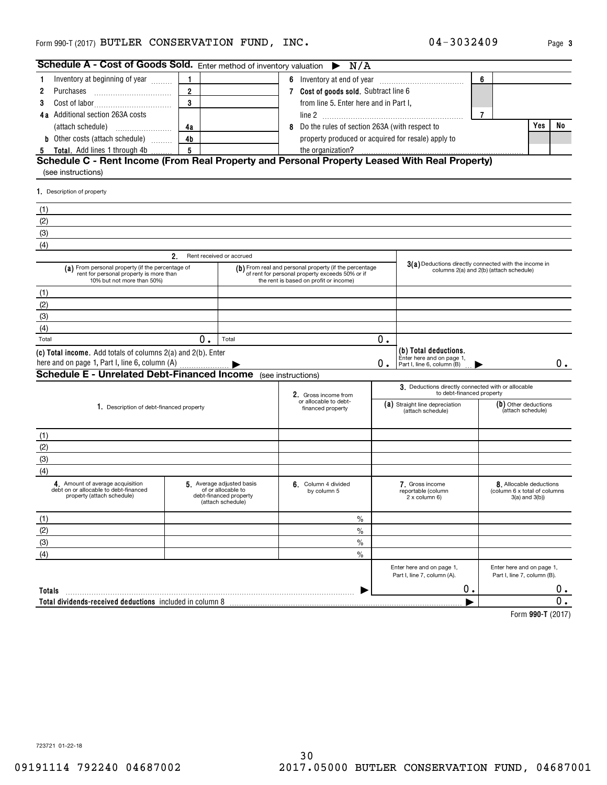| Schedule A - Cost of Goods Sold. Enter method of inventory valuation                                                      |                                                                                                                                                     |                                                                                               | N/A<br>$\blacktriangleright$                                                                     |    |                                                                                  |                |                                                                                |    |
|---------------------------------------------------------------------------------------------------------------------------|-----------------------------------------------------------------------------------------------------------------------------------------------------|-----------------------------------------------------------------------------------------------|--------------------------------------------------------------------------------------------------|----|----------------------------------------------------------------------------------|----------------|--------------------------------------------------------------------------------|----|
| Inventory at beginning of year<br>1.                                                                                      | 1                                                                                                                                                   |                                                                                               |                                                                                                  |    |                                                                                  | 6              |                                                                                |    |
| Purchases<br>2                                                                                                            | $\overline{2}$                                                                                                                                      |                                                                                               | 7 Cost of goods sold. Subtract line 6                                                            |    |                                                                                  |                |                                                                                |    |
| 3                                                                                                                         | 3                                                                                                                                                   |                                                                                               | from line 5. Enter here and in Part I,                                                           |    |                                                                                  |                |                                                                                |    |
| 4a Additional section 263A costs                                                                                          |                                                                                                                                                     |                                                                                               |                                                                                                  |    |                                                                                  | $\overline{7}$ |                                                                                |    |
|                                                                                                                           | 4a                                                                                                                                                  |                                                                                               | 8 Do the rules of section 263A (with respect to                                                  |    |                                                                                  |                | Yes                                                                            | No |
| <b>b</b> Other costs (attach schedule)                                                                                    | 4 <sub>b</sub>                                                                                                                                      |                                                                                               | property produced or acquired for resale) apply to                                               |    |                                                                                  |                |                                                                                |    |
| <b>Total.</b> Add lines 1 through 4b                                                                                      | 5                                                                                                                                                   |                                                                                               |                                                                                                  |    |                                                                                  |                |                                                                                |    |
| Schedule C - Rent Income (From Real Property and Personal Property Leased With Real Property)<br>(see instructions)       |                                                                                                                                                     |                                                                                               |                                                                                                  |    |                                                                                  |                |                                                                                |    |
| 1. Description of property                                                                                                |                                                                                                                                                     |                                                                                               |                                                                                                  |    |                                                                                  |                |                                                                                |    |
| (1)                                                                                                                       |                                                                                                                                                     |                                                                                               |                                                                                                  |    |                                                                                  |                |                                                                                |    |
| (2)                                                                                                                       |                                                                                                                                                     |                                                                                               |                                                                                                  |    |                                                                                  |                |                                                                                |    |
| (3)                                                                                                                       |                                                                                                                                                     |                                                                                               |                                                                                                  |    |                                                                                  |                |                                                                                |    |
| (4)                                                                                                                       |                                                                                                                                                     |                                                                                               |                                                                                                  |    |                                                                                  |                |                                                                                |    |
|                                                                                                                           | 2.                                                                                                                                                  | Rent received or accrued                                                                      |                                                                                                  |    |                                                                                  |                |                                                                                |    |
| (a) From personal property (if the percentage of<br>rent for personal property is more than<br>10% but not more than 50%) | (b) From real and personal property (if the percentage<br>of rent for personal property exceeds 50% or if<br>the rent is based on profit or income) |                                                                                               | 3(a) Deductions directly connected with the income in<br>columns 2(a) and 2(b) (attach schedule) |    |                                                                                  |                |                                                                                |    |
| (1)                                                                                                                       |                                                                                                                                                     |                                                                                               |                                                                                                  |    |                                                                                  |                |                                                                                |    |
| (2)                                                                                                                       |                                                                                                                                                     |                                                                                               |                                                                                                  |    |                                                                                  |                |                                                                                |    |
| (3)                                                                                                                       |                                                                                                                                                     |                                                                                               |                                                                                                  |    |                                                                                  |                |                                                                                |    |
| (4)                                                                                                                       |                                                                                                                                                     |                                                                                               |                                                                                                  |    |                                                                                  |                |                                                                                |    |
| Total                                                                                                                     | $\overline{0}$ .                                                                                                                                    | Total                                                                                         |                                                                                                  | 0. |                                                                                  |                |                                                                                |    |
| (c) Total income. Add totals of columns 2(a) and 2(b). Enter<br>here and on page 1, Part I, line 6, column (A)            |                                                                                                                                                     |                                                                                               |                                                                                                  | О. | (b) Total deductions.<br>Enter here and on page 1,<br>Part I, line 6, column (B) |                |                                                                                | 0. |
| <b>Schedule E - Unrelated Debt-Financed Income</b> (see instructions)                                                     |                                                                                                                                                     |                                                                                               |                                                                                                  |    |                                                                                  |                |                                                                                |    |
|                                                                                                                           |                                                                                                                                                     |                                                                                               | 2. Gross income from                                                                             |    | 3. Deductions directly connected with or allocable<br>to debt-financed property  |                |                                                                                |    |
| 1. Description of debt-financed property                                                                                  |                                                                                                                                                     |                                                                                               | or allocable to debt-<br>financed property                                                       |    | (a) Straight line depreciation<br>(attach schedule)                              |                | (b) Other deductions<br>(attach schedule)                                      |    |
| (1)                                                                                                                       |                                                                                                                                                     |                                                                                               |                                                                                                  |    |                                                                                  |                |                                                                                |    |
| (2)                                                                                                                       |                                                                                                                                                     |                                                                                               |                                                                                                  |    |                                                                                  |                |                                                                                |    |
| (3)                                                                                                                       |                                                                                                                                                     |                                                                                               |                                                                                                  |    |                                                                                  |                |                                                                                |    |
| (4)                                                                                                                       |                                                                                                                                                     |                                                                                               |                                                                                                  |    |                                                                                  |                |                                                                                |    |
| 4. Amount of average acquisition<br>debt on or allocable to debt-financed<br>property (attach schedule)                   |                                                                                                                                                     | 5 Average adjusted basis<br>of or allocable to<br>debt-financed property<br>(attach schedule) | 6. Column 4 divided<br>by column 5                                                               |    | 7. Gross income<br>reportable (column<br>2 x column 6)                           |                | 8. Allocable deductions<br>(column 6 x total of columns<br>$3(a)$ and $3(b)$ ) |    |
| (1)                                                                                                                       |                                                                                                                                                     |                                                                                               | $\%$                                                                                             |    |                                                                                  |                |                                                                                |    |
| (2)                                                                                                                       |                                                                                                                                                     |                                                                                               | $\frac{0}{0}$                                                                                    |    |                                                                                  |                |                                                                                |    |
| (3)                                                                                                                       |                                                                                                                                                     |                                                                                               | $\frac{0}{0}$                                                                                    |    |                                                                                  |                |                                                                                |    |
| (4)                                                                                                                       |                                                                                                                                                     |                                                                                               | $\frac{0}{0}$                                                                                    |    |                                                                                  |                |                                                                                |    |
|                                                                                                                           |                                                                                                                                                     |                                                                                               |                                                                                                  |    | Enter here and on page 1,<br>Part I, line 7, column (A).                         |                | Enter here and on page 1,<br>Part I, line 7, column (B).                       |    |
| Totals                                                                                                                    |                                                                                                                                                     |                                                                                               |                                                                                                  |    | 0.                                                                               |                |                                                                                | 0. |
| Total dividends-received deductions included in column 8                                                                  |                                                                                                                                                     |                                                                                               |                                                                                                  |    |                                                                                  |                |                                                                                | 0. |
|                                                                                                                           |                                                                                                                                                     |                                                                                               |                                                                                                  |    |                                                                                  |                | $T_{2,2}$ 000 $T$ (0047                                                        |    |

**990-T**  Form (2017)

723721 01-22-18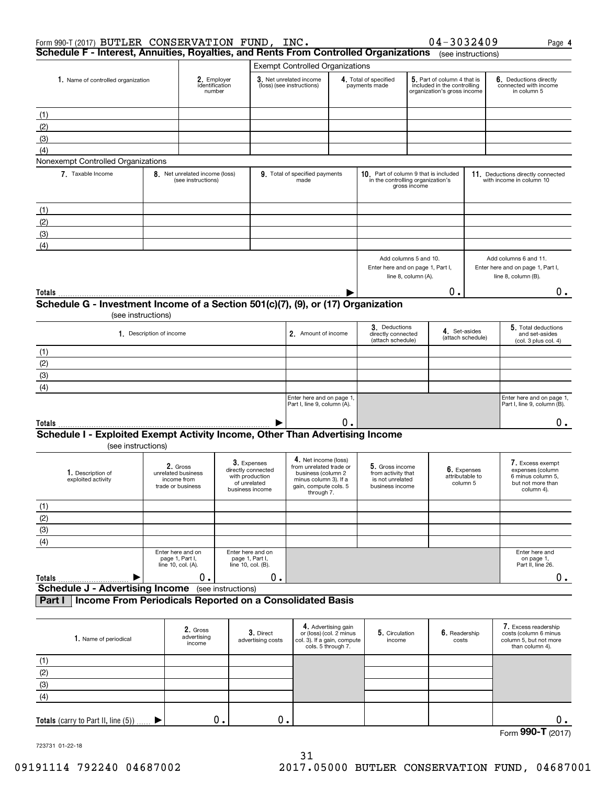| Form 990-T (2017) BUTLER CONSERVATION FUND, INC.                                                        |                          |                                                                    |  |                                                                                         |                                                                                                                                       |                                                                      |                                                                              |                                                                                           | 04-3032409                  |                   | Page 4                                                                                       |
|---------------------------------------------------------------------------------------------------------|--------------------------|--------------------------------------------------------------------|--|-----------------------------------------------------------------------------------------|---------------------------------------------------------------------------------------------------------------------------------------|----------------------------------------------------------------------|------------------------------------------------------------------------------|-------------------------------------------------------------------------------------------|-----------------------------|-------------------|----------------------------------------------------------------------------------------------|
| Schedule F - Interest, Annuities, Royalties, and Rents From Controlled Organizations (see instructions) |                          |                                                                    |  |                                                                                         |                                                                                                                                       |                                                                      |                                                                              |                                                                                           |                             |                   |                                                                                              |
|                                                                                                         |                          |                                                                    |  |                                                                                         | <b>Exempt Controlled Organizations</b>                                                                                                |                                                                      |                                                                              |                                                                                           |                             |                   |                                                                                              |
| 1. Name of controlled organization                                                                      |                          | 2. Employer<br>identification<br>number                            |  |                                                                                         | 3. Net unrelated income<br>(loss) (see instructions)                                                                                  | 4. Total of specified<br>payments made                               |                                                                              | 5. Part of column 4 that is<br>included in the controlling<br>organization's gross income |                             |                   | 6. Deductions directly<br>connected with income<br>in column 5                               |
| (1)                                                                                                     |                          |                                                                    |  |                                                                                         |                                                                                                                                       |                                                                      |                                                                              |                                                                                           |                             |                   |                                                                                              |
| (2)                                                                                                     |                          |                                                                    |  |                                                                                         |                                                                                                                                       |                                                                      |                                                                              |                                                                                           |                             |                   |                                                                                              |
| (3)                                                                                                     |                          |                                                                    |  |                                                                                         |                                                                                                                                       |                                                                      |                                                                              |                                                                                           |                             |                   |                                                                                              |
| (4)                                                                                                     |                          |                                                                    |  |                                                                                         |                                                                                                                                       |                                                                      |                                                                              |                                                                                           |                             |                   |                                                                                              |
| Nonexempt Controlled Organizations                                                                      |                          |                                                                    |  |                                                                                         |                                                                                                                                       |                                                                      |                                                                              |                                                                                           |                             |                   |                                                                                              |
| 7. Taxable Income                                                                                       |                          | 8. Net unrelated income (loss)<br>(see instructions)               |  |                                                                                         | 9. Total of specified payments<br>made                                                                                                |                                                                      | 10. Part of column 9 that is included<br>in the controlling organization's   | gross income                                                                              |                             |                   | 11. Deductions directly connected<br>with income in column 10                                |
| (1)                                                                                                     |                          |                                                                    |  |                                                                                         |                                                                                                                                       |                                                                      |                                                                              |                                                                                           |                             |                   |                                                                                              |
| (2)                                                                                                     |                          |                                                                    |  |                                                                                         |                                                                                                                                       |                                                                      |                                                                              |                                                                                           |                             |                   |                                                                                              |
| (3)                                                                                                     |                          |                                                                    |  |                                                                                         |                                                                                                                                       |                                                                      |                                                                              |                                                                                           |                             |                   |                                                                                              |
| (4)                                                                                                     |                          |                                                                    |  |                                                                                         |                                                                                                                                       |                                                                      |                                                                              |                                                                                           |                             |                   |                                                                                              |
|                                                                                                         |                          |                                                                    |  |                                                                                         |                                                                                                                                       |                                                                      | Add columns 5 and 10.<br>Enter here and on page 1, Part I,                   | line 8, column (A).                                                                       |                             |                   | Add columns 6 and 11.<br>Enter here and on page 1, Part I,<br>line 8, column (B).            |
| Totals                                                                                                  |                          |                                                                    |  |                                                                                         |                                                                                                                                       |                                                                      |                                                                              |                                                                                           | Ο.                          |                   | 0.                                                                                           |
| Schedule G - Investment Income of a Section 501(c)(7), (9), or (17) Organization                        |                          |                                                                    |  |                                                                                         |                                                                                                                                       |                                                                      |                                                                              |                                                                                           |                             |                   |                                                                                              |
|                                                                                                         | (see instructions)       |                                                                    |  |                                                                                         |                                                                                                                                       |                                                                      |                                                                              |                                                                                           |                             |                   |                                                                                              |
|                                                                                                         | 1. Description of income |                                                                    |  |                                                                                         | 2. Amount of income                                                                                                                   |                                                                      | 3. Deductions<br>directly connected<br>(attach schedule)                     |                                                                                           | 4. Set-asides               | (attach schedule) | 5. Total deductions<br>and set-asides<br>(col. 3 plus col. 4)                                |
| (1)                                                                                                     |                          |                                                                    |  |                                                                                         |                                                                                                                                       |                                                                      |                                                                              |                                                                                           |                             |                   |                                                                                              |
| (2)                                                                                                     |                          |                                                                    |  |                                                                                         |                                                                                                                                       |                                                                      |                                                                              |                                                                                           |                             |                   |                                                                                              |
| (3)                                                                                                     |                          |                                                                    |  |                                                                                         |                                                                                                                                       |                                                                      |                                                                              |                                                                                           |                             |                   |                                                                                              |
| (4)                                                                                                     |                          |                                                                    |  |                                                                                         |                                                                                                                                       |                                                                      |                                                                              |                                                                                           |                             |                   |                                                                                              |
|                                                                                                         |                          |                                                                    |  |                                                                                         | Enter here and on page 1,<br>Part I, line 9, column (A).                                                                              |                                                                      |                                                                              |                                                                                           |                             |                   | Enter here and on page 1,<br>Part I, line 9, column (B).                                     |
| Totals                                                                                                  |                          |                                                                    |  |                                                                                         |                                                                                                                                       | 0.                                                                   |                                                                              |                                                                                           |                             |                   | 0.                                                                                           |
| Schedule I - Exploited Exempt Activity Income, Other Than Advertising Income<br>(see instructions)      |                          |                                                                    |  |                                                                                         |                                                                                                                                       |                                                                      |                                                                              |                                                                                           |                             |                   |                                                                                              |
| 1. Description of<br>exploited activity                                                                 |                          | 2. Gross<br>unrelated business<br>income from<br>trade or business |  | 3. Expenses<br>directly connected<br>with production<br>of unrelated<br>business income | 4. Net income (loss)<br>from unrelated trade or<br>business (column 2<br>minus column 3). If a<br>gain, compute cols. 5<br>through 7. |                                                                      | 5. Gross income<br>from activity that<br>is not unrelated<br>business income |                                                                                           | attributable to<br>column 5 | 6. Expenses       | 7. Excess exempt<br>expenses (column<br>6 minus column 5,<br>but not more than<br>column 4). |
| (1)                                                                                                     |                          |                                                                    |  |                                                                                         |                                                                                                                                       |                                                                      |                                                                              |                                                                                           |                             |                   |                                                                                              |
| (2)                                                                                                     |                          |                                                                    |  |                                                                                         |                                                                                                                                       |                                                                      |                                                                              |                                                                                           |                             |                   |                                                                                              |
| (3)                                                                                                     |                          |                                                                    |  |                                                                                         |                                                                                                                                       |                                                                      |                                                                              |                                                                                           |                             |                   |                                                                                              |
| (4)                                                                                                     |                          |                                                                    |  |                                                                                         |                                                                                                                                       |                                                                      |                                                                              |                                                                                           |                             |                   |                                                                                              |
|                                                                                                         |                          | Enter here and on<br>page 1, Part I,<br>line 10, col. (A).         |  | Enter here and on<br>page 1, Part I,<br>line 10, col. (B).<br>0.                        |                                                                                                                                       |                                                                      |                                                                              |                                                                                           |                             |                   | Enter here and<br>on page 1,<br>Part II, line 26.                                            |
| Totals<br><b>Schedule J - Advertising Income</b> (see instructions)                                     |                          | 0.                                                                 |  |                                                                                         |                                                                                                                                       |                                                                      |                                                                              |                                                                                           |                             |                   | 0.                                                                                           |
| Income From Periodicals Reported on a Consolidated Basis<br>Part I                                      |                          |                                                                    |  |                                                                                         |                                                                                                                                       |                                                                      |                                                                              |                                                                                           |                             |                   |                                                                                              |
| 1. Name of periodical                                                                                   |                          | 2. Gross<br>advertising<br>income                                  |  | 3. Direct<br>advertising costs                                                          | col. 3). If a gain, compute                                                                                                           | 4. Advertising gain<br>or (loss) (col. 2 minus<br>cols. 5 through 7. | 5. Circulation<br>income                                                     |                                                                                           | 6. Readership<br>costs      |                   | 7. Excess readership<br>costs (column 6 minus<br>column 5, but not more<br>than column 4).   |
| (1)                                                                                                     |                          |                                                                    |  |                                                                                         |                                                                                                                                       |                                                                      |                                                                              |                                                                                           |                             |                   |                                                                                              |
| (2)                                                                                                     |                          |                                                                    |  |                                                                                         |                                                                                                                                       |                                                                      |                                                                              |                                                                                           |                             |                   |                                                                                              |
| (3)                                                                                                     |                          |                                                                    |  |                                                                                         |                                                                                                                                       |                                                                      |                                                                              |                                                                                           |                             |                   |                                                                                              |

| υ. |  |  |                |      |
|----|--|--|----------------|------|
|    |  |  | Form $990 - T$ | ヽィーハ |

723731 01-22-18

(4)

**Totals** (carry to Part II, line (5))

 $\blacktriangleright$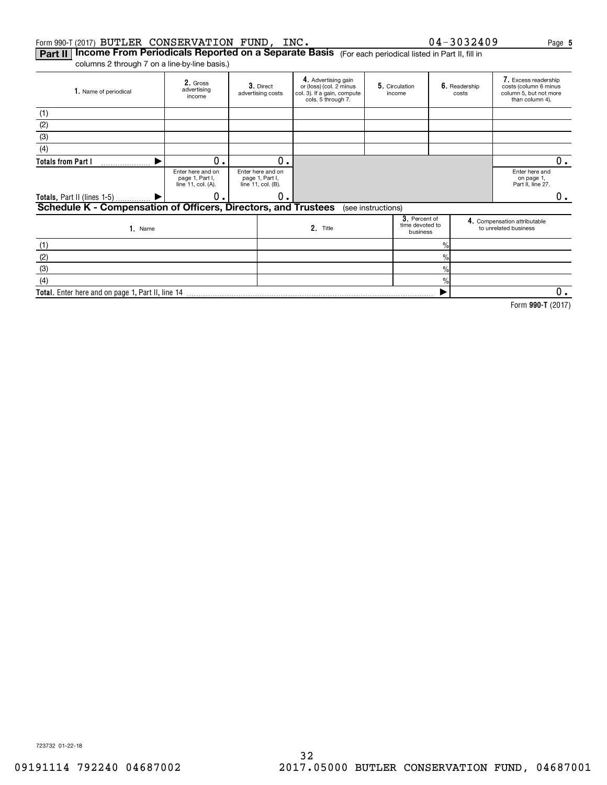#### Form 990-T (2017) <code>BUTLER CONSERVATION FUND, INC.</code>  $0\,4-3\,0\,3\,2\,4\,0\,9$  Page

 $\blacktriangleright$ 

**Part II | Income From Periodicals Reported on a Separate Basis** (For each periodical listed in Part II, fill in columns 2 through 7 on a line-by-line basis.)

**Total.**  Enter here and on page 1, Part II, line 14

| 1. Name of periodical                                          | 2. Gross<br>advertising<br>income                          |  | 3. Direct<br>advertising costs                             | 4. Advertising gain<br>or (loss) (col. 2 minus<br>col. 3). If a gain, compute<br>cols. 5 through 7. |                    | 5. Circulation<br>income                     |                | 6. Readership<br>costs | 7. Excess readership<br>costs (column 6 minus<br>column 5, but not more<br>than column 4). |    |
|----------------------------------------------------------------|------------------------------------------------------------|--|------------------------------------------------------------|-----------------------------------------------------------------------------------------------------|--------------------|----------------------------------------------|----------------|------------------------|--------------------------------------------------------------------------------------------|----|
| (1)                                                            |                                                            |  |                                                            |                                                                                                     |                    |                                              |                |                        |                                                                                            |    |
| (2)                                                            |                                                            |  |                                                            |                                                                                                     |                    |                                              |                |                        |                                                                                            |    |
| (3)                                                            |                                                            |  |                                                            |                                                                                                     |                    |                                              |                |                        |                                                                                            |    |
| (4)                                                            |                                                            |  |                                                            |                                                                                                     |                    |                                              |                |                        |                                                                                            |    |
| <b>Totals from Part I</b>                                      | 0.                                                         |  | 0.                                                         |                                                                                                     |                    |                                              |                |                        |                                                                                            | 0. |
|                                                                | Enter here and on<br>page 1, Part I,<br>line 11, col. (A). |  | Enter here and on<br>page 1, Part I,<br>line 11, col. (B). |                                                                                                     |                    |                                              |                |                        | Enter here and<br>on page 1,<br>Part II, line 27.                                          |    |
| Totals, Part II (lines 1-5)                                    | 0.                                                         |  | 0.                                                         |                                                                                                     |                    |                                              |                |                        |                                                                                            | 0. |
| Schedule K - Compensation of Officers, Directors, and Trustees |                                                            |  |                                                            |                                                                                                     | (see instructions) |                                              |                |                        |                                                                                            |    |
| $1.$ Name                                                      |                                                            |  |                                                            | 2. Title                                                                                            |                    | 3. Percent of<br>time devoted to<br>business |                |                        | 4. Compensation attributable<br>to unrelated business                                      |    |
| (1)                                                            |                                                            |  |                                                            |                                                                                                     |                    |                                              | $\frac{9}{10}$ |                        |                                                                                            |    |
| (2)                                                            |                                                            |  |                                                            |                                                                                                     |                    |                                              | $\frac{9}{6}$  |                        |                                                                                            |    |
| (3)                                                            |                                                            |  |                                                            |                                                                                                     |                    |                                              | $\frac{9}{6}$  |                        |                                                                                            |    |
| (4)                                                            |                                                            |  |                                                            |                                                                                                     |                    |                                              | $\frac{9}{6}$  |                        |                                                                                            |    |

**990-T**  Form (2017) 0.

723732 01-22-18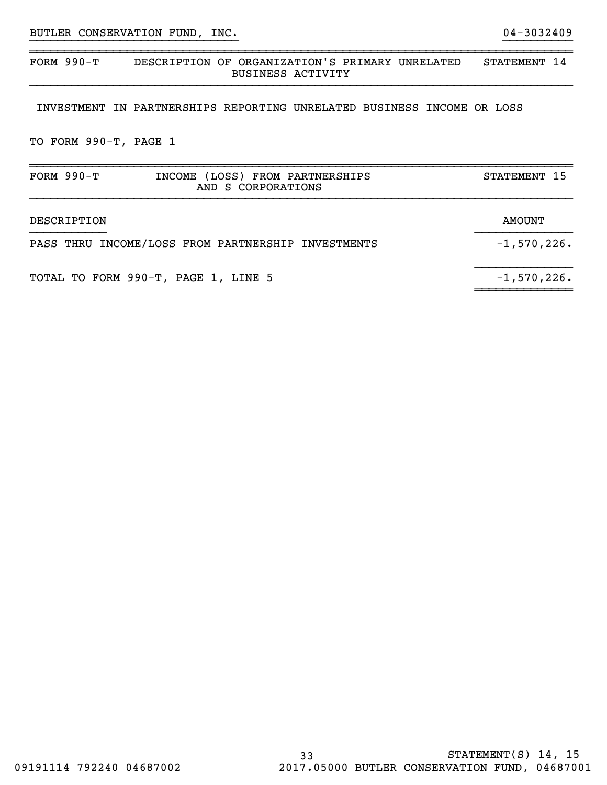33 STATEMENT(S) 14, 15

~~~~~~~~~~~~~~~~~~~~~~~~~~~~~~~~~~~~~~~~~~~~~~~~~~~~~~~~~~~~~~~~~~~~~~~~~~~~~~FORM 990-T DESCRIPTION OF ORGANIZATION'S PRIMARY UNRELATED STATEMENT 14 BUSINESS ACTIVITY

}}}}}}}}}}}}}}}}}}}}}}}}}}}}}} }}}}}}}}}}

INVESTMENT IN PARTNERSHIPS REPORTING UNRELATED BUSINESS INCOME OR LOSS

TO FORM 990-T, PAGE 1

| FORM $990-T$<br>INCOME (LOSS) FROM PARTNERSHIPS<br>AND S CORPORATIONS | STATEMENT 15   |
|-----------------------------------------------------------------------|----------------|
| DESCRIPTION                                                           | AMOUNT         |
| PASS THRU INCOME/LOSS FROM PARTNERSHIP INVESTMENTS                    | $-1,570,226$ . |
| TOTAL TO FORM 990-T, PAGE 1, LINE 5                                   | $-1,570,226$ . |

~~~~~~~~~~~~~~~~~~~~~~~~~~~~~~~~~~~~~~~~~~~~~~~~~~~~~~~~~~~~~~~~~~~~~~~~~~~~~~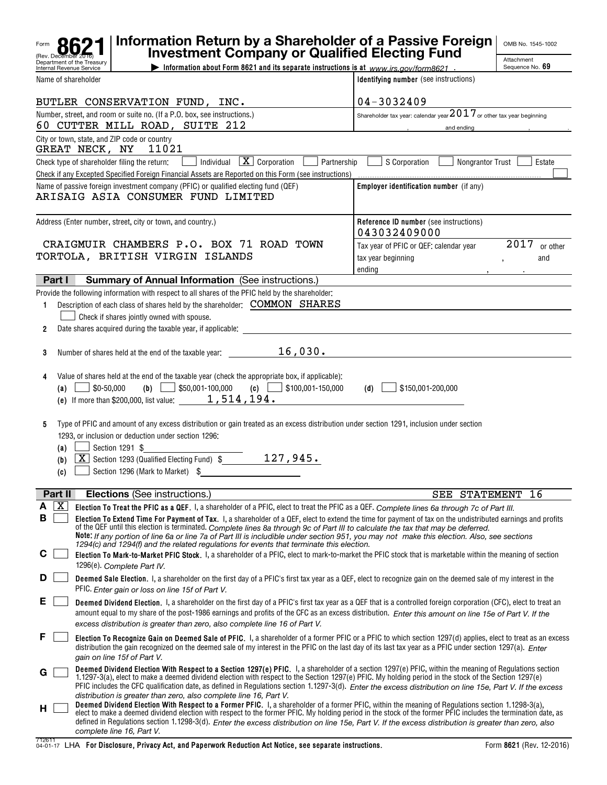|             |                    |                                                        | Information Return by a Shareholder of a Passive Foreign<br><b>Investment Company or Qualified Electing Fund</b>                                                                                                                                                                                                                                                                                                                                                                                                                                                                                                                                                                            |                                                                        | OMB No. 1545-1002             |
|-------------|--------------------|--------------------------------------------------------|---------------------------------------------------------------------------------------------------------------------------------------------------------------------------------------------------------------------------------------------------------------------------------------------------------------------------------------------------------------------------------------------------------------------------------------------------------------------------------------------------------------------------------------------------------------------------------------------------------------------------------------------------------------------------------------------|------------------------------------------------------------------------|-------------------------------|
|             |                    | Department of the Treasurv<br>Internal Revenue Service | Information about Form 8621 and its separate instructions is at www.irs.gov/form8621.                                                                                                                                                                                                                                                                                                                                                                                                                                                                                                                                                                                                       |                                                                        | Attachment<br>Sequence No. 69 |
|             |                    | Name of shareholder                                    |                                                                                                                                                                                                                                                                                                                                                                                                                                                                                                                                                                                                                                                                                             | Identifying number (see instructions)                                  |                               |
|             |                    |                                                        | BUTLER CONSERVATION FUND, INC.                                                                                                                                                                                                                                                                                                                                                                                                                                                                                                                                                                                                                                                              | 04-3032409                                                             |                               |
|             |                    |                                                        | Number, street, and room or suite no. (If a P.O. box, see instructions.)                                                                                                                                                                                                                                                                                                                                                                                                                                                                                                                                                                                                                    | Shareholder tax year: calendar year $2017$ or other tax year beginning |                               |
|             |                    |                                                        | 60 CUTTER MILL ROAD, SUITE 212                                                                                                                                                                                                                                                                                                                                                                                                                                                                                                                                                                                                                                                              | and ending                                                             |                               |
|             |                    | GREAT NECK, NY                                         | City or town, state, and ZIP code or country<br>11021                                                                                                                                                                                                                                                                                                                                                                                                                                                                                                                                                                                                                                       |                                                                        |                               |
|             |                    |                                                        | $\boxed{\mathbf{X}}$ Corporation<br>Check type of shareholder filing the return:<br>Individual<br>Check if any Excepted Specified Foreign Financial Assets are Reported on this Form (see instructions)                                                                                                                                                                                                                                                                                                                                                                                                                                                                                     | Partnership<br>S Corporation<br><b>Nongrantor Trust</b>                | Estate                        |
|             |                    |                                                        | Name of passive foreign investment company (PFIC) or qualified electing fund (QEF)<br>ARISAIG ASIA CONSUMER FUND LIMITED                                                                                                                                                                                                                                                                                                                                                                                                                                                                                                                                                                    | Employer identification number (if any)                                |                               |
|             |                    |                                                        | Address (Enter number, street, city or town, and country.)                                                                                                                                                                                                                                                                                                                                                                                                                                                                                                                                                                                                                                  | Reference ID number (see instructions)<br>043032409000                 |                               |
|             |                    |                                                        | CRAIGMUIR CHAMBERS P.O. BOX 71 ROAD TOWN                                                                                                                                                                                                                                                                                                                                                                                                                                                                                                                                                                                                                                                    | Tax year of PFIC or QEF: calendar year                                 | 2017<br>or other              |
|             |                    |                                                        | TORTOLA, BRITISH VIRGIN ISLANDS                                                                                                                                                                                                                                                                                                                                                                                                                                                                                                                                                                                                                                                             | tax year beginning<br>ending                                           | and                           |
|             | Part I             |                                                        | <b>Summary of Annual Information (See instructions.)</b>                                                                                                                                                                                                                                                                                                                                                                                                                                                                                                                                                                                                                                    |                                                                        |                               |
| 1           |                    |                                                        | Provide the following information with respect to all shares of the PFIC held by the shareholder:<br>Description of each class of shares held by the shareholder: COMMON SHARES<br>Check if shares jointly owned with spouse.                                                                                                                                                                                                                                                                                                                                                                                                                                                               |                                                                        |                               |
| 2           |                    |                                                        | Date shares acquired during the taxable year, if applicable:                                                                                                                                                                                                                                                                                                                                                                                                                                                                                                                                                                                                                                |                                                                        |                               |
| 3           |                    |                                                        | 16,030.<br>Number of shares held at the end of the taxable year:                                                                                                                                                                                                                                                                                                                                                                                                                                                                                                                                                                                                                            |                                                                        |                               |
| 4           | (a)                | \$0-50,000                                             | Value of shares held at the end of the taxable year (check the appropriate box, if applicable):<br>\$50,001-100,000<br>(c) $\Box$ \$100,001-150,000<br>(b)<br>(e) If more than \$200,000, list value: $\_\_$ 1, 514, 194.                                                                                                                                                                                                                                                                                                                                                                                                                                                                   | \$150,001-200,000<br>(d)                                               |                               |
| 5           | (a)<br>(b)<br>(c)  |                                                        | Type of PFIC and amount of any excess distribution or gain treated as an excess distribution under section 1291, inclusion under section<br>1293, or inclusion or deduction under section 1296;<br>Section 1291 \$<br>127,945.<br>$\boxed{\mathbf{X}}$ Section 1293 (Qualified Electing Fund) \$<br>Section 1296 (Mark to Market) \$                                                                                                                                                                                                                                                                                                                                                        |                                                                        |                               |
|             | Part II            |                                                        | <b>Elections</b> (See instructions.)                                                                                                                                                                                                                                                                                                                                                                                                                                                                                                                                                                                                                                                        | SEE STATEMENT                                                          | 16                            |
| Α<br>В<br>С | $\boxed{\text{X}}$ |                                                        | Election To Treat the PFIC as a QEF. I, a shareholder of a PFIC, elect to treat the PFIC as a QEF. Complete lines 6a through 7c of Part III.<br>Election To Extend Time For Payment of Tax. I, a shareholder of a QEF, elect to extend the time for payment of tax on the undistributed earnings and profits<br>of the QEF until this election is terminated. Complete lines 8a through 9c of Part III to calculate the tax that may be deferred.<br>Note: If any portion of line 6a or line 7a of Part III is includible under section 951, you may not make this election. Also, see sections<br>1294(c) and 1294(f) and the related regulations for events that terminate this election. |                                                                        |                               |
|             |                    |                                                        | Election To Mark-to-Market PFIC Stock. I, a shareholder of a PFIC, elect to mark-to-market the PFIC stock that is marketable within the meaning of section<br>1296(e). Complete Part IV.                                                                                                                                                                                                                                                                                                                                                                                                                                                                                                    |                                                                        |                               |
| D           |                    |                                                        | Deemed Sale Election. I, a shareholder on the first day of a PFIC's first tax year as a QEF, elect to recognize gain on the deemed sale of my interest in the<br>PFIC. Enter gain or loss on line 15f of Part V.                                                                                                                                                                                                                                                                                                                                                                                                                                                                            |                                                                        |                               |
| Е           |                    |                                                        | <b>Deemed Dividend Election.</b> I, a shareholder on the first day of a PFIC's first tax year as a QEF that is a controlled foreign corporation (CFC), elect to treat an<br>amount equal to my share of the post-1986 earnings and profits of the CFC as an excess distribution. Enter this amount on line 15e of Part V. If the                                                                                                                                                                                                                                                                                                                                                            |                                                                        |                               |
|             |                    |                                                        | excess distribution is greater than zero, also complete line 16 of Part V.<br>Election To Recognize Gain on Deemed Sale of PFIC. I, a shareholder of a former PFIC or a PFIC to which section 1297(d) applies, elect to treat as an excess<br>distribution the gain recognized on the deemed sale of my interest in the PFIC on the last day of its last tax year as a PFIC under section 1297(a). Enter<br>gain on line 15f of Part V.                                                                                                                                                                                                                                                     |                                                                        |                               |
| G           |                    |                                                        | Deemed Dividend Election With Respect to a Section 1297(e) PFIC. I, a shareholder of a section 1297(e) PFIC, within the meaning of Regulations section<br>1.1297-3(a), elect to make a deemed dividend election with respect to the Section 1297(e) PFIC. My holding period in the stock of the Section 1297(e)<br>PFIC includes the CFC qualification date, as defined in Regulations section 1.1297-3(d). Enter the excess distribution on line 15e, Part V. If the excess<br>distribution is greater than zero, also complete line 16, Part V.                                                                                                                                           |                                                                        |                               |
| H.          |                    |                                                        | Deemed Dividend Election With Respect to a Former PFIC. I, a shareholder of a former PFIC, within the meaning of Regulations section 1.1298-3(a),<br>elect to make a deemed dividend election with respect to the former PFIC. My holding period in the stock of the former PFIC includes the termination date, as<br>defined in Regulations section 1.1298-3(d). Enter the excess distribution on line 15e, Part V. If the excess distribution is greater than zero, also<br>complete line 16, Part V.                                                                                                                                                                                     |                                                                        |                               |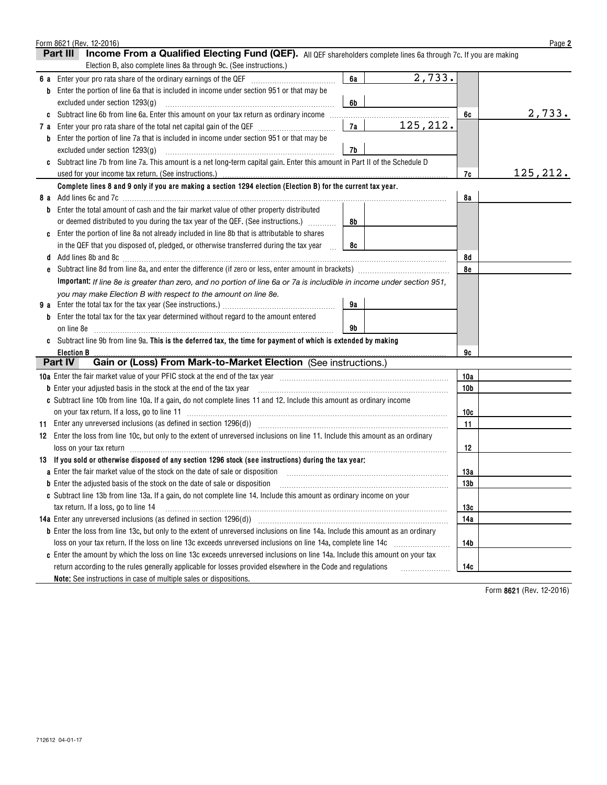|     | Form 8621 (Rev. 12-2016)                                                                                                                                                                                                       |    |           |                 | Page 2    |
|-----|--------------------------------------------------------------------------------------------------------------------------------------------------------------------------------------------------------------------------------|----|-----------|-----------------|-----------|
|     | Income From a Qualified Electing Fund (QEF). All QEF shareholders complete lines 6a through 7c. If you are making<br>Part III                                                                                                  |    |           |                 |           |
|     | Election B, also complete lines 8a through 9c. (See instructions.)                                                                                                                                                             |    |           |                 |           |
| 6а  |                                                                                                                                                                                                                                | 6a | 2,733.    |                 |           |
| b   | Enter the portion of line 6a that is included in income under section 951 or that may be                                                                                                                                       |    |           |                 |           |
|     | excluded under section 1293(g)                                                                                                                                                                                                 | 6b |           |                 |           |
| C   | Subtract line 6b from line 6a. Enter this amount on your tax return as ordinary income                                                                                                                                         |    |           | 6c              | 2,733.    |
| 7 a |                                                                                                                                                                                                                                | 7a | 125, 212. |                 |           |
| b   | Enter the portion of line 7a that is included in income under section 951 or that may be                                                                                                                                       |    |           |                 |           |
|     | excluded under section 1293(g)                                                                                                                                                                                                 | 7b |           |                 |           |
|     | Subtract line 7b from line 7a. This amount is a net long-term capital gain. Enter this amount in Part II of the Schedule D                                                                                                     |    |           |                 |           |
|     | used for your income tax return. (See instructions.)                                                                                                                                                                           |    |           | 7c              | 125, 212. |
|     | Complete lines 8 and 9 only if you are making a section 1294 election (Election B) for the current tax year.                                                                                                                   |    |           |                 |           |
| 8а  |                                                                                                                                                                                                                                |    |           | 8a              |           |
|     | Enter the total amount of cash and the fair market value of other property distributed                                                                                                                                         |    |           |                 |           |
|     | or deemed distributed to you during the tax year of the QEF. (See instructions.)                                                                                                                                               | 8b |           |                 |           |
|     | Enter the portion of line 8a not already included in line 8b that is attributable to shares                                                                                                                                    |    |           |                 |           |
|     | in the QEF that you disposed of, pledged, or otherwise transferred during the tax year<br>$\mathcal{L}$                                                                                                                        | 8c |           |                 |           |
| d   | Add lines 8b and 8c [11] Add lines 8b and 8c [11] Add lines 8b and 8c [11] Add lines 8b and 8c [11] Add lines 8b and 8c [11] Add lines 8b and 8c [11] Add lines 8b and 8c [11] Add lines 8b and 8c [11] Add lines 8b and 8c [1 |    |           | 8d              |           |
| e   |                                                                                                                                                                                                                                |    |           | 8e              |           |
|     | Important: If line 8e is greater than zero, and no portion of line 6a or 7a is includible in income under section 951,                                                                                                         |    |           |                 |           |
|     | you may make Election B with respect to the amount on line 8e.                                                                                                                                                                 |    |           |                 |           |
| 9а  | Enter the total tax for the tax year (See instructions.)                                                                                                                                                                       | 9а |           |                 |           |
|     | Enter the total tax for the tax year determined without regard to the amount entered                                                                                                                                           |    |           |                 |           |
|     | on line 8e                                                                                                                                                                                                                     | 9b |           |                 |           |
|     | Subtract line 9b from line 9a. This is the deferred tax, the time for payment of which is extended by making                                                                                                                   |    |           |                 |           |
|     | <b>Election B</b>                                                                                                                                                                                                              |    |           | 9c              |           |
|     | Gain or (Loss) From Mark-to-Market Election (See instructions.)<br>Part IV                                                                                                                                                     |    |           |                 |           |
|     | 10a Enter the fair market value of your PFIC stock at the end of the tax year manufactured content to the fair market value of your PFIC stock at the end of the tax year manufactured content of the fact of the fact of the  |    |           | 10a             |           |
|     | <b>b</b> Enter your adjusted basis in the stock at the end of the tax year                                                                                                                                                     |    |           | 10 <sub>b</sub> |           |
|     | c Subtract line 10b from line 10a. If a gain, do not complete lines 11 and 12. Include this amount as ordinary income                                                                                                          |    |           |                 |           |
|     | on your tax return. If a loss, go to line 11                                                                                                                                                                                   |    |           | 10c             |           |
| 11  | Enter any unreversed inclusions (as defined in section $1296(d)$ )                                                                                                                                                             |    |           | 11              |           |
| 12  | Enter the loss from line 10c, but only to the extent of unreversed inclusions on line 11. Include this amount as an ordinary                                                                                                   |    |           |                 |           |
|     | loss on your tax return in the committee of the contract of the contract of the contract of the contract of the                                                                                                                |    |           | 12              |           |
|     | 13 If you sold or otherwise disposed of any section 1296 stock (see instructions) during the tax year:                                                                                                                         |    |           |                 |           |
|     | a Enter the fair market value of the stock on the date of sale or disposition [11] manumeral manumeral manumer                                                                                                                 |    |           | 13a             |           |
|     | <b>b</b> Enter the adjusted basis of the stock on the date of sale or disposition                                                                                                                                              |    |           | 13 <sub>b</sub> |           |
|     | c Subtract line 13b from line 13a. If a gain, do not complete line 14. Include this amount as ordinary income on your                                                                                                          |    |           |                 |           |
|     | tax return. If a loss, go to line 14                                                                                                                                                                                           |    |           | 13c             |           |
|     | 14a Enter any unreversed inclusions (as defined in section 1296(d))                                                                                                                                                            |    |           | 14a             |           |
|     | b Enter the loss from line 13c, but only to the extent of unreversed inclusions on line 14a. Include this amount as an ordinary                                                                                                |    |           |                 |           |
|     | loss on your tax return. If the loss on line 13c exceeds unreversed inclusions on line 14a, complete line 14c                                                                                                                  |    |           | 14b             |           |
|     | c Enter the amount by which the loss on line 13c exceeds unreversed inclusions on line 14a. Include this amount on your tax                                                                                                    |    |           |                 |           |
|     | return according to the rules generally applicable for losses provided elsewhere in the Code and regulations                                                                                                                   |    |           | 14c             |           |
|     | Note: See instructions in case of multiple sales or dispositions.                                                                                                                                                              |    |           |                 |           |

**8621**  Form (Rev. 12-2016)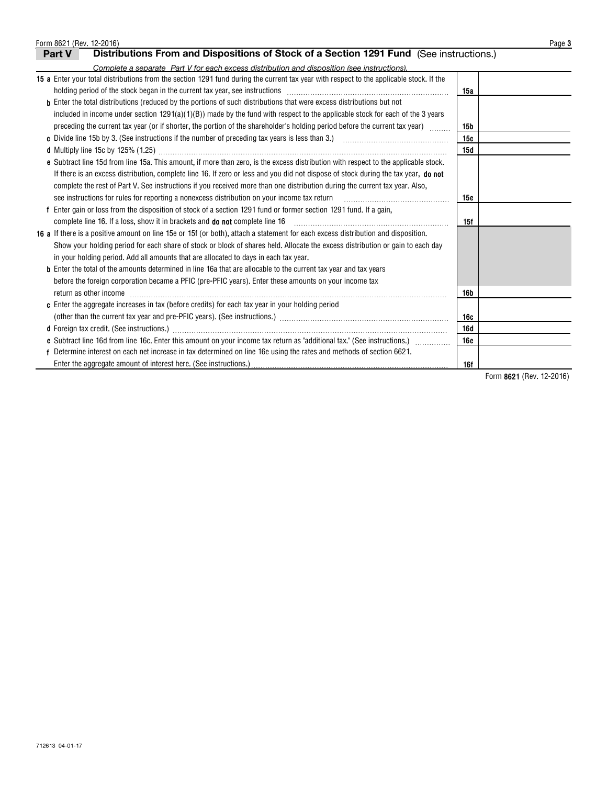| Form 8621 (Rev. 12-2016)                                                                                                                                                                                                       |                 | Page 3 |
|--------------------------------------------------------------------------------------------------------------------------------------------------------------------------------------------------------------------------------|-----------------|--------|
| Distributions From and Dispositions of Stock of a Section 1291 Fund (See instructions.)<br>Part V                                                                                                                              |                 |        |
| Complete a separate Part V for each excess distribution and disposition (see instructions).                                                                                                                                    |                 |        |
| 15 a Enter your total distributions from the section 1291 fund during the current tax year with respect to the applicable stock. If the                                                                                        |                 |        |
| holding period of the stock began in the current tax year, see instructions [11] manufactured in the stock began in the current tax year, see instructions [11] manufactured in the stock began in the current state in the st | 15a             |        |
| <b>b</b> Enter the total distributions (reduced by the portions of such distributions that were excess distributions but not                                                                                                   |                 |        |
| included in income under section $1291(a)(1)(B)$ made by the fund with respect to the applicable stock for each of the 3 years                                                                                                 |                 |        |
| preceding the current tax year (or if shorter, the portion of the shareholder's holding period before the current tax year)                                                                                                    | 15 <sub>b</sub> |        |
|                                                                                                                                                                                                                                | 15c             |        |
|                                                                                                                                                                                                                                | 15d             |        |
| e Subtract line 15d from line 15a. This amount, if more than zero, is the excess distribution with respect to the applicable stock.                                                                                            |                 |        |
| If there is an excess distribution, complete line 16. If zero or less and you did not dispose of stock during the tax year, do not                                                                                             |                 |        |
| complete the rest of Part V. See instructions if you received more than one distribution during the current tax year. Also,                                                                                                    |                 |        |
| see instructions for rules for reporting a nonexcess distribution on your income tax return                                                                                                                                    | 15e             |        |
| Enter gain or loss from the disposition of stock of a section 1291 fund or former section 1291 fund. If a gain,                                                                                                                |                 |        |
| complete line 16. If a loss, show it in brackets and <b>do not</b> complete line 16                                                                                                                                            | 15f             |        |
| 16 a If there is a positive amount on line 15e or 15f (or both), attach a statement for each excess distribution and disposition.                                                                                              |                 |        |
| Show your holding period for each share of stock or block of shares held. Allocate the excess distribution or gain to each day                                                                                                 |                 |        |
| in your holding period. Add all amounts that are allocated to days in each tax year.                                                                                                                                           |                 |        |
| <b>b</b> Enter the total of the amounts determined in line 16a that are allocable to the current tax year and tax years                                                                                                        |                 |        |
| before the foreign corporation became a PFIC (pre-PFIC years). Enter these amounts on your income tax                                                                                                                          |                 |        |
| return as other income                                                                                                                                                                                                         | <b>16b</b>      |        |
| c Enter the aggregate increases in tax (before credits) for each tax year in your holding period                                                                                                                               |                 |        |
|                                                                                                                                                                                                                                | 16c             |        |
|                                                                                                                                                                                                                                | 16d             |        |
| e Subtract line 16d from line 16c. Enter this amount on your income tax return as "additional tax." (See instructions.)                                                                                                        | <b>16e</b>      |        |
| Determine interest on each net increase in tax determined on line 16e using the rates and methods of section 6621.                                                                                                             |                 |        |
| Enter the aggregate amount of interest here. (See instructions.)                                                                                                                                                               | 16f             |        |

**8621**  Form (Rev. 12-2016)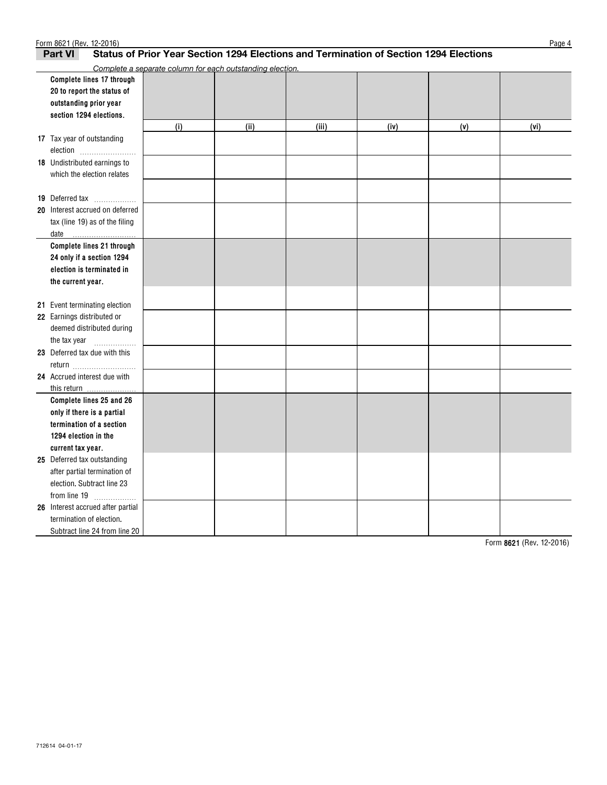| Form 8621 (Rev. 12-2016)                                                                                |                                                           |      |       |      |     | Page 4 |  |  |  |  |  |
|---------------------------------------------------------------------------------------------------------|-----------------------------------------------------------|------|-------|------|-----|--------|--|--|--|--|--|
| Status of Prior Year Section 1294 Elections and Termination of Section 1294 Elections<br><b>Part VI</b> |                                                           |      |       |      |     |        |  |  |  |  |  |
|                                                                                                         | Complete a separate column for each outstanding election. |      |       |      |     |        |  |  |  |  |  |
| Complete lines 17 through                                                                               |                                                           |      |       |      |     |        |  |  |  |  |  |
| 20 to report the status of                                                                              |                                                           |      |       |      |     |        |  |  |  |  |  |
| outstanding prior year                                                                                  |                                                           |      |       |      |     |        |  |  |  |  |  |
| section 1294 elections.                                                                                 |                                                           |      |       |      |     |        |  |  |  |  |  |
|                                                                                                         | (i)                                                       | (ii) | (iii) | (iv) | (v) | (vi)   |  |  |  |  |  |
| 17 Tax year of outstanding                                                                              |                                                           |      |       |      |     |        |  |  |  |  |  |
| election                                                                                                |                                                           |      |       |      |     |        |  |  |  |  |  |
| <b>18</b> Undistributed earnings to                                                                     |                                                           |      |       |      |     |        |  |  |  |  |  |
| which the election relates                                                                              |                                                           |      |       |      |     |        |  |  |  |  |  |
|                                                                                                         |                                                           |      |       |      |     |        |  |  |  |  |  |
| 19 Deferred tax                                                                                         |                                                           |      |       |      |     |        |  |  |  |  |  |
| 20 Interest accrued on deferred                                                                         |                                                           |      |       |      |     |        |  |  |  |  |  |
| tax (line 19) as of the filing                                                                          |                                                           |      |       |      |     |        |  |  |  |  |  |
| date                                                                                                    |                                                           |      |       |      |     |        |  |  |  |  |  |
| Complete lines 21 through                                                                               |                                                           |      |       |      |     |        |  |  |  |  |  |
| 24 only if a section 1294                                                                               |                                                           |      |       |      |     |        |  |  |  |  |  |
| election is terminated in                                                                               |                                                           |      |       |      |     |        |  |  |  |  |  |
| the current year.                                                                                       |                                                           |      |       |      |     |        |  |  |  |  |  |
|                                                                                                         |                                                           |      |       |      |     |        |  |  |  |  |  |
| 21 Event terminating election                                                                           |                                                           |      |       |      |     |        |  |  |  |  |  |
| 22 Earnings distributed or                                                                              |                                                           |      |       |      |     |        |  |  |  |  |  |
| deemed distributed during                                                                               |                                                           |      |       |      |     |        |  |  |  |  |  |
| the tax year<br>.                                                                                       |                                                           |      |       |      |     |        |  |  |  |  |  |
| 23 Deferred tax due with this                                                                           |                                                           |      |       |      |     |        |  |  |  |  |  |
| return                                                                                                  |                                                           |      |       |      |     |        |  |  |  |  |  |
| 24 Accrued interest due with                                                                            |                                                           |      |       |      |     |        |  |  |  |  |  |
|                                                                                                         |                                                           |      |       |      |     |        |  |  |  |  |  |
| Complete lines 25 and 26                                                                                |                                                           |      |       |      |     |        |  |  |  |  |  |
| only if there is a partial                                                                              |                                                           |      |       |      |     |        |  |  |  |  |  |
| termination of a section                                                                                |                                                           |      |       |      |     |        |  |  |  |  |  |
| 1294 election in the                                                                                    |                                                           |      |       |      |     |        |  |  |  |  |  |
| current tax year.                                                                                       |                                                           |      |       |      |     |        |  |  |  |  |  |
| 25 Deferred tax outstanding                                                                             |                                                           |      |       |      |     |        |  |  |  |  |  |
| after partial termination of                                                                            |                                                           |      |       |      |     |        |  |  |  |  |  |
| election. Subtract line 23                                                                              |                                                           |      |       |      |     |        |  |  |  |  |  |
| from line $19$                                                                                          |                                                           |      |       |      |     |        |  |  |  |  |  |
| 26 Interest accrued after partial                                                                       |                                                           |      |       |      |     |        |  |  |  |  |  |
| termination of election.                                                                                |                                                           |      |       |      |     |        |  |  |  |  |  |
| Subtract line 24 from line 20                                                                           |                                                           |      |       |      |     |        |  |  |  |  |  |

**8621**  Form (Rev. 12-2016)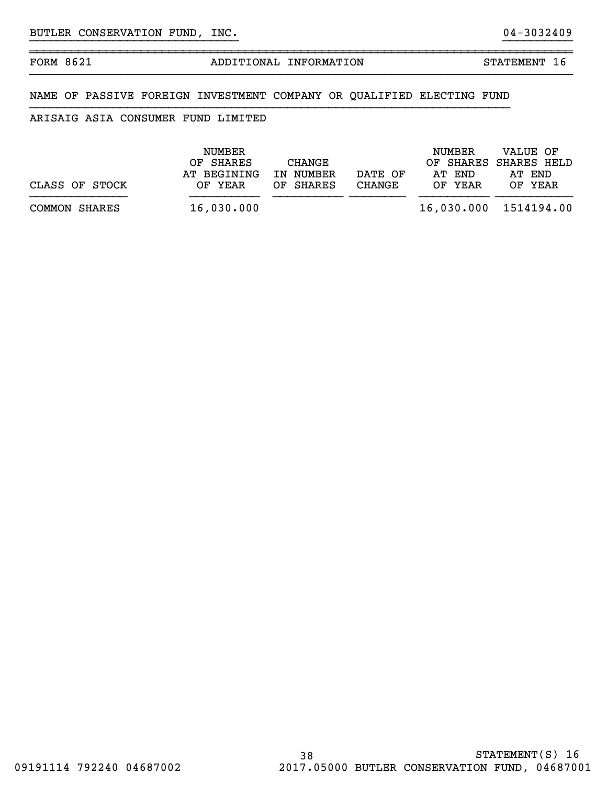~~~~~~~~~~~~~~~~~~~~~~~~~~~~~~~~~~~~~~~~~~~~~~~~~~~~~~~~~~~~~~~~~~~~~~~~~~~~~~

## FORM 8621 ADDITIONAL INFORMATION STATEMENT 16

}}}}}}}}}}}}}}}}}}}}}}}}}}}}}} }}}}}}}}}}

## NAME OF PASSIVE FOREIGN INVESTMENT COMPANY OR QUALIFIED ELECTING FUND

## ARISAIG ASIA CONSUMER FUND LIMITED

|                | NUMBER<br>OF SHARES    | CHANGE                 |                   | NUMBER            | VALUE OF<br>OF SHARES SHARES HELD |
|----------------|------------------------|------------------------|-------------------|-------------------|-----------------------------------|
| CLASS OF STOCK | AT BEGINING<br>OF YEAR | IN NUMBER<br>OF SHARES | DATE OF<br>CHANGE | AT END<br>OF YEAR | AT END<br>OF YEAR                 |
| COMMON SHARES  | 16,030.000             |                        |                   |                   | 16,030.000 1514194.00             |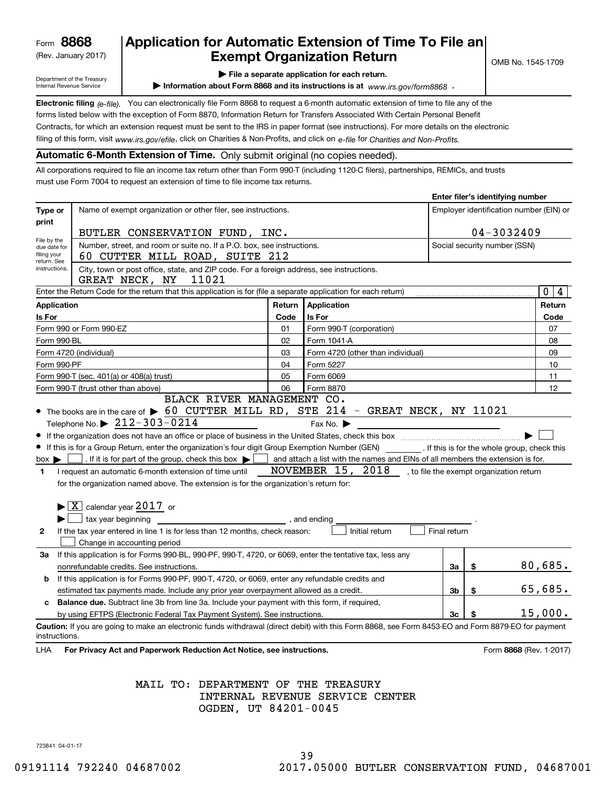(Rev. January 2017)

# **Application for Automatic Extension of Time To File an Exempt Organization Return**

Department of the Treasury Internal Revenue Service

**| File a separate application for each return.**

▶ Information about Form 8868 and its instructions is at www.irs.gov/form8868 **.** 

**Electronic filing** (e-file). You can electronically file Form 8868 to request a 6-month automatic extension of time to file any of the filing of this form, visit <sub>WWW.irs.gov/efile, click on Charities & Non-Profits, and click on e-file for *Charities and Non-Profits.*</sub> forms listed below with the exception of Form 8870, Information Return for Transfers Associated With Certain Personal Benefit Contracts, for which an extension request must be sent to the IRS in paper format (see instructions). For more details on the electronic

**Automatic 6-Month Extension of Time.** Only submit original (no copies needed).

All corporations required to file an income tax return other than Form 990-T (including 1120-C filers), partnerships, REMICs, and trusts must use Form 7004 to request an extension of time to file income tax returns.

|                                                           |                                                                                                                                                                                                                                                                                                                                                                                                                                                                                                                     |        |                                                    |                |                                         | Enter filer's identifying number         |  |
|-----------------------------------------------------------|---------------------------------------------------------------------------------------------------------------------------------------------------------------------------------------------------------------------------------------------------------------------------------------------------------------------------------------------------------------------------------------------------------------------------------------------------------------------------------------------------------------------|--------|----------------------------------------------------|----------------|-----------------------------------------|------------------------------------------|--|
| Type or<br>print                                          | Name of exempt organization or other filer, see instructions.                                                                                                                                                                                                                                                                                                                                                                                                                                                       |        |                                                    |                | Employer identification number (EIN) or |                                          |  |
|                                                           | BUTLER CONSERVATION FUND, INC.                                                                                                                                                                                                                                                                                                                                                                                                                                                                                      |        |                                                    |                | 04-3032409                              |                                          |  |
| File by the<br>due date for<br>filing your<br>return. See | Number, street, and room or suite no. If a P.O. box, see instructions.<br>60 CUTTER MILL ROAD, SUITE 212                                                                                                                                                                                                                                                                                                                                                                                                            |        |                                                    |                |                                         | Social security number (SSN)             |  |
| instructions.                                             | City, town or post office, state, and ZIP code. For a foreign address, see instructions.<br>11021<br>GREAT NECK, NY                                                                                                                                                                                                                                                                                                                                                                                                 |        |                                                    |                |                                         |                                          |  |
|                                                           | Enter the Return Code for the return that this application is for (file a separate application for each return)                                                                                                                                                                                                                                                                                                                                                                                                     |        |                                                    |                |                                         | $\mathbf 0$<br>4                         |  |
| <b>Application</b>                                        |                                                                                                                                                                                                                                                                                                                                                                                                                                                                                                                     | Return | <b>Application</b>                                 |                |                                         | Return                                   |  |
| Is For                                                    | Is For<br>Code                                                                                                                                                                                                                                                                                                                                                                                                                                                                                                      |        |                                                    |                |                                         | Code                                     |  |
|                                                           | Form 990 or Form 990-EZ<br>01<br>Form 990-T (corporation)                                                                                                                                                                                                                                                                                                                                                                                                                                                           |        |                                                    |                |                                         | 07                                       |  |
| Form 990-BL                                               |                                                                                                                                                                                                                                                                                                                                                                                                                                                                                                                     | 02     | Form 1041-A                                        |                |                                         | 08                                       |  |
|                                                           | Form 4720 (individual)                                                                                                                                                                                                                                                                                                                                                                                                                                                                                              | 03     | Form 4720 (other than individual)                  |                |                                         | 09                                       |  |
|                                                           | Form 990-PF<br>04<br>Form 5227                                                                                                                                                                                                                                                                                                                                                                                                                                                                                      |        |                                                    |                |                                         | 10                                       |  |
|                                                           | 05<br>Form 990-T (sec. 401(a) or 408(a) trust)<br>Form 6069                                                                                                                                                                                                                                                                                                                                                                                                                                                         |        |                                                    |                |                                         | 11                                       |  |
|                                                           | 06<br>Form 8870<br>12<br>Form 990-T (trust other than above)<br>BLACK RIVER MANAGEMENT CO.                                                                                                                                                                                                                                                                                                                                                                                                                          |        |                                                    |                |                                         |                                          |  |
| $box \blacktriangleright$<br>1.                           | • The books are in the care of $\triangleright$ 60 CUTTER MILL RD, STE 214 - GREAT NECK, NY 11021<br>Telephone No. $\triangleright$ 212-303-0214<br>If this is for a Group Return, enter the organization's four digit Group Exemption Number (GEN) __________. If this is for the whole group, check this<br>. If it is for part of the group, check this box $\bullet$   and attach a list with the names and EINs of all members the extension is for.<br>I request an automatic 6-month extension of time until |        | Fax No. $\blacktriangleright$<br>NOVEMBER 15, 2018 |                |                                         | , to file the exempt organization return |  |
| $\mathbf{2}$                                              | for the organization named above. The extension is for the organization's return for:<br>$\blacktriangleright$ $\boxed{\text{X}}$ calendar year $2017\,$ or<br>tax year beginning<br>If the tax year entered in line 1 is for less than 12 months, check reason:<br>Change in accounting period                                                                                                                                                                                                                     |        | , and ending<br>Initial return                     | Final return   |                                         |                                          |  |
| За                                                        | If this application is for Forms 990-BL, 990-PF, 990-T, 4720, or 6069, enter the tentative tax, less any                                                                                                                                                                                                                                                                                                                                                                                                            |        |                                                    |                |                                         |                                          |  |
|                                                           | nonrefundable credits. See instructions.                                                                                                                                                                                                                                                                                                                                                                                                                                                                            |        |                                                    | За             | \$                                      | 80,685.                                  |  |
| b                                                         | If this application is for Forms 990-PF, 990-T, 4720, or 6069, enter any refundable credits and                                                                                                                                                                                                                                                                                                                                                                                                                     |        |                                                    |                |                                         |                                          |  |
|                                                           | estimated tax payments made. Include any prior year overpayment allowed as a credit.                                                                                                                                                                                                                                                                                                                                                                                                                                |        |                                                    | 3b             | \$                                      | 65,685.                                  |  |
| c                                                         | <b>Balance due.</b> Subtract line 3b from line 3a. Include your payment with this form, if required,<br>by using EFTPS (Electronic Federal Tax Payment System). See instructions.                                                                                                                                                                                                                                                                                                                                   |        |                                                    | 3 <sub>c</sub> |                                         | 15,000.                                  |  |
| instructions.                                             | Caution: If you are going to make an electronic funds withdrawal (direct debit) with this Form 8868, see Form 8453-EO and Form 8879-EO for payment                                                                                                                                                                                                                                                                                                                                                                  |        |                                                    |                |                                         |                                          |  |
| LHA                                                       | For Privacy Act and Paperwork Reduction Act Notice, see instructions.                                                                                                                                                                                                                                                                                                                                                                                                                                               |        |                                                    |                |                                         | Form 8868 (Rev. 1-2017)                  |  |

MAIL TO: DEPARTMENT OF THE TREASURY INTERNAL REVENUE SERVICE CENTER OGDEN, UT 84201-0045

723841 04-01-17